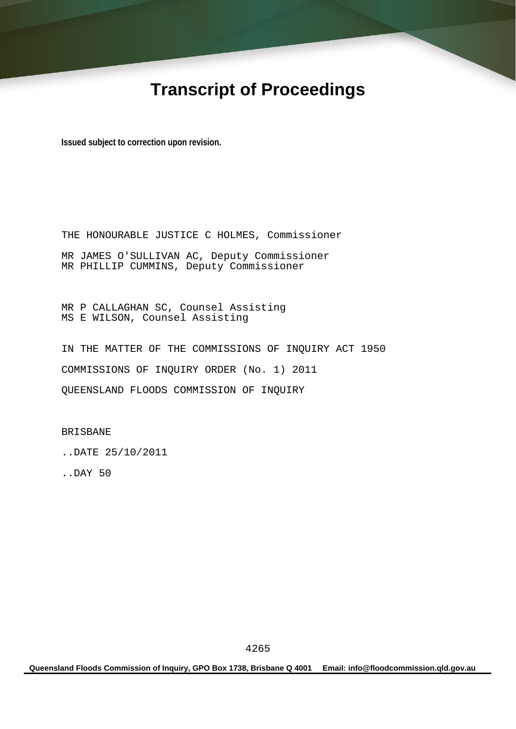# **Transcript of Proceedings**

**Issued subject to correction upon revision.** 

THE HONOURABLE JUSTICE C HOLMES, Commissioner MR JAMES O'SULLIVAN AC, Deputy Commissioner MR PHILLIP CUMMINS, Deputy Commissioner

MR P CALLAGHAN SC, Counsel Assisting MS E WILSON, Counsel Assisting

IN THE MATTER OF THE COMMISSIONS OF INQUIRY ACT 1950 COMMISSIONS OF INQUIRY ORDER (No. 1) 2011 QUEENSLAND FLOODS COMMISSION OF INQUIRY

BRISBANE

..DATE 25/10/2011

..DAY 50

**Queensland Floods Commission of Inquiry, GPO Box 1738, Brisbane Q 4001 Email: info@floodcommission.qld.gov.au**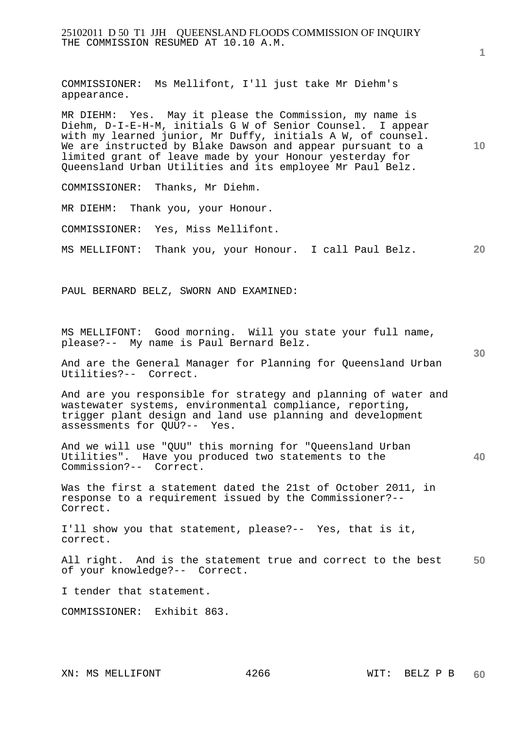25102011 D 50 T1 JJH QUEENSLAND FLOODS COMMISSION OF INQUIRY THE COMMISSION RESUMED AT 10.10 A.M.

COMMISSIONER: Ms Mellifont, I'll just take Mr Diehm's appearance.

MR DIEHM: Yes. May it please the Commission, my name is Diehm, D-I-E-H-M, initials G W of Senior Counsel. I appear with my learned junior, Mr Duffy, initials A W, of counsel. We are instructed by Blake Dawson and appear pursuant to a limited grant of leave made by your Honour yesterday for Queensland Urban Utilities and its employee Mr Paul Belz.

COMMISSIONER: Thanks, Mr Diehm.

MR DIEHM: Thank you, your Honour.

COMMISSIONER: Yes, Miss Mellifont.

**20**  MS MELLIFONT: Thank you, your Honour. I call Paul Belz.

PAUL BERNARD BELZ, SWORN AND EXAMINED:

MS MELLIFONT: Good morning. Will you state your full name, please?-- My name is Paul Bernard Belz.

And are the General Manager for Planning for Queensland Urban Utilities?-- Correct.

And are you responsible for strategy and planning of water and wastewater systems, environmental compliance, reporting, trigger plant design and land use planning and development assessments for QUU?-- Yes.

And we will use "QUU" this morning for "Queensland Urban Utilities". Have you produced two statements to the Commission?-- Correct.

Was the first a statement dated the 21st of October 2011, in response to a requirement issued by the Commissioner?-- Correct.

I'll show you that statement, please?-- Yes, that is it, correct.

**50**  All right. And is the statement true and correct to the best of your knowledge?-- Correct.

I tender that statement.

COMMISSIONER: Exhibit 863.

**10** 

**30**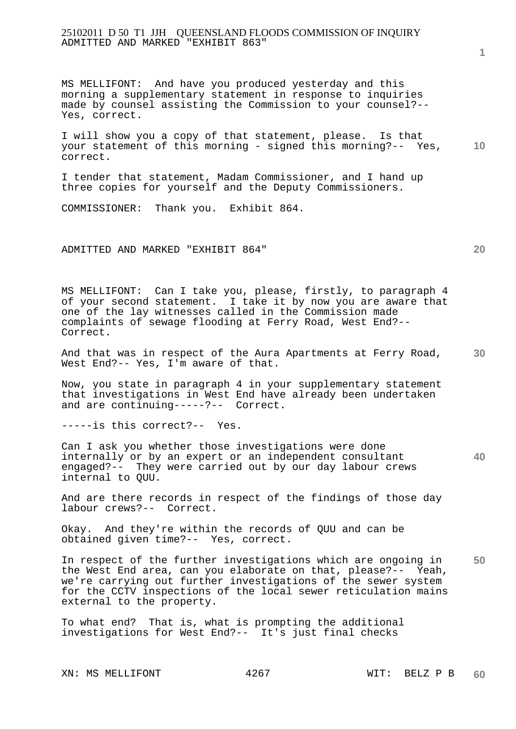## 25102011 D 50 T1 JJH QUEENSLAND FLOODS COMMISSION OF INQUIRY ADMITTED AND MARKED "EXHIBIT 863"

MS MELLIFONT: And have you produced yesterday and this morning a supplementary statement in response to inquiries made by counsel assisting the Commission to your counsel?-- Yes, correct.

**10**  I will show you a copy of that statement, please. Is that your statement of this morning - signed this morning?-- Yes, correct.

I tender that statement, Madam Commissioner, and I hand up three copies for yourself and the Deputy Commissioners.

COMMISSIONER: Thank you. Exhibit 864.

ADMITTED AND MARKED "EXHIBIT 864"

MS MELLIFONT: Can I take you, please, firstly, to paragraph 4 of your second statement. I take it by now you are aware that one of the lay witnesses called in the Commission made complaints of sewage flooding at Ferry Road, West End?-- Correct.

**30**  And that was in respect of the Aura Apartments at Ferry Road, West End?-- Yes, I'm aware of that.

Now, you state in paragraph 4 in your supplementary statement that investigations in West End have already been undertaken and are continuing-----?-- Correct.

-----is this correct?-- Yes.

Can I ask you whether those investigations were done internally or by an expert or an independent consultant engaged?-- They were carried out by our day labour crews internal to QUU.

And are there records in respect of the findings of those day labour crews?-- Correct.

Okay. And they're within the records of QUU and can be obtained given time?-- Yes, correct.

**50**  In respect of the further investigations which are ongoing in the West End area, can you elaborate on that, please?-- Yeah, we're carrying out further investigations of the sewer system for the CCTV inspections of the local sewer reticulation mains external to the property.

To what end? That is, what is prompting the additional investigations for West End?-- It's just final checks

**1**

**20**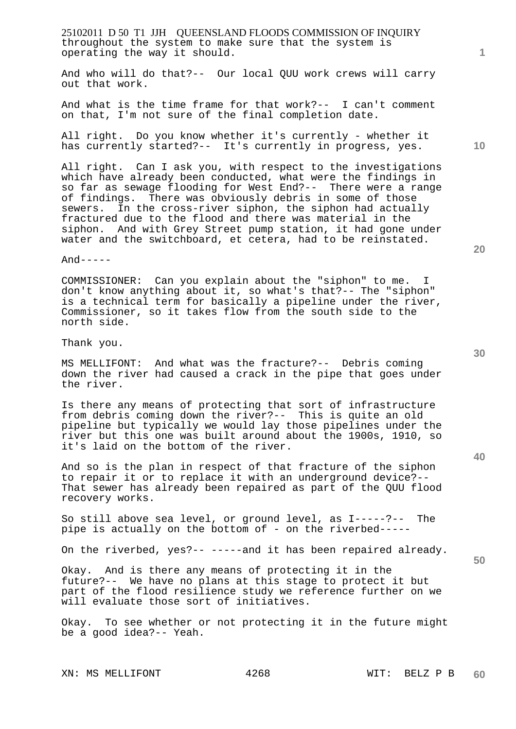25102011 D 50 T1 JJH QUEENSLAND FLOODS COMMISSION OF INQUIRY throughout the system to make sure that the system is operating the way it should.

And who will do that?-- Our local QUU work crews will carry out that work.

And what is the time frame for that work?-- I can't comment on that, I'm not sure of the final completion date.

All right. Do you know whether it's currently - whether it has currently started?-- It's currently in progress, yes.

All right. Can I ask you, with respect to the investigations which have already been conducted, what were the findings in so far as sewage flooding for West End?-- There were a range of findings. There was obviously debris in some of those sewers. In the cross-river siphon, the siphon had actually fractured due to the flood and there was material in the siphon. And with Grey Street pump station, it had gone under water and the switchboard, et cetera, had to be reinstated.

 $And----$ 

COMMISSIONER: Can you explain about the "siphon" to me. I don't know anything about it, so what's that?-- The "siphon" is a technical term for basically a pipeline under the river, Commissioner, so it takes flow from the south side to the north side.

Thank you.

MS MELLIFONT: And what was the fracture?-- Debris coming down the river had caused a crack in the pipe that goes under the river.

Is there any means of protecting that sort of infrastructure from debris coming down the river?-- This is quite an old pipeline but typically we would lay those pipelines under the river but this one was built around about the 1900s, 1910, so it's laid on the bottom of the river.

And so is the plan in respect of that fracture of the siphon to repair it or to replace it with an underground device?-- That sewer has already been repaired as part of the QUU flood recovery works.

So still above sea level, or ground level, as I-----?-- The pipe is actually on the bottom of - on the riverbed-----

On the riverbed, yes?-- -----and it has been repaired already.

Okay. And is there any means of protecting it in the future?-- We have no plans at this stage to protect it but part of the flood resilience study we reference further on we will evaluate those sort of initiatives.

Okay. To see whether or not protecting it in the future might be a good idea?-- Yeah.

XN: MS MELLIFONT 4268 WIT: BELZ P B

**1**

**20** 

**10** 

**30**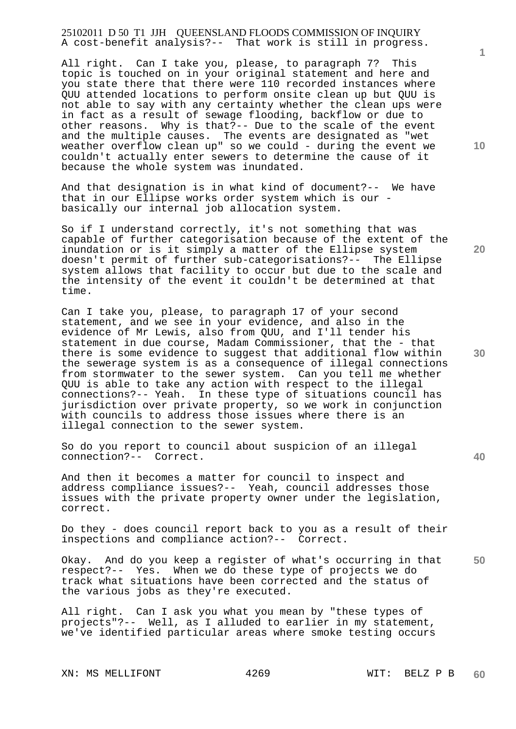25102011 D 50 T1 JJH QUEENSLAND FLOODS COMMISSION OF INQUIRY A cost-benefit analysis?-- That work is still in progress.

All right. Can I take you, please, to paragraph 7? This topic is touched on in your original statement and here and you state there that there were 110 recorded instances where QUU attended locations to perform onsite clean up but QUU is not able to say with any certainty whether the clean ups were in fact as a result of sewage flooding, backflow or due to other reasons. Why is that?-- Due to the scale of the event and the multiple causes. The events are designated as "wet weather overflow clean up" so we could - during the event we couldn't actually enter sewers to determine the cause of it because the whole system was inundated.

And that designation is in what kind of document?-- We have that in our Ellipse works order system which is our basically our internal job allocation system.

So if I understand correctly, it's not something that was capable of further categorisation because of the extent of the inundation or is it simply a matter of the Ellipse system doesn't permit of further sub-categorisations?-- The Ellipse system allows that facility to occur but due to the scale and the intensity of the event it couldn't be determined at that time.

Can I take you, please, to paragraph 17 of your second statement, and we see in your evidence, and also in the evidence of Mr Lewis, also from QUU, and I'll tender his statement in due course, Madam Commissioner, that the - that there is some evidence to suggest that additional flow within the sewerage system is as a consequence of illegal connections from stormwater to the sewer system. Can you tell me whether QUU is able to take any action with respect to the illegal connections?-- Yeah. In these type of situations council has jurisdiction over private property, so we work in conjunction with councils to address those issues where there is an illegal connection to the sewer system.

So do you report to council about suspicion of an illegal connection?-- Correct.

And then it becomes a matter for council to inspect and address compliance issues?-- Yeah, council addresses those issues with the private property owner under the legislation, correct.

Do they - does council report back to you as a result of their inspections and compliance action?-- Correct.

**50**  Okay. And do you keep a register of what's occurring in that respect?-- Yes. When we do these type of projects we do track what situations have been corrected and the status of the various jobs as they're executed.

All right. Can I ask you what you mean by "these types of projects"?-- Well, as I alluded to earlier in my statement, we've identified particular areas where smoke testing occurs

XN: MS MELLIFONT 4269 WIT: BELZ P B

**10** 

**1**

**20**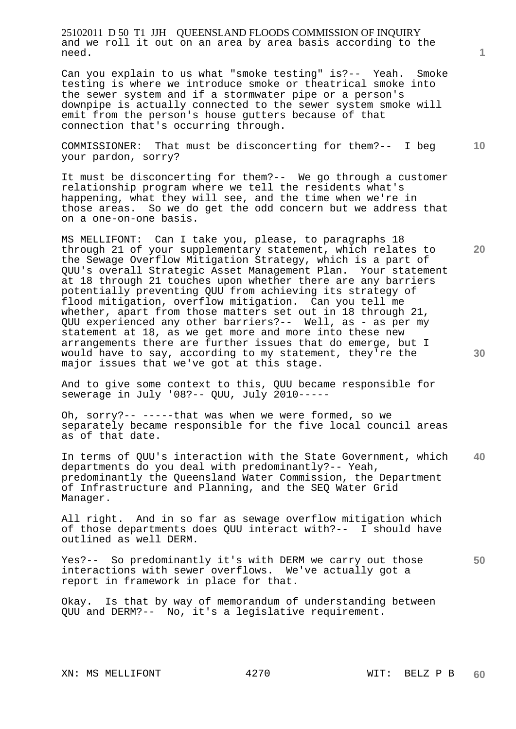25102011 D 50 T1 JJH QUEENSLAND FLOODS COMMISSION OF INQUIRY and we roll it out on an area by area basis according to the need.

Can you explain to us what "smoke testing" is?-- Yeah. Smoke testing is where we introduce smoke or theatrical smoke into the sewer system and if a stormwater pipe or a person's downpipe is actually connected to the sewer system smoke will emit from the person's house gutters because of that connection that's occurring through.

**10**  COMMISSIONER: That must be disconcerting for them?-- I beg your pardon, sorry?

It must be disconcerting for them?-- We go through a customer relationship program where we tell the residents what's happening, what they will see, and the time when we're in those areas. So we do get the odd concern but we address that on a one-on-one basis.

MS MELLIFONT: Can I take you, please, to paragraphs 18 through 21 of your supplementary statement, which relates to the Sewage Overflow Mitigation Strategy, which is a part of QUU's overall Strategic Asset Management Plan. Your statement at 18 through 21 touches upon whether there are any barriers potentially preventing QUU from achieving its strategy of flood mitigation, overflow mitigation. Can you tell me whether, apart from those matters set out in 18 through 21, QUU experienced any other barriers?-- Well, as - as per my statement at 18, as we get more and more into these new arrangements there are further issues that do emerge, but I would have to say, according to my statement, they're the major issues that we've got at this stage.

And to give some context to this, QUU became responsible for sewerage in July '08?-- QUU, July 2010-----

Oh, sorry?-- -----that was when we were formed, so we separately became responsible for the five local council areas as of that date.

**40**  In terms of QUU's interaction with the State Government, which departments do you deal with predominantly?-- Yeah, predominantly the Queensland Water Commission, the Department of Infrastructure and Planning, and the SEQ Water Grid Manager.

All right. And in so far as sewage overflow mitigation which of those departments does QUU interact with?-- I should have outlined as well DERM.

**50**  Yes?-- So predominantly it's with DERM we carry out those interactions with sewer overflows. We've actually got a report in framework in place for that.

Okay. Is that by way of memorandum of understanding between QUU and DERM?-- No, it's a legislative requirement.

**1**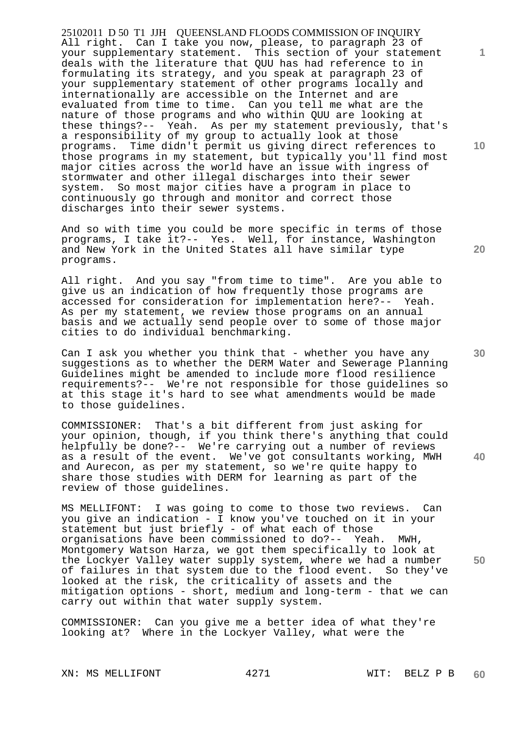25102011 D 50 T1 JJH QUEENSLAND FLOODS COMMISSION OF INQUIRY All right. Can I take you now, please, to paragraph 23 of your supplementary statement. This section of your statement deals with the literature that QUU has had reference to in formulating its strategy, and you speak at paragraph 23 of your supplementary statement of other programs locally and internationally are accessible on the Internet and are evaluated from time to time. Can you tell me what are the nature of those programs and who within QUU are looking at these things?-- Yeah. As per my statement previously, that's a responsibility of my group to actually look at those programs. Time didn't permit us giving direct references to those programs in my statement, but typically you'll find most major cities across the world have an issue with ingress of stormwater and other illegal discharges into their sewer system. So most major cities have a program in place to continuously go through and monitor and correct those discharges into their sewer systems.

And so with time you could be more specific in terms of those programs, I take it?-- Yes. Well, for instance, Washington and New York in the United States all have similar type programs.

All right. And you say "from time to time". Are you able to give us an indication of how frequently those programs are accessed for consideration for implementation here?-- Yeah. As per my statement, we review those programs on an annual basis and we actually send people over to some of those major cities to do individual benchmarking.

Can I ask you whether you think that - whether you have any suggestions as to whether the DERM Water and Sewerage Planning Guidelines might be amended to include more flood resilience requirements?-- We're not responsible for those guidelines so at this stage it's hard to see what amendments would be made to those guidelines.

COMMISSIONER: That's a bit different from just asking for your opinion, though, if you think there's anything that could helpfully be done?-- We're carrying out a number of reviews as a result of the event. We've got consultants working, MWH and Aurecon, as per my statement, so we're quite happy to share those studies with DERM for learning as part of the review of those guidelines.

MS MELLIFONT: I was going to come to those two reviews. Can you give an indication - I know you've touched on it in your statement but just briefly - of what each of those organisations have been commissioned to do?-- Yeah. MWH, Montgomery Watson Harza, we got them specifically to look at the Lockyer Valley water supply system, where we had a number of failures in that system due to the flood event. So they've looked at the risk, the criticality of assets and the mitigation options - short, medium and long-term - that we can carry out within that water supply system.

COMMISSIONER: Can you give me a better idea of what they're looking at? Where in the Lockyer Valley, what were the

XN: MS MELLIFONT 4271 WIT: BELZ P B

**10** 

**20** 

**1**

**30** 

**40**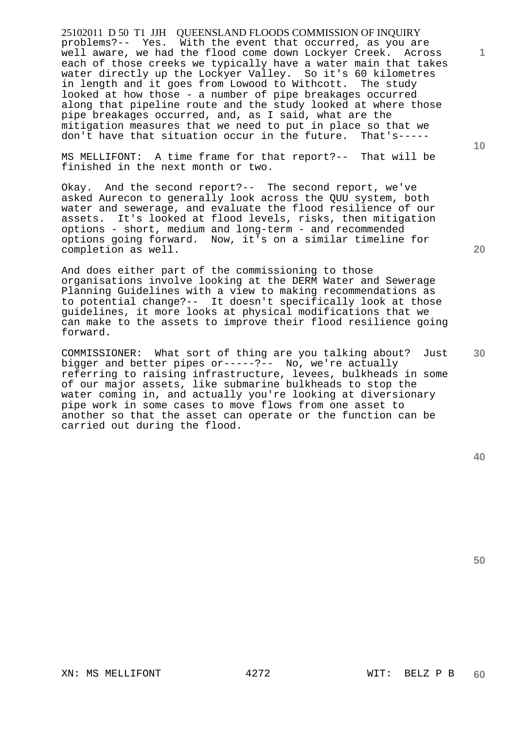25102011 D 50 T1 JJH QUEENSLAND FLOODS COMMISSION OF INQUIRY problems?-- Yes. With the event that occurred, as you are well aware, we had the flood come down Lockyer Creek. Across each of those creeks we typically have a water main that takes water directly up the Lockyer Valley. So it's 60 kilometres in length and it goes from Lowood to Withcott. The study looked at how those - a number of pipe breakages occurred along that pipeline route and the study looked at where those pipe breakages occurred, and, as I said, what are the mitigation measures that we need to put in place so that we don't have that situation occur in the future. That's-----

MS MELLIFONT: A time frame for that report?-- That will be finished in the next month or two.

Okay. And the second report?-- The second report, we've asked Aurecon to generally look across the QUU system, both water and sewerage, and evaluate the flood resilience of our assets. It's looked at flood levels, risks, then mitigation options - short, medium and long-term - and recommended options going forward. Now, it's on a similar timeline for completion as well.

And does either part of the commissioning to those organisations involve looking at the DERM Water and Sewerage Planning Guidelines with a view to making recommendations as to potential change?-- It doesn't specifically look at those guidelines, it more looks at physical modifications that we can make to the assets to improve their flood resilience going forward.

COMMISSIONER: What sort of thing are you talking about? Just bigger and better pipes or-----?-- No, we're actually referring to raising infrastructure, levees, bulkheads in some of our major assets, like submarine bulkheads to stop the water coming in, and actually you're looking at diversionary pipe work in some cases to move flows from one asset to another so that the asset can operate or the function can be carried out during the flood.

**50** 

XN: MS MELLIFONT 4272 WIT: BELZ P B

**10** 

**1**

**30**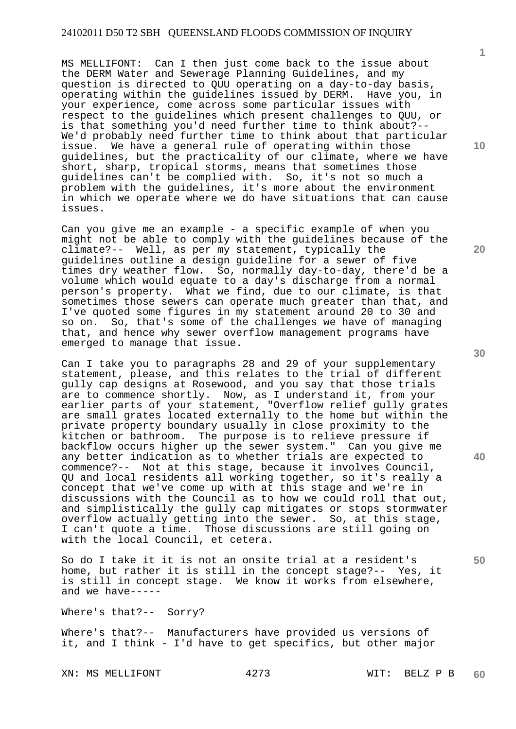MS MELLIFONT: Can I then just come back to the issue about the DERM Water and Sewerage Planning Guidelines, and my question is directed to QUU operating on a day-to-day basis, operating within the guidelines issued by DERM. Have you, in your experience, come across some particular issues with respect to the guidelines which present challenges to QUU, or is that something you'd need further time to think about?-- We'd probably need further time to think about that particular issue. We have a general rule of operating within those guidelines, but the practicality of our climate, where we have short, sharp, tropical storms, means that sometimes those guidelines can't be complied with. So, it's not so much a problem with the guidelines, it's more about the environment in which we operate where we do have situations that can cause issues.

Can you give me an example - a specific example of when you might not be able to comply with the guidelines because of the climate?-- Well, as per my statement, typically the guidelines outline a design guideline for a sewer of five times dry weather flow. So, normally day-to-day, there'd be a volume which would equate to a day's discharge from a normal person's property. What we find, due to our climate, is that sometimes those sewers can operate much greater than that, and I've quoted some figures in my statement around 20 to 30 and so on. So, that's some of the challenges we have of managing that, and hence why sewer overflow management programs have emerged to manage that issue.

Can I take you to paragraphs 28 and 29 of your supplementary statement, please, and this relates to the trial of different gully cap designs at Rosewood, and you say that those trials are to commence shortly. Now, as I understand it, from your earlier parts of your statement, "Overflow relief gully grates are small grates located externally to the home but within the private property boundary usually in close proximity to the kitchen or bathroom. The purpose is to relieve pressure if backflow occurs higher up the sewer system." Can you give me any better indication as to whether trials are expected to commence?-- Not at this stage, because it involves Council, QU and local residents all working together, so it's really a concept that we've come up with at this stage and we're in discussions with the Council as to how we could roll that out, and simplistically the gully cap mitigates or stops stormwater overflow actually getting into the sewer. So, at this stage, I can't quote a time. Those discussions are still going on with the local Council, et cetera.

So do I take it it is not an onsite trial at a resident's home, but rather it is still in the concept stage?-- Yes, it is still in concept stage. We know it works from elsewhere, and we have-----

Where's that?-- Sorry?

Where's that?-- Manufacturers have provided us versions of it, and I think - I'd have to get specifics, but other major

XN: MS MELLIFONT 4273 WIT: BELZ P B

**10** 

**1**

**20** 

**30** 

**40**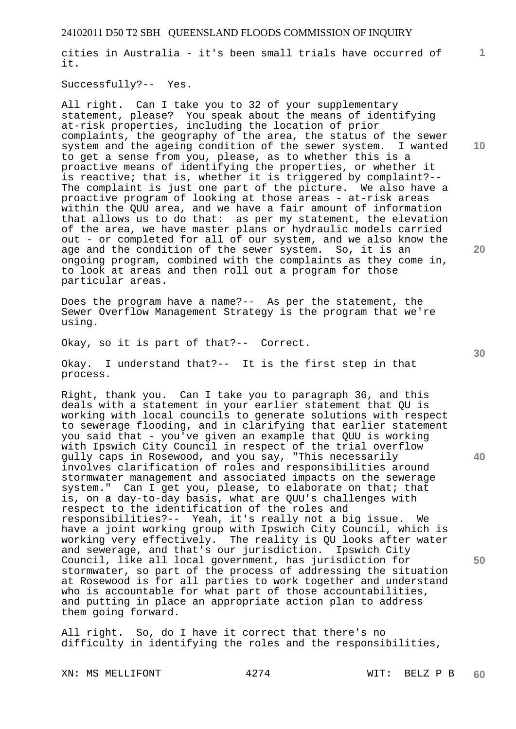cities in Australia - it's been small trials have occurred of it.

Successfully?-- Yes.

All right. Can I take you to 32 of your supplementary statement, please? You speak about the means of identifying at-risk properties, including the location of prior complaints, the geography of the area, the status of the sewer system and the ageing condition of the sewer system. I wanted to get a sense from you, please, as to whether this is a proactive means of identifying the properties, or whether it is reactive; that is, whether it is triggered by complaint?-- The complaint is just one part of the picture. We also have a proactive program of looking at those areas - at-risk areas within the QUU area, and we have a fair amount of information that allows us to do that: as per my statement, the elevation of the area, we have master plans or hydraulic models carried out - or completed for all of our system, and we also know the age and the condition of the sewer system. So, it is an ongoing program, combined with the complaints as they come in, to look at areas and then roll out a program for those particular areas.

Does the program have a name?-- As per the statement, the Sewer Overflow Management Strategy is the program that we're using.

Okay, so it is part of that?-- Correct.

Okay. I understand that?-- It is the first step in that process.

Right, thank you. Can I take you to paragraph 36, and this deals with a statement in your earlier statement that QU is working with local councils to generate solutions with respect to sewerage flooding, and in clarifying that earlier statement you said that - you've given an example that QUU is working with Ipswich City Council in respect of the trial overflow gully caps in Rosewood, and you say, "This necessarily involves clarification of roles and responsibilities around stormwater management and associated impacts on the sewerage system." Can I get you, please, to elaborate on that; that is, on a day-to-day basis, what are QUU's challenges with respect to the identification of the roles and responsibilities?-- Yeah, it's really not a big issue. We have a joint working group with Ipswich City Council, which is working very effectively. The reality is QU looks after water and sewerage, and that's our jurisdiction. Ipswich City Council, like all local government, has jurisdiction for stormwater, so part of the process of addressing the situation at Rosewood is for all parties to work together and understand who is accountable for what part of those accountabilities, and putting in place an appropriate action plan to address them going forward.

All right. So, do I have it correct that there's no difficulty in identifying the roles and the responsibilities,

XN: MS MELLIFONT 4274 WIT: BELZ P B

**10** 

**1**

**20** 

**40**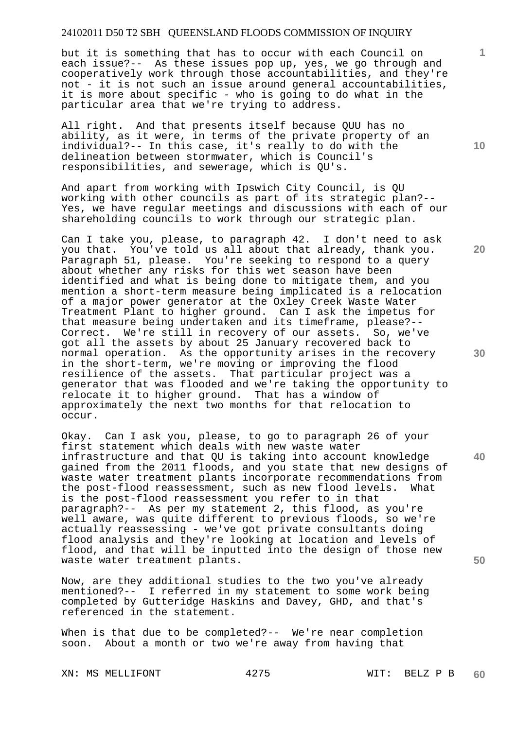but it is something that has to occur with each Council on each issue?-- As these issues pop up, yes, we go through and cooperatively work through those accountabilities, and they're not - it is not such an issue around general accountabilities, it is more about specific - who is going to do what in the particular area that we're trying to address.

All right. And that presents itself because QUU has no ability, as it were, in terms of the private property of an individual?-- In this case, it's really to do with the delineation between stormwater, which is Council's responsibilities, and sewerage, which is QU's.

And apart from working with Ipswich City Council, is QU working with other councils as part of its strategic plan?-- Yes, we have regular meetings and discussions with each of our shareholding councils to work through our strategic plan.

Can I take you, please, to paragraph 42. I don't need to ask you that. You've told us all about that already, thank you. Paragraph 51, please. You're seeking to respond to a query about whether any risks for this wet season have been identified and what is being done to mitigate them, and you mention a short-term measure being implicated is a relocation of a major power generator at the Oxley Creek Waste Water Treatment Plant to higher ground. Can I ask the impetus for that measure being undertaken and its timeframe, please?-- Correct. We're still in recovery of our assets. So, we've got all the assets by about 25 January recovered back to normal operation. As the opportunity arises in the recovery in the short-term, we're moving or improving the flood resilience of the assets. That particular project was a generator that was flooded and we're taking the opportunity to relocate it to higher ground. That has a window of approximately the next two months for that relocation to occur.

Okay. Can I ask you, please, to go to paragraph 26 of your first statement which deals with new waste water infrastructure and that QU is taking into account knowledge gained from the 2011 floods, and you state that new designs of waste water treatment plants incorporate recommendations from the post-flood reassessment, such as new flood levels. What is the post-flood reassessment you refer to in that paragraph?-- As per my statement 2, this flood, as you're well aware, was quite different to previous floods, so we're actually reassessing - we've got private consultants doing flood analysis and they're looking at location and levels of flood, and that will be inputted into the design of those new waste water treatment plants.

Now, are they additional studies to the two you've already mentioned?-- I referred in my statement to some work being completed by Gutteridge Haskins and Davey, GHD, and that's referenced in the statement.

When is that due to be completed?-- We're near completion soon. About a month or two we're away from having that

XN: MS MELLIFONT 4275 WIT: BELZ P B

**10** 

**1**

**20** 

**30** 

**40**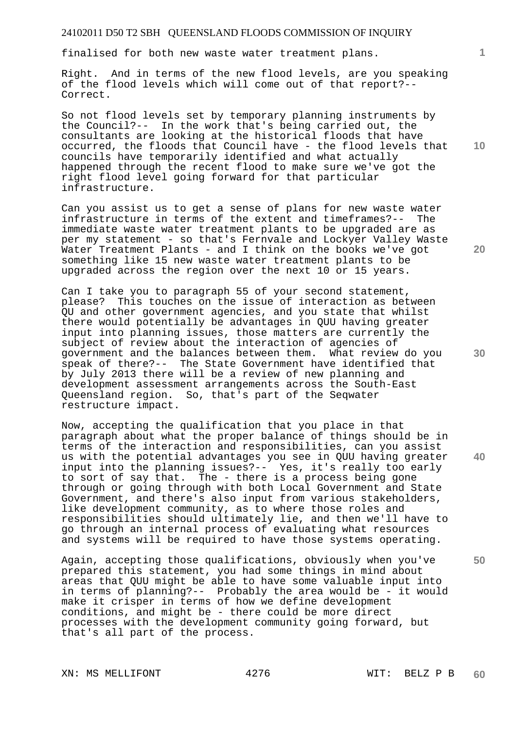finalised for both new waste water treatment plans.

Right. And in terms of the new flood levels, are you speaking of the flood levels which will come out of that report?-- Correct.

So not flood levels set by temporary planning instruments by the Council?-- In the work that's being carried out, the consultants are looking at the historical floods that have occurred, the floods that Council have - the flood levels that councils have temporarily identified and what actually happened through the recent flood to make sure we've got the right flood level going forward for that particular infrastructure.

Can you assist us to get a sense of plans for new waste water infrastructure in terms of the extent and timeframes?-- The immediate waste water treatment plants to be upgraded are as per my statement - so that's Fernvale and Lockyer Valley Waste Water Treatment Plants - and I think on the books we've got something like 15 new waste water treatment plants to be upgraded across the region over the next 10 or 15 years.

Can I take you to paragraph 55 of your second statement, please? This touches on the issue of interaction as between QU and other government agencies, and you state that whilst there would potentially be advantages in QUU having greater input into planning issues, those matters are currently the subject of review about the interaction of agencies of government and the balances between them. What review do you speak of there?-- The State Government have identified that by July 2013 there will be a review of new planning and development assessment arrangements across the South-East Queensland region. So, that's part of the Seqwater restructure impact.

Now, accepting the qualification that you place in that paragraph about what the proper balance of things should be in terms of the interaction and responsibilities, can you assist us with the potential advantages you see in QUU having greater input into the planning issues?-- Yes, it's really too early to sort of say that. The - there is a process being gone through or going through with both Local Government and State Government, and there's also input from various stakeholders, like development community, as to where those roles and responsibilities should ultimately lie, and then we'll have to go through an internal process of evaluating what resources and systems will be required to have those systems operating.

Again, accepting those qualifications, obviously when you've prepared this statement, you had some things in mind about areas that QUU might be able to have some valuable input into in terms of planning?-- Probably the area would be - it would make it crisper in terms of how we define development conditions, and might be - there could be more direct processes with the development community going forward, but that's all part of the process.

XN: MS MELLIFONT 4276 WIT: BELZ P B

**10** 

**1**

**20** 

**30** 

**40**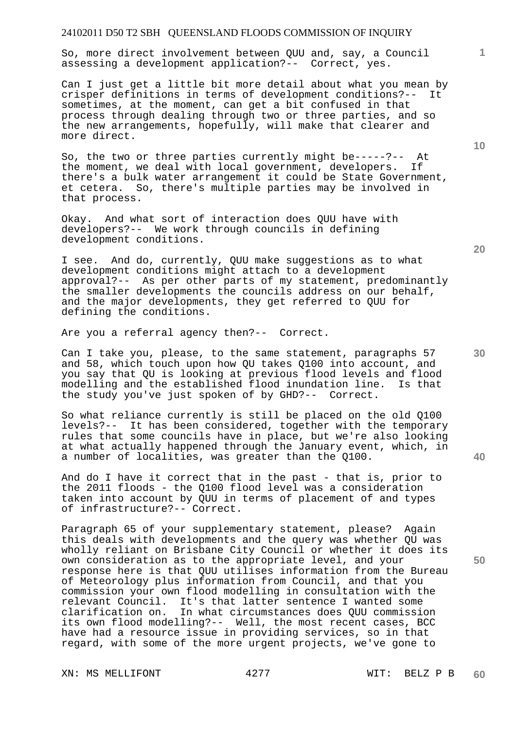So, more direct involvement between QUU and, say, a Council assessing a development application?-- Correct, yes.

Can I just get a little bit more detail about what you mean by crisper definitions in terms of development conditions?-- It sometimes, at the moment, can get a bit confused in that process through dealing through two or three parties, and so the new arrangements, hopefully, will make that clearer and more direct.

So, the two or three parties currently might be-----?-- At the moment, we deal with local government, developers. If there's a bulk water arrangement it could be State Government, et cetera. So, there's multiple parties may be involved in that process.

Okay. And what sort of interaction does QUU have with developers?-- We work through councils in defining development conditions.

I see. And do, currently, QUU make suggestions as to what development conditions might attach to a development approval?-- As per other parts of my statement, predominantly the smaller developments the councils address on our behalf, and the major developments, they get referred to QUU for defining the conditions.

Are you a referral agency then?-- Correct.

Can I take you, please, to the same statement, paragraphs 57 and 58, which touch upon how QU takes Q100 into account, and you say that QU is looking at previous flood levels and flood<br>modelling and the established flood inundation line. Is that modelling and the established flood inundation line. the study you've just spoken of by GHD?-- Correct.

So what reliance currently is still be placed on the old Q100 levels?-- It has been considered, together with the temporary rules that some councils have in place, but we're also looking at what actually happened through the January event, which, in a number of localities, was greater than the Q100.

And do I have it correct that in the past - that is, prior to the 2011 floods - the Q100 flood level was a consideration taken into account by QUU in terms of placement of and types of infrastructure?-- Correct.

Paragraph 65 of your supplementary statement, please? Again this deals with developments and the query was whether QU was wholly reliant on Brisbane City Council or whether it does its own consideration as to the appropriate level, and your response here is that QUU utilises information from the Bureau of Meteorology plus information from Council, and that you commission your own flood modelling in consultation with the relevant Council. It's that latter sentence I wanted some clarification on. In what circumstances does QUU commission its own flood modelling?-- Well, the most recent cases, BCC have had a resource issue in providing services, so in that regard, with some of the more urgent projects, we've gone to

XN: MS MELLIFONT 4277 WIT: BELZ P B

**10** 

**1**

**30** 

**20** 

**40**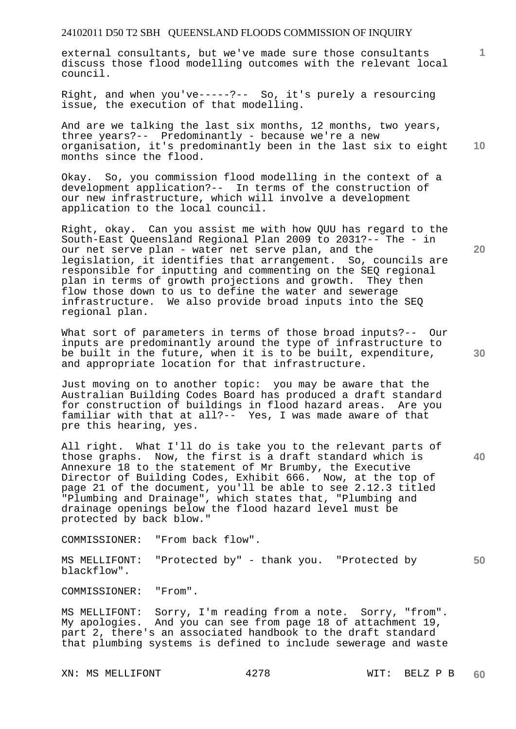external consultants, but we've made sure those consultants discuss those flood modelling outcomes with the relevant local council.

Right, and when you've-----?-- So, it's purely a resourcing issue, the execution of that modelling.

**10**  And are we talking the last six months, 12 months, two years, three years?-- Predominantly - because we're a new organisation, it's predominantly been in the last six to eight months since the flood.

Okay. So, you commission flood modelling in the context of a development application?-- In terms of the construction of our new infrastructure, which will involve a development application to the local council.

Right, okay. Can you assist me with how QUU has regard to the South-East Queensland Regional Plan 2009 to 2031?-- The - in our net serve plan - water net serve plan, and the legislation, it identifies that arrangement. So, councils are responsible for inputting and commenting on the SEQ regional plan in terms of growth projections and growth. They then flow those down to us to define the water and sewerage infrastructure. We also provide broad inputs into the SEQ regional plan.

What sort of parameters in terms of those broad inputs?-- Our inputs are predominantly around the type of infrastructure to be built in the future, when it is to be built, expenditure, and appropriate location for that infrastructure.

Just moving on to another topic: you may be aware that the Australian Building Codes Board has produced a draft standard for construction of buildings in flood hazard areas. Are you familiar with that at all?-- Yes, I was made aware of that pre this hearing, yes.

All right. What I'll do is take you to the relevant parts of those graphs. Now, the first is a draft standard which is Annexure 18 to the statement of Mr Brumby, the Executive Director of Building Codes, Exhibit 666. Now, at the top of page 21 of the document, you'll be able to see 2.12.3 titled "Plumbing and Drainage", which states that, "Plumbing and drainage openings below the flood hazard level must be protected by back blow."

COMMISSIONER: "From back flow".

**50**  MS MELLIFONT: "Protected by" - thank you. "Protected by blackflow".

COMMISSIONER: "From".

MS MELLIFONT: Sorry, I'm reading from a note. Sorry, "from". My apologies. And you can see from page 18 of attachment 19, part 2, there's an associated handbook to the draft standard that plumbing systems is defined to include sewerage and waste

XN: MS MELLIFONT 4278 WIT: BELZ P B

**20** 

**1**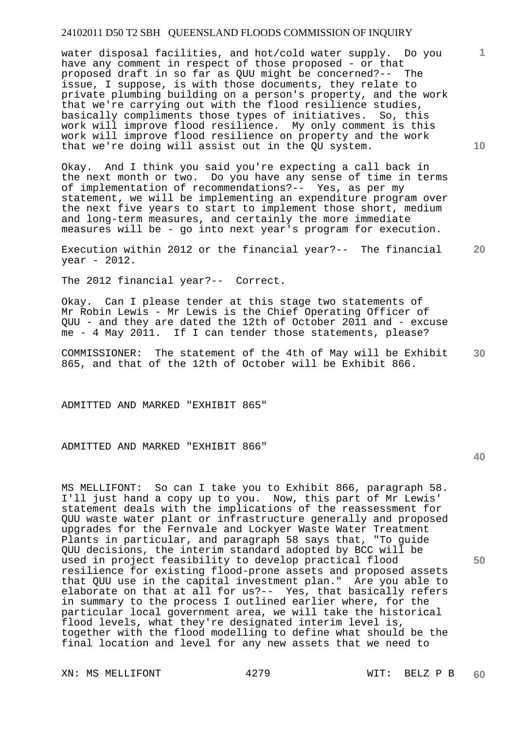water disposal facilities, and hot/cold water supply. Do you have any comment in respect of those proposed - or that proposed draft in so far as QUU might be concerned?-- The issue, I suppose, is with those documents, they relate to private plumbing building on a person's property, and the work that we're carrying out with the flood resilience studies, basically compliments those types of initiatives. So, this work will improve flood resilience. My only comment is this work will improve flood resilience on property and the work that we're doing will assist out in the QU system.

Okay. And I think you said you're expecting a call back in the next month or two. Do you have any sense of time in terms of implementation of recommendations?-- Yes, as per my statement, we will be implementing an expenditure program over the next five years to start to implement those short, medium and long-term measures, and certainly the more immediate measures will be - go into next year's program for execution.

**20**  Execution within 2012 or the financial year?-- The financial year - 2012.

The 2012 financial year?-- Correct.

Okay. Can I please tender at this stage two statements of Mr Robin Lewis - Mr Lewis is the Chief Operating Officer of QUU - and they are dated the 12th of October 2011 and - excuse me - 4 May 2011. If I can tender those statements, please?

**30**  COMMISSIONER: The statement of the 4th of May will be Exhibit 865, and that of the 12th of October will be Exhibit 866.

ADMITTED AND MARKED "EXHIBIT 865"

ADMITTED AND MARKED "EXHIBIT 866"

MS MELLIFONT: So can I take you to Exhibit 866, paragraph 58. I'll just hand a copy up to you. Now, this part of Mr Lewis' statement deals with the implications of the reassessment for QUU waste water plant or infrastructure generally and proposed upgrades for the Fernvale and Lockyer Waste Water Treatment Plants in particular, and paragraph 58 says that, "To guide QUU decisions, the interim standard adopted by BCC will be used in project feasibility to develop practical flood resilience for existing flood-prone assets and proposed assets that QUU use in the capital investment plan." Are you able to elaborate on that at all for us?-- Yes, that basically refers in summary to the process I outlined earlier where, for the particular local government area, we will take the historical flood levels, what they're designated interim level is, together with the flood modelling to define what should be the final location and level for any new assets that we need to

XN: MS MELLIFONT 4279 WIT: BELZ P B

**10** 

**1**

**40**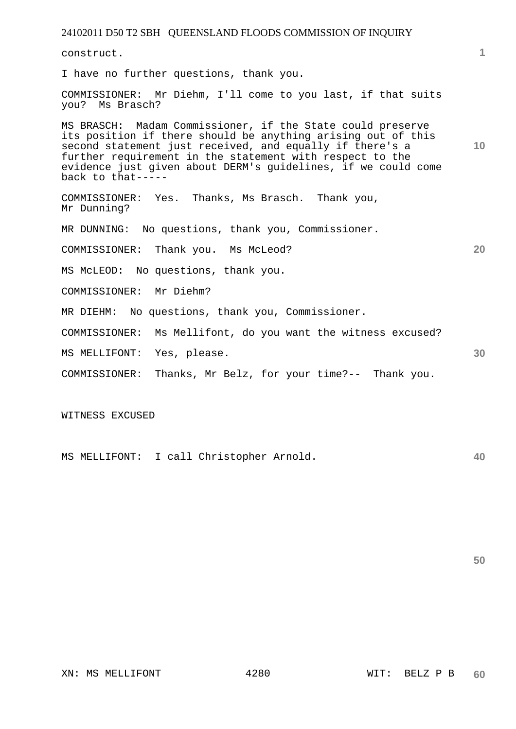| 1  |
|----|
|    |
|    |
| 10 |
|    |
|    |
| 20 |
|    |
|    |
|    |
|    |
| 30 |
|    |
|    |

WITNESS EXCUSED

**40**  MS MELLIFONT: I call Christopher Arnold.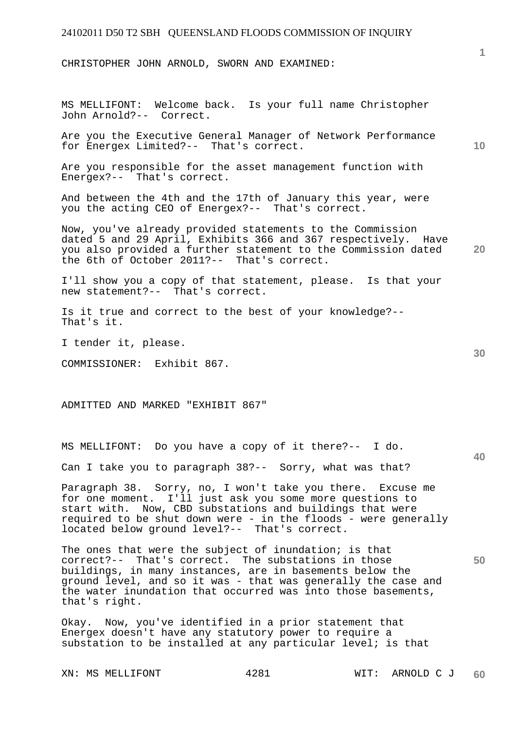CHRISTOPHER JOHN ARNOLD, SWORN AND EXAMINED:

MS MELLIFONT: Welcome back. Is your full name Christopher John Arnold?-- Correct.

Are you the Executive General Manager of Network Performance for Energex Limited?-- That's correct.

Are you responsible for the asset management function with Energex?-- That's correct.

And between the 4th and the 17th of January this year, were you the acting CEO of Energex?-- That's correct.

**20**  Now, you've already provided statements to the Commission dated 5 and 29 April, Exhibits 366 and 367 respectively. Have you also provided a further statement to the Commission dated the 6th of October 2011?-- That's correct.

I'll show you a copy of that statement, please. Is that your new statement?-- That's correct.

Is it true and correct to the best of your knowledge?-- That's it.

I tender it, please.

COMMISSIONER: Exhibit 867.

ADMITTED AND MARKED "EXHIBIT 867"

MS MELLIFONT: Do you have a copy of it there?-- I do.

Can I take you to paragraph 38?-- Sorry, what was that?

Paragraph 38. Sorry, no, I won't take you there. Excuse me for one moment. I'll just ask you some more questions to start with. Now, CBD substations and buildings that were required to be shut down were - in the floods - were generally located below ground level?-- That's correct.

**50**  The ones that were the subject of inundation; is that correct?-- That's correct. The substations in those buildings, in many instances, are in basements below the ground level, and so it was - that was generally the case and the water inundation that occurred was into those basements, that's right.

Okay. Now, you've identified in a prior statement that Energex doesn't have any statutory power to require a substation to be installed at any particular level; is that

**10** 

**30**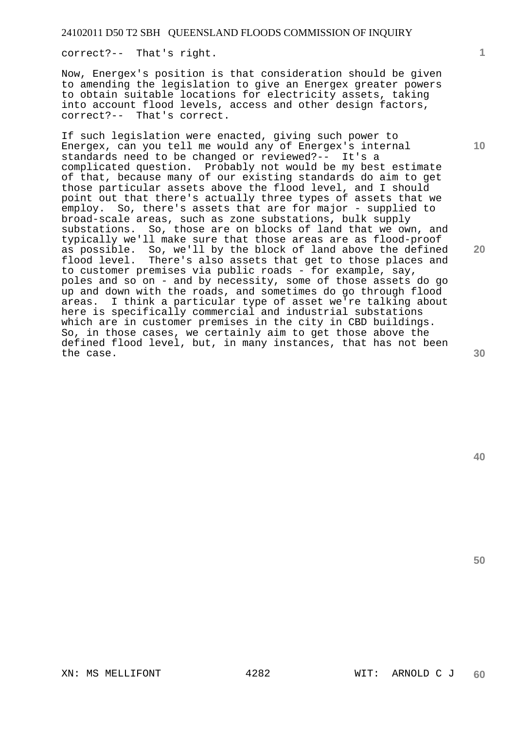correct?-- That's right.

Now, Energex's position is that consideration should be given to amending the legislation to give an Energex greater powers to obtain suitable locations for electricity assets, taking into account flood levels, access and other design factors, correct?-- That's correct.

If such legislation were enacted, giving such power to Energex, can you tell me would any of Energex's internal standards need to be changed or reviewed?-- It's a complicated question. Probably not would be my best estimate of that, because many of our existing standards do aim to get those particular assets above the flood level, and I should point out that there's actually three types of assets that we employ. So, there's assets that are for major - supplied to broad-scale areas, such as zone substations, bulk supply substations. So, those are on blocks of land that we own, and typically we'll make sure that those areas are as flood-proof as possible. So, we'll by the block of land above the defined flood level. There's also assets that get to those places and to customer premises via public roads - for example, say, poles and so on - and by necessity, some of those assets do go up and down with the roads, and sometimes do go through flood areas. I think a particular type of asset we're talking about here is specifically commercial and industrial substations which are in customer premises in the city in CBD buildings. So, in those cases, we certainly aim to get those above the defined flood level, but, in many instances, that has not been the case.

**10** 

**1**

**20**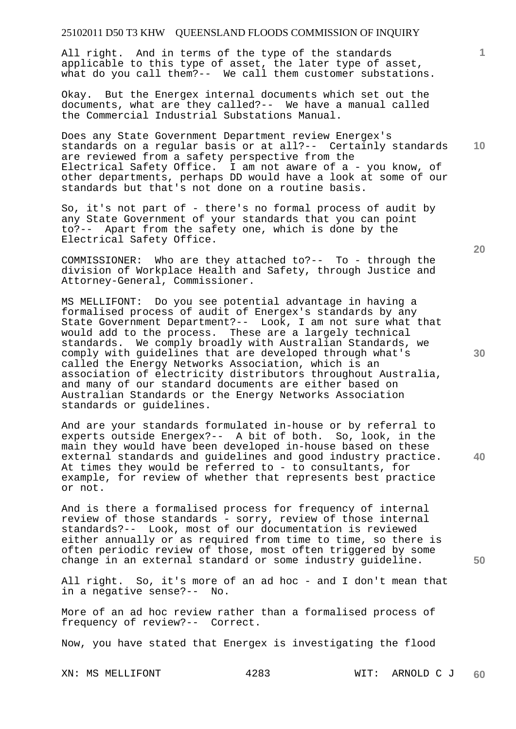All right. And in terms of the type of the standards applicable to this type of asset, the later type of asset, what do you call them?-- We call them customer substations.

Okay. But the Energex internal documents which set out the documents, what are they called?-- We have a manual called the Commercial Industrial Substations Manual.

**10**  Does any State Government Department review Energex's standards on a regular basis or at all?-- Certainly standards are reviewed from a safety perspective from the Electrical Safety Office. I am not aware of a - you know, of other departments, perhaps DD would have a look at some of our standards but that's not done on a routine basis.

So, it's not part of - there's no formal process of audit by any State Government of your standards that you can point to?-- Apart from the safety one, which is done by the Electrical Safety Office.

COMMISSIONER: Who are they attached to?-- To - through the division of Workplace Health and Safety, through Justice and Attorney-General, Commissioner.

MS MELLIFONT: Do you see potential advantage in having a formalised process of audit of Energex's standards by any State Government Department?-- Look, I am not sure what that would add to the process. These are a largely technical standards. We comply broadly with Australian Standards, we comply with guidelines that are developed through what's called the Energy Networks Association, which is an association of electricity distributors throughout Australia, and many of our standard documents are either based on Australian Standards or the Energy Networks Association standards or guidelines.

And are your standards formulated in-house or by referral to experts outside Energex?-- A bit of both. So, look, in the main they would have been developed in-house based on these external standards and guidelines and good industry practice. At times they would be referred to - to consultants, for example, for review of whether that represents best practice or not.

And is there a formalised process for frequency of internal review of those standards - sorry, review of those internal standards?-- Look, most of our documentation is reviewed either annually or as required from time to time, so there is often periodic review of those, most often triggered by some change in an external standard or some industry guideline.

All right. So, it's more of an ad hoc - and I don't mean that in a negative sense?-- No.

More of an ad hoc review rather than a formalised process of frequency of review?-- Correct.

Now, you have stated that Energex is investigating the flood

**20** 

**1**

**30** 

**50**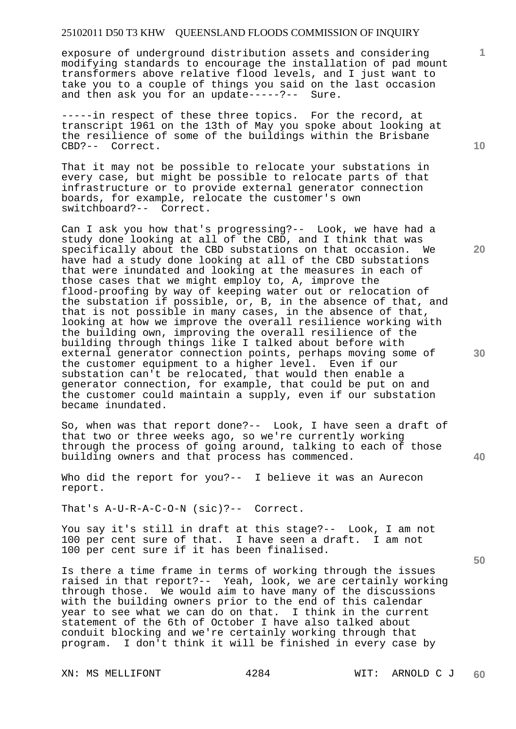exposure of underground distribution assets and considering modifying standards to encourage the installation of pad mount transformers above relative flood levels, and I just want to take you to a couple of things you said on the last occasion and then ask you for an update-----?-- Sure.

-----in respect of these three topics. For the record, at transcript 1961 on the 13th of May you spoke about looking at the resilience of some of the buildings within the Brisbane CBD?-- Correct.

That it may not be possible to relocate your substations in every case, but might be possible to relocate parts of that infrastructure or to provide external generator connection boards, for example, relocate the customer's own switchboard?-- Correct.

Can I ask you how that's progressing?-- Look, we have had a study done looking at all of the CBD, and I think that was specifically about the CBD substations on that occasion. We have had a study done looking at all of the CBD substations that were inundated and looking at the measures in each of those cases that we might employ to, A, improve the flood-proofing by way of keeping water out or relocation of the substation if possible, or, B, in the absence of that, and that is not possible in many cases, in the absence of that, looking at how we improve the overall resilience working with the building own, improving the overall resilience of the building through things like I talked about before with external generator connection points, perhaps moving some of the customer equipment to a higher level. Even if our substation can't be relocated, that would then enable a generator connection, for example, that could be put on and the customer could maintain a supply, even if our substation became inundated.

So, when was that report done?-- Look, I have seen a draft of that two or three weeks ago, so we're currently working through the process of going around, talking to each of those building owners and that process has commenced.

Who did the report for you?-- I believe it was an Aurecon report.

That's A-U-R-A-C-O-N (sic)?-- Correct.

You say it's still in draft at this stage?-- Look, I am not 100 per cent sure of that. I have seen a draft. I am not 100 per cent sure if it has been finalised.

Is there a time frame in terms of working through the issues raised in that report?-- Yeah, look, we are certainly working through those. We would aim to have many of the discussions with the building owners prior to the end of this calendar year to see what we can do on that. I think in the current statement of the 6th of October I have also talked about conduit blocking and we're certainly working through that program. I don't think it will be finished in every case by

**10** 

**1**

**20** 

**30** 

**40**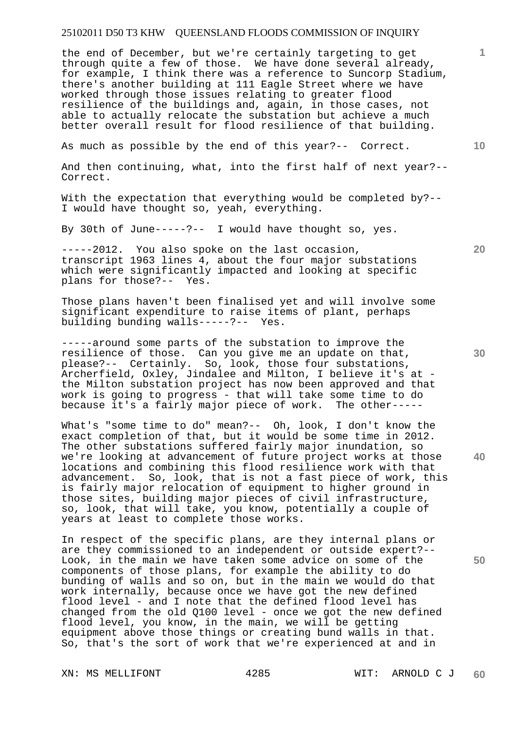the end of December, but we're certainly targeting to get through quite a few of those. We have done several already, for example, I think there was a reference to Suncorp Stadium, there's another building at 111 Eagle Street where we have worked through those issues relating to greater flood resilience of the buildings and, again, in those cases, not able to actually relocate the substation but achieve a much better overall result for flood resilience of that building.

As much as possible by the end of this year?-- Correct.

And then continuing, what, into the first half of next year?-- Correct.

With the expectation that everything would be completed by?-- I would have thought so, yeah, everything.

By 30th of June-----?-- I would have thought so, yes.

-----2012. You also spoke on the last occasion, transcript 1963 lines 4, about the four major substations which were significantly impacted and looking at specific plans for those?-- Yes.

Those plans haven't been finalised yet and will involve some significant expenditure to raise items of plant, perhaps building bunding walls-----?-- Yes.

-----around some parts of the substation to improve the resilience of those. Can you give me an update on that, please?-- Certainly. So, look, those four substations, Archerfield, Oxley, Jindalee and Milton, I believe it's at the Milton substation project has now been approved and that work is going to progress - that will take some time to do because it's a fairly major piece of work. The other-----

What's "some time to do" mean?-- Oh, look, I don't know the exact completion of that, but it would be some time in 2012. The other substations suffered fairly major inundation, so we're looking at advancement of future project works at those locations and combining this flood resilience work with that advancement. So, look, that is not a fast piece of work, this is fairly major relocation of equipment to higher ground in those sites, building major pieces of civil infrastructure, so, look, that will take, you know, potentially a couple of years at least to complete those works.

In respect of the specific plans, are they internal plans or are they commissioned to an independent or outside expert?-- Look, in the main we have taken some advice on some of the components of those plans, for example the ability to do bunding of walls and so on, but in the main we would do that work internally, because once we have got the new defined flood level - and I note that the defined flood level has changed from the old Q100 level - once we got the new defined flood level, you know, in the main, we will be getting equipment above those things or creating bund walls in that. So, that's the sort of work that we're experienced at and in

**10** 

**1**

**20** 

**30** 

**40**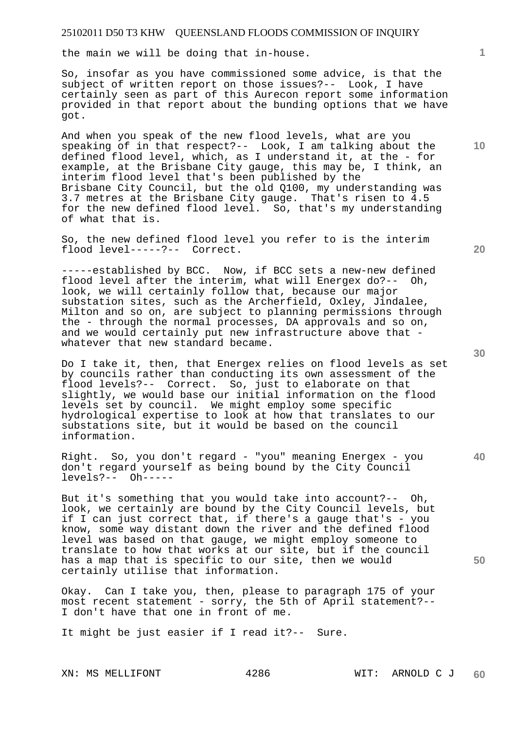the main we will be doing that in-house.

So, insofar as you have commissioned some advice, is that the subject of written report on those issues?-- Look, I have certainly seen as part of this Aurecon report some information provided in that report about the bunding options that we have got.

And when you speak of the new flood levels, what are you speaking of in that respect?-- Look, I am talking about the defined flood level, which, as I understand it, at the - for example, at the Brisbane City gauge, this may be, I think, an interim flood level that's been published by the Brisbane City Council, but the old Q100, my understanding was 3.7 metres at the Brisbane City gauge. That's risen to 4.5 for the new defined flood level. So, that's my understanding of what that is.

So, the new defined flood level you refer to is the interim flood level-----?-- Correct.

-----established by BCC. Now, if BCC sets a new-new defined flood level after the interim, what will Energex do?-- Oh, look, we will certainly follow that, because our major substation sites, such as the Archerfield, Oxley, Jindalee, Milton and so on, are subject to planning permissions through the - through the normal processes, DA approvals and so on, and we would certainly put new infrastructure above that whatever that new standard became.

Do I take it, then, that Energex relies on flood levels as set by councils rather than conducting its own assessment of the flood levels?-- Correct. So, just to elaborate on that slightly, we would base our initial information on the flood levels set by council. We might employ some specific hydrological expertise to look at how that translates to our substations site, but it would be based on the council information.

Right. So, you don't regard - "you" meaning Energex - you don't regard yourself as being bound by the City Council levels?-- Oh-----

But it's something that you would take into account?-- Oh, look, we certainly are bound by the City Council levels, but if I can just correct that, if there's a gauge that's - you know, some way distant down the river and the defined flood level was based on that gauge, we might employ someone to translate to how that works at our site, but if the council has a map that is specific to our site, then we would certainly utilise that information.

Okay. Can I take you, then, please to paragraph 175 of your most recent statement - sorry, the 5th of April statement?-- I don't have that one in front of me.

It might be just easier if I read it?-- Sure.

**20** 

**10** 

**1**

**30** 

**40**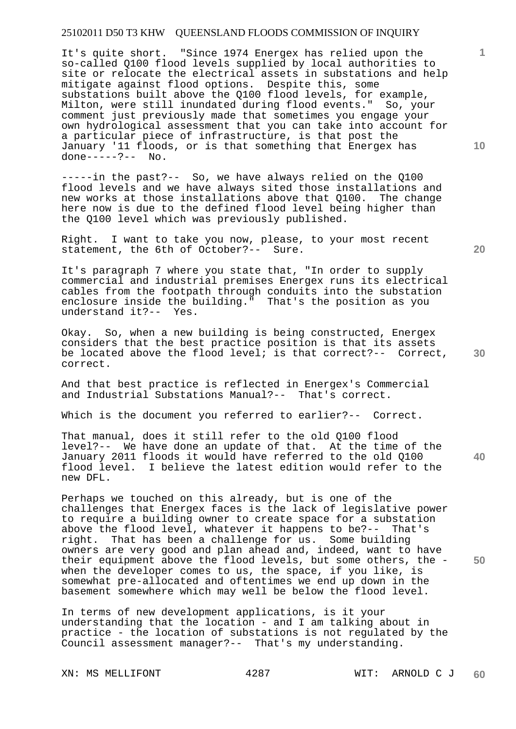It's quite short. "Since 1974 Energex has relied upon the so-called Q100 flood levels supplied by local authorities to site or relocate the electrical assets in substations and help mitigate against flood options. Despite this, some substations built above the Q100 flood levels, for example, Milton, were still inundated during flood events." So, your comment just previously made that sometimes you engage your own hydrological assessment that you can take into account for a particular piece of infrastructure, is that post the January '11 floods, or is that something that Energex has done-----?-- No.

-----in the past?-- So, we have always relied on the Q100 flood levels and we have always sited those installations and new works at those installations above that Q100. The change here now is due to the defined flood level being higher than the Q100 level which was previously published.

Right. I want to take you now, please, to your most recent statement, the 6th of October?-- Sure.

It's paragraph 7 where you state that, "In order to supply commercial and industrial premises Energex runs its electrical cables from the footpath through conduits into the substation enclosure inside the building." That's the position as you understand it?-- Yes.

Okay. So, when a new building is being constructed, Energex considers that the best practice position is that its assets be located above the flood level; is that correct?-- Correct, correct.

And that best practice is reflected in Energex's Commercial and Industrial Substations Manual?-- That's correct.

Which is the document you referred to earlier?-- Correct.

That manual, does it still refer to the old Q100 flood level?-- We have done an update of that. At the time of the January 2011 floods it would have referred to the old Q100 flood level. I believe the latest edition would refer to the new DFL.

Perhaps we touched on this already, but is one of the challenges that Energex faces is the lack of legislative power to require a building owner to create space for a substation above the flood level, whatever it happens to be?-- That's right. That has been a challenge for us. Some building That has been a challenge for us. Some building owners are very good and plan ahead and, indeed, want to have their equipment above the flood levels, but some others, the when the developer comes to us, the space, if you like, is somewhat pre-allocated and oftentimes we end up down in the basement somewhere which may well be below the flood level.

In terms of new development applications, is it your understanding that the location - and I am talking about in practice - the location of substations is not regulated by the Council assessment manager?-- That's my understanding.

XN: MS MELLIFONT 4287 WIT: ARNOLD C J

**20** 

**10** 

**1**

**40**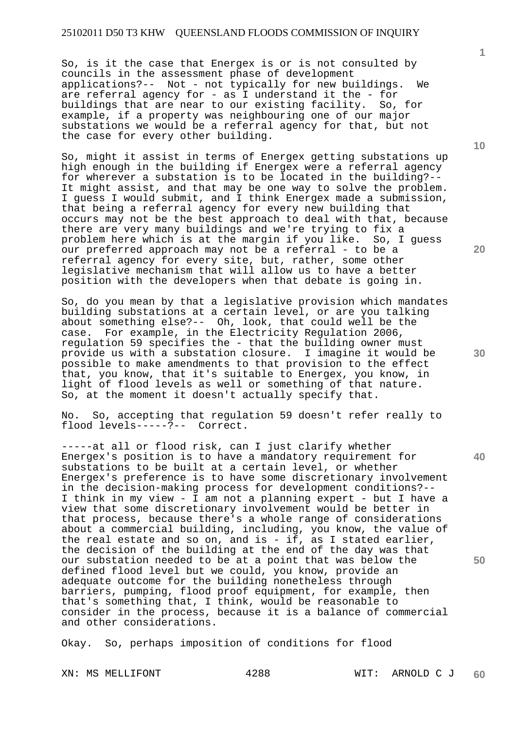So, is it the case that Energex is or is not consulted by councils in the assessment phase of development applications?-- Not - not typically for new buildings. We are referral agency for - as I understand it the - for buildings that are near to our existing facility. So, for example, if a property was neighbouring one of our major substations we would be a referral agency for that, but not the case for every other building.

So, might it assist in terms of Energex getting substations up high enough in the building if Energex were a referral agency for wherever a substation is to be located in the building?-- It might assist, and that may be one way to solve the problem. I guess I would submit, and I think Energex made a submission, that being a referral agency for every new building that occurs may not be the best approach to deal with that, because there are very many buildings and we're trying to fix a problem here which is at the margin if you like. So, I guess our preferred approach may not be a referral - to be a referral agency for every site, but, rather, some other legislative mechanism that will allow us to have a better position with the developers when that debate is going in.

So, do you mean by that a legislative provision which mandates building substations at a certain level, or are you talking about something else?-- Oh, look, that could well be the case. For example, in the Electricity Regulation 2006, regulation 59 specifies the - that the building owner must provide us with a substation closure. I imagine it would be possible to make amendments to that provision to the effect that, you know, that it's suitable to Energex, you know, in light of flood levels as well or something of that nature. So, at the moment it doesn't actually specify that.

No. So, accepting that regulation 59 doesn't refer really to flood levels-----?-- Correct.

-----at all or flood risk, can I just clarify whether Energex's position is to have a mandatory requirement for substations to be built at a certain level, or whether Energex's preference is to have some discretionary involvement in the decision-making process for development conditions?-- I think in my view - I am not a planning expert - but I have a view that some discretionary involvement would be better in that process, because there's a whole range of considerations about a commercial building, including, you know, the value of the real estate and so on, and is - if, as I stated earlier, the decision of the building at the end of the day was that our substation needed to be at a point that was below the defined flood level but we could, you know, provide an adequate outcome for the building nonetheless through barriers, pumping, flood proof equipment, for example, then that's something that, I think, would be reasonable to consider in the process, because it is a balance of commercial and other considerations.

Okay. So, perhaps imposition of conditions for flood

**1**

**10** 

**20** 

**30** 

**40**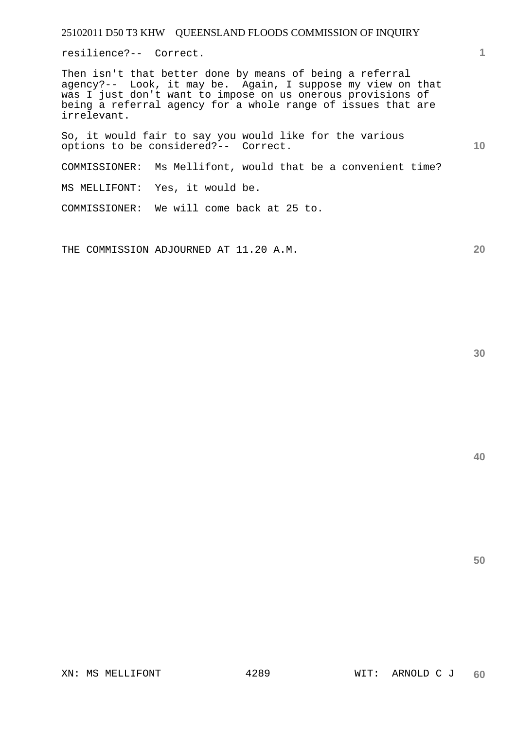resilience?-- Correct.

Then isn't that better done by means of being a referral agency?-- Look, it may be. Again, I suppose my view on that was I just don't want to impose on us onerous provisions of being a referral agency for a whole range of issues that are irrelevant.

So, it would fair to say you would like for the various options to be considered?-- Correct.

COMMISSIONER: Ms Mellifont, would that be a convenient time?

MS MELLIFONT: Yes, it would be.

COMMISSIONER: We will come back at 25 to.

THE COMMISSION ADJOURNED AT 11.20 A.M.

**30** 

**50** 

**1**

**10**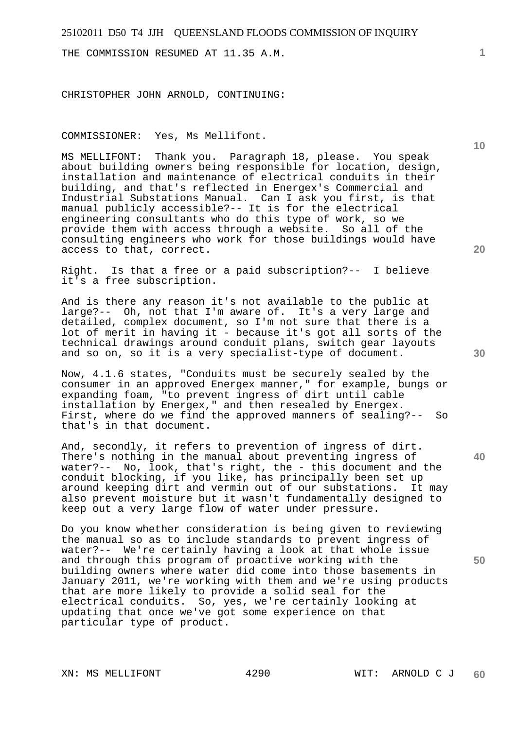THE COMMISSION RESUMED AT 11.35 A.M.

CHRISTOPHER JOHN ARNOLD, CONTINUING:

COMMISSIONER: Yes, Ms Mellifont.

MS MELLIFONT: Thank you. Paragraph 18, please. You speak about building owners being responsible for location, design, installation and maintenance of electrical conduits in their building, and that's reflected in Energex's Commercial and Industrial Substations Manual. Can I ask you first, is that manual publicly accessible?-- It is for the electrical engineering consultants who do this type of work, so we provide them with access through a website. So all of the consulting engineers who work for those buildings would have access to that, correct.

Right. Is that a free or a paid subscription?-- I believe it's a free subscription.

And is there any reason it's not available to the public at large?-- Oh, not that I'm aware of. It's a very large and detailed, complex document, so I'm not sure that there is a lot of merit in having it - because it's got all sorts of the technical drawings around conduit plans, switch gear layouts and so on, so it is a very specialist-type of document.

Now, 4.1.6 states, "Conduits must be securely sealed by the consumer in an approved Energex manner," for example, bungs or expanding foam, "to prevent ingress of dirt until cable installation by Energex," and then resealed by Energex. First, where do we find the approved manners of sealing?-- So that's in that document.

And, secondly, it refers to prevention of ingress of dirt. There's nothing in the manual about preventing ingress of water?-- No, look, that's right, the - this document and the conduit blocking, if you like, has principally been set up around keeping dirt and vermin out of our substations. It may also prevent moisture but it wasn't fundamentally designed to keep out a very large flow of water under pressure.

Do you know whether consideration is being given to reviewing the manual so as to include standards to prevent ingress of water?-- We're certainly having a look at that whole issue and through this program of proactive working with the building owners where water did come into those basements in January 2011, we're working with them and we're using products that are more likely to provide a solid seal for the electrical conduits. So, yes, we're certainly looking at updating that once we've got some experience on that particular type of product.

**1**

**40**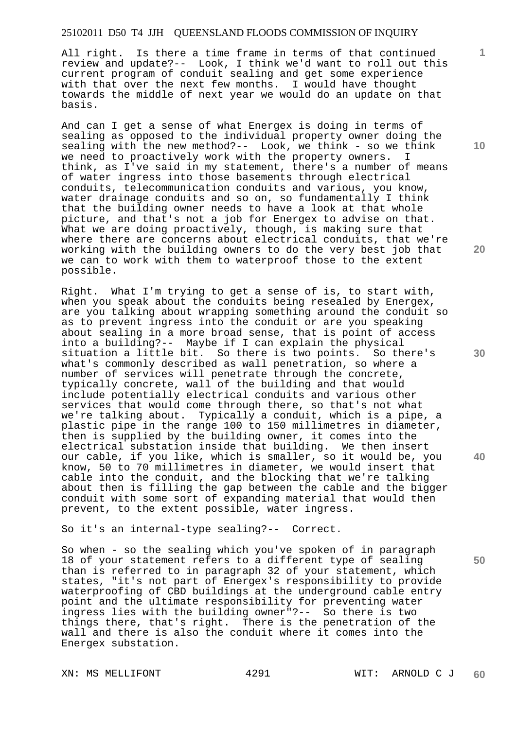All right. Is there a time frame in terms of that continued review and update?-- Look, I think we'd want to roll out this current program of conduit sealing and get some experience with that over the next few months. I would have thought towards the middle of next year we would do an update on that basis.

And can I get a sense of what Energex is doing in terms of sealing as opposed to the individual property owner doing the sealing with the new method?-- Look, we think - so we think we need to proactively work with the property owners. I think, as I've said in my statement, there's a number of means of water ingress into those basements through electrical conduits, telecommunication conduits and various, you know, water drainage conduits and so on, so fundamentally I think that the building owner needs to have a look at that whole picture, and that's not a job for Energex to advise on that. What we are doing proactively, though, is making sure that where there are concerns about electrical conduits, that we're working with the building owners to do the very best job that we can to work with them to waterproof those to the extent possible.

Right. What I'm trying to get a sense of is, to start with, when you speak about the conduits being resealed by Energex, are you talking about wrapping something around the conduit so as to prevent ingress into the conduit or are you speaking about sealing in a more broad sense, that is point of access into a building?-- Maybe if I can explain the physical situation a little bit. So there is two points. So there's what's commonly described as wall penetration, so where a number of services will penetrate through the concrete, typically concrete, wall of the building and that would include potentially electrical conduits and various other services that would come through there, so that's not what we're talking about. Typically a conduit, which is a pipe, a plastic pipe in the range 100 to 150 millimetres in diameter, then is supplied by the building owner, it comes into the electrical substation inside that building. We then insert our cable, if you like, which is smaller, so it would be, you know, 50 to 70 millimetres in diameter, we would insert that cable into the conduit, and the blocking that we're talking about then is filling the gap between the cable and the bigger conduit with some sort of expanding material that would then prevent, to the extent possible, water ingress.

So it's an internal-type sealing?-- Correct.

So when - so the sealing which you've spoken of in paragraph 18 of your statement refers to a different type of sealing than is referred to in paragraph 32 of your statement, which states, "it's not part of Energex's responsibility to provide waterproofing of CBD buildings at the underground cable entry point and the ultimate responsibility for preventing water ingress lies with the building owner"?-- So there is two things there, that's right. There is the penetration of the wall and there is also the conduit where it comes into the Energex substation.

**10** 

**1**

**20** 

**30** 

**40**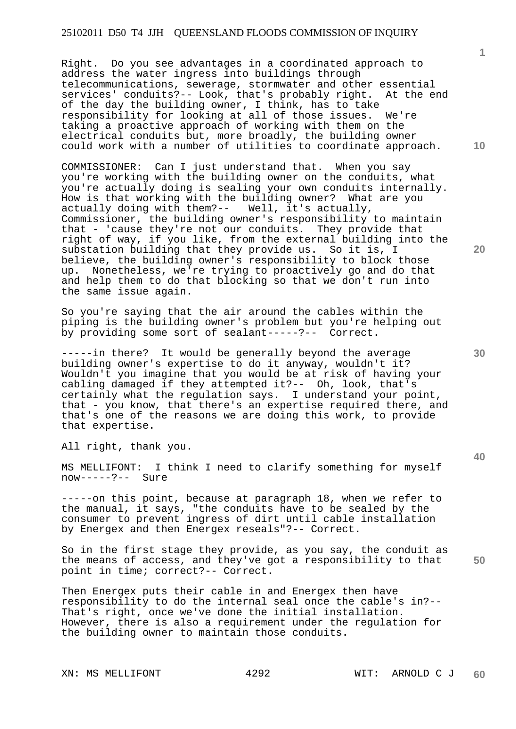Right. Do you see advantages in a coordinated approach to address the water ingress into buildings through telecommunications, sewerage, stormwater and other essential services' conduits?-- Look, that's probably right. At the end of the day the building owner, I think, has to take responsibility for looking at all of those issues. We're taking a proactive approach of working with them on the electrical conduits but, more broadly, the building owner could work with a number of utilities to coordinate approach.

COMMISSIONER: Can I just understand that. When you say you're working with the building owner on the conduits, what you're actually doing is sealing your own conduits internally. How is that working with the building owner? What are you actually doing with them?-- Well, it's actually, actually doing with them? $--$ Commissioner, the building owner's responsibility to maintain that - 'cause they're not our conduits. They provide that right of way, if you like, from the external building into the substation building that they provide us. So it is, I believe, the building owner's responsibility to block those up. Nonetheless, we're trying to proactively go and do that and help them to do that blocking so that we don't run into the same issue again.

So you're saying that the air around the cables within the piping is the building owner's problem but you're helping out by providing some sort of sealant-----?-- Correct.

-----in there? It would be generally beyond the average building owner's expertise to do it anyway, wouldn't it? Wouldn't you imagine that you would be at risk of having your cabling damaged if they attempted it?-- Oh, look, that's certainly what the regulation says. I understand your point, that - you know, that there's an expertise required there, and that's one of the reasons we are doing this work, to provide that expertise.

All right, thank you.

MS MELLIFONT: I think I need to clarify something for myself now-----?-- Sure

-----on this point, because at paragraph 18, when we refer to the manual, it says, "the conduits have to be sealed by the consumer to prevent ingress of dirt until cable installation by Energex and then Energex reseals"?-- Correct.

**50**  So in the first stage they provide, as you say, the conduit as the means of access, and they've got a responsibility to that point in time; correct?-- Correct.

Then Energex puts their cable in and Energex then have responsibility to do the internal seal once the cable's in?-- That's right, once we've done the initial installation. However, there is also a requirement under the regulation for the building owner to maintain those conduits.

XN: MS MELLIFONT 4292 WIT: ARNOLD C J

**1**

**10** 

**20** 

**40**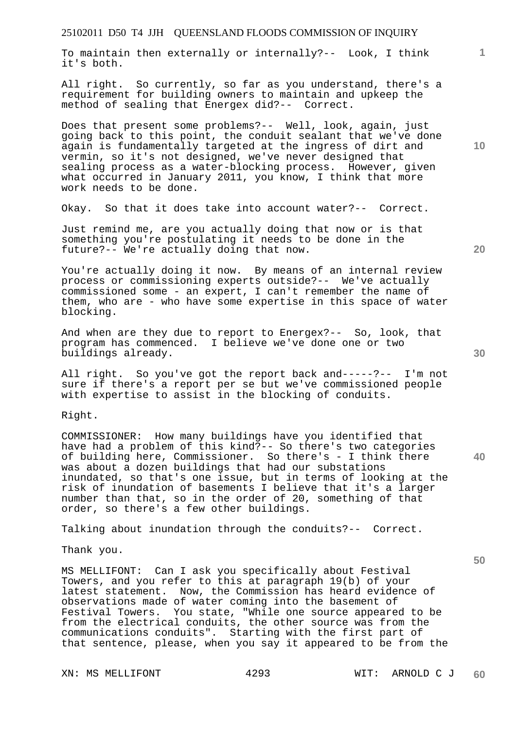To maintain then externally or internally?-- Look, I think it's both.

All right. So currently, so far as you understand, there's a requirement for building owners to maintain and upkeep the method of sealing that Energex did?-- Correct.

Does that present some problems?-- Well, look, again, just going back to this point, the conduit sealant that we've done again is fundamentally targeted at the ingress of dirt and vermin, so it's not designed, we've never designed that sealing process as a water-blocking process. However, given what occurred in January 2011, you know, I think that more work needs to be done.

Okay. So that it does take into account water?-- Correct.

Just remind me, are you actually doing that now or is that something you're postulating it needs to be done in the future?-- We're actually doing that now.

You're actually doing it now. By means of an internal review process or commissioning experts outside?-- We've actually commissioned some - an expert, I can't remember the name of them, who are - who have some expertise in this space of water blocking.

And when are they due to report to Energex?-- So, look, that program has commenced. I believe we've done one or two buildings already.

All right. So you've got the report back and-----?-- I'm not sure if there's a report per se but we've commissioned people with expertise to assist in the blocking of conduits.

Right.

COMMISSIONER: How many buildings have you identified that have had a problem of this kind?-- So there's two categories of building here, Commissioner. So there's - I think there was about a dozen buildings that had our substations inundated, so that's one issue, but in terms of looking at the risk of inundation of basements I believe that it's a larger number than that, so in the order of 20, something of that order, so there's a few other buildings.

Talking about inundation through the conduits?-- Correct.

Thank you.

MS MELLIFONT: Can I ask you specifically about Festival Towers, and you refer to this at paragraph 19(b) of your latest statement. Now, the Commission has heard evidence of observations made of water coming into the basement of Festival Towers. You state, "While one source appeared to be from the electrical conduits, the other source was from the communications conduits". Starting with the first part of that sentence, please, when you say it appeared to be from the

**20** 

**40** 

**50** 

**10**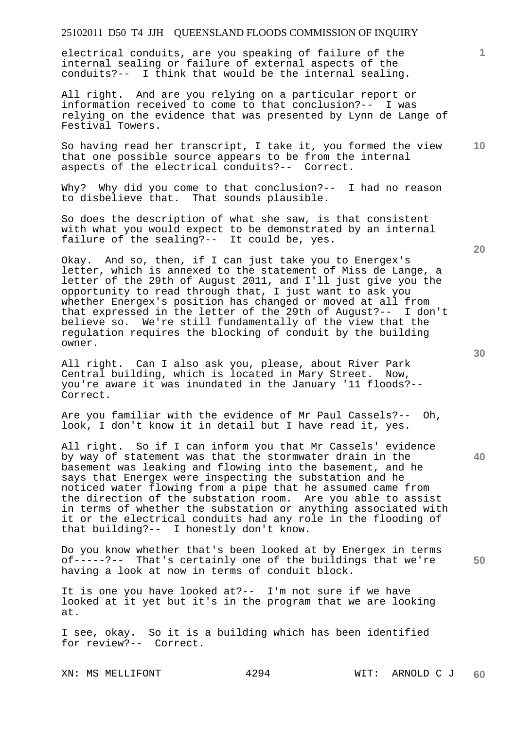electrical conduits, are you speaking of failure of the internal sealing or failure of external aspects of the conduits?-- I think that would be the internal sealing.

All right. And are you relying on a particular report or information received to come to that conclusion?-- I was relying on the evidence that was presented by Lynn de Lange of Festival Towers.

**10**  So having read her transcript, I take it, you formed the view that one possible source appears to be from the internal aspects of the electrical conduits?-- Correct.

Why? Why did you come to that conclusion?-- I had no reason to disbelieve that. That sounds plausible.

So does the description of what she saw, is that consistent with what you would expect to be demonstrated by an internal failure of the sealing?-- It could be, yes.

Okay. And so, then, if I can just take you to Energex's letter, which is annexed to the statement of Miss de Lange, a letter of the 29th of August 2011, and I'll just give you the opportunity to read through that, I just want to ask you whether Energex's position has changed or moved at all from that expressed in the letter of the 29th of August?-- I don't believe so. We're still fundamentally of the view that the regulation requires the blocking of conduit by the building owner.

All right. Can I also ask you, please, about River Park Central building, which is located in Mary Street. Now, you're aware it was inundated in the January '11 floods?-- Correct.

Are you familiar with the evidence of Mr Paul Cassels?-- Oh, look, I don't know it in detail but I have read it, yes.

All right. So if I can inform you that Mr Cassels' evidence by way of statement was that the stormwater drain in the basement was leaking and flowing into the basement, and he says that Energex were inspecting the substation and he noticed water flowing from a pipe that he assumed came from the direction of the substation room. Are you able to assist in terms of whether the substation or anything associated with it or the electrical conduits had any role in the flooding of that building?-- I honestly don't know.

Do you know whether that's been looked at by Energex in terms of-----?-- That's certainly one of the buildings that we're having a look at now in terms of conduit block.

It is one you have looked at?-- I'm not sure if we have looked at it yet but it's in the program that we are looking at.

I see, okay. So it is a building which has been identified for review?-- Correct.

**20** 

**50**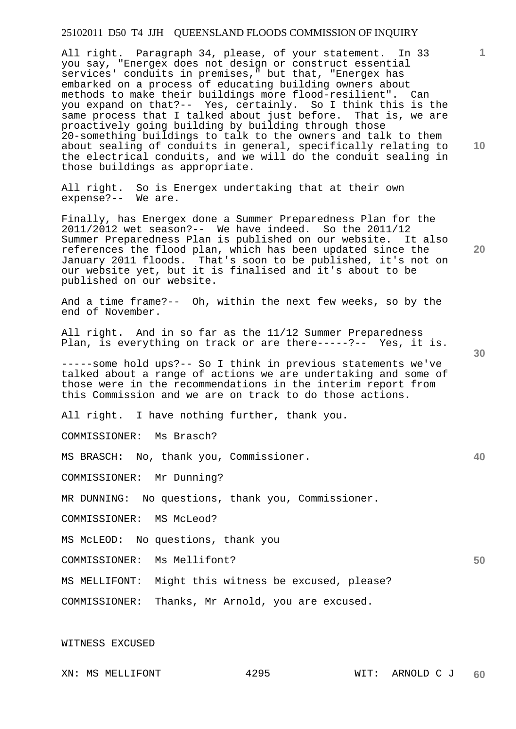All right. Paragraph 34, please, of your statement. In 33 you say, "Energex does not design or construct essential services' conduits in premises," but that, "Energex has embarked on a process of educating building owners about methods to make their buildings more flood-resilient". Can you expand on that?-- Yes, certainly. So I think this is the same process that I talked about just before. That is, we are proactively going building by building through those 20-something buildings to talk to the owners and talk to them about sealing of conduits in general, specifically relating to the electrical conduits, and we will do the conduit sealing in those buildings as appropriate.

All right. So is Energex undertaking that at their own expense?-- We are.

Finally, has Energex done a Summer Preparedness Plan for the 2011/2012 wet season?-- We have indeed. So the 2011/12 Summer Preparedness Plan is published on our website. It also references the flood plan, which has been updated since the January 2011 floods. That's soon to be published, it's not on our website yet, but it is finalised and it's about to be published on our website.

And a time frame?-- Oh, within the next few weeks, so by the end of November.

All right. And in so far as the 11/12 Summer Preparedness Plan, is everything on track or are there-----?-- Yes, it is.

-----some hold ups?-- So I think in previous statements we've talked about a range of actions we are undertaking and some of those were in the recommendations in the interim report from this Commission and we are on track to do those actions.

All right. I have nothing further, thank you.

COMMISSIONER: Ms Brasch?

MS BRASCH: No, thank you, Commissioner.

COMMISSIONER: Mr Dunning?

MR DUNNING: No questions, thank you, Commissioner.

COMMISSIONER: MS McLeod?

MS McLEOD: No questions, thank you

COMMISSIONER: Ms Mellifont?

MS MELLIFONT: Might this witness be excused, please?

COMMISSIONER: Thanks, Mr Arnold, you are excused.

WITNESS EXCUSED

XN: MS MELLIFONT 4295 WIT: ARNOLD C J **60** 

**10** 

**1**

**20** 

**30** 

**40**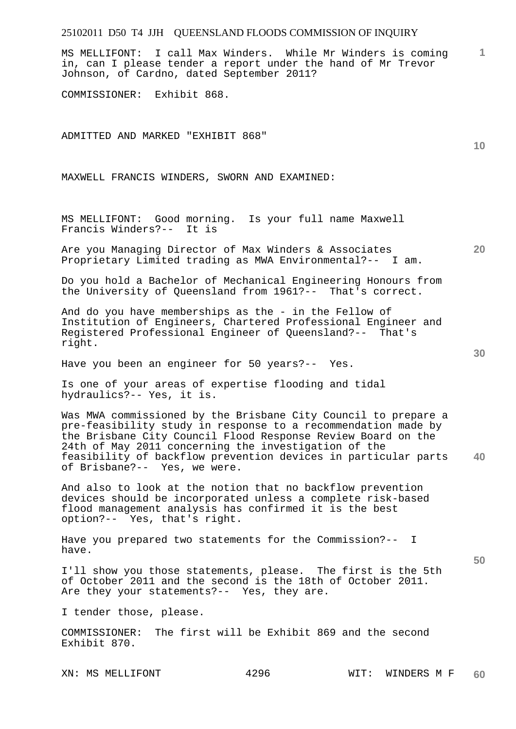MS MELLIFONT: I call Max Winders. While Mr Winders is coming in, can I please tender a report under the hand of Mr Trevor Johnson, of Cardno, dated September 2011?

COMMISSIONER: Exhibit 868.

ADMITTED AND MARKED "EXHIBIT 868"

MAXWELL FRANCIS WINDERS, SWORN AND EXAMINED:

MS MELLIFONT: Good morning. Is your full name Maxwell Francis Winders?-- It is

Are you Managing Director of Max Winders & Associates Proprietary Limited trading as MWA Environmental?-- I am.

Do you hold a Bachelor of Mechanical Engineering Honours from the University of Queensland from 1961?-- That's correct.

And do you have memberships as the - in the Fellow of Institution of Engineers, Chartered Professional Engineer and Registered Professional Engineer of Queensland?-- That's right.

Have you been an engineer for 50 years?-- Yes.

Is one of your areas of expertise flooding and tidal hydraulics?-- Yes, it is.

**40**  Was MWA commissioned by the Brisbane City Council to prepare a pre-feasibility study in response to a recommendation made by the Brisbane City Council Flood Response Review Board on the 24th of May 2011 concerning the investigation of the feasibility of backflow prevention devices in particular parts of Brisbane?-- Yes, we were.

And also to look at the notion that no backflow prevention devices should be incorporated unless a complete risk-based flood management analysis has confirmed it is the best option?-- Yes, that's right.

Have you prepared two statements for the Commission?-- I have.

I'll show you those statements, please. The first is the 5th of October 2011 and the second is the 18th of October 2011. Are they your statements?-- Yes, they are.

I tender those, please.

COMMISSIONER: The first will be Exhibit 869 and the second Exhibit 870.

XN: MS MELLIFONT 4296 WIT: WINDERS M F **60** 

**50** 

**10** 

**20**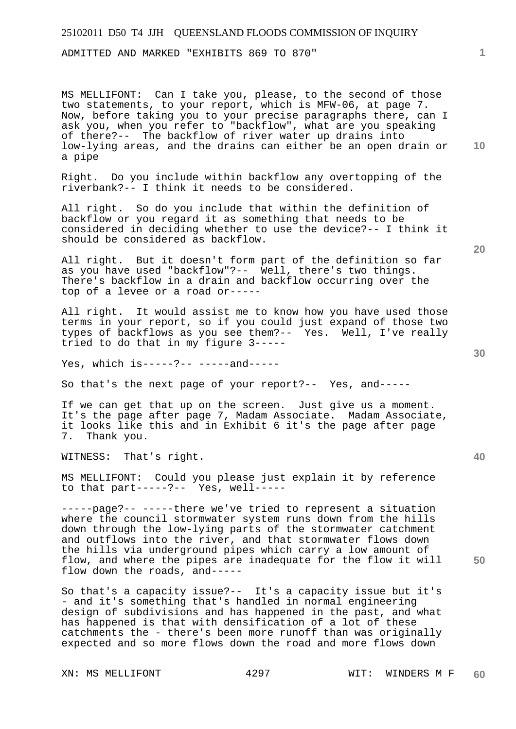ADMITTED AND MARKED "EXHIBITS 869 TO 870"

MS MELLIFONT: Can I take you, please, to the second of those two statements, to your report, which is MFW-06, at page 7. Now, before taking you to your precise paragraphs there, can I ask you, when you refer to "backflow", what are you speaking of there?-- The backflow of river water up drains into low-lying areas, and the drains can either be an open drain or a pipe

Right. Do you include within backflow any overtopping of the riverbank?-- I think it needs to be considered.

All right. So do you include that within the definition of backflow or you regard it as something that needs to be considered in deciding whether to use the device?-- I think it should be considered as backflow.

All right. But it doesn't form part of the definition so far as you have used "backflow"?-- Well, there's two things. There's backflow in a drain and backflow occurring over the top of a levee or a road or-----

All right. It would assist me to know how you have used those terms in your report, so if you could just expand of those two types of backflows as you see them?-- Yes. Well, I've really tried to do that in my figure 3-----

Yes, which is-----?-- -----and-----

So that's the next page of your report?-- Yes, and-----

If we can get that up on the screen. Just give us a moment. It's the page after page 7, Madam Associate. Madam Associate, it looks like this and in Exhibit 6 it's the page after page Thank you.

WITNESS: That's right.

MS MELLIFONT: Could you please just explain it by reference to that part-----?-- Yes, well-----

-----page?-- -----there we've tried to represent a situation where the council stormwater system runs down from the hills down through the low-lying parts of the stormwater catchment and outflows into the river, and that stormwater flows down the hills via underground pipes which carry a low amount of flow, and where the pipes are inadequate for the flow it will flow down the roads, and-----

So that's a capacity issue?-- It's a capacity issue but it's - and it's something that's handled in normal engineering design of subdivisions and has happened in the past, and what has happened is that with densification of a lot of these catchments the - there's been more runoff than was originally expected and so more flows down the road and more flows down

**20** 

**10** 

**1**

**40**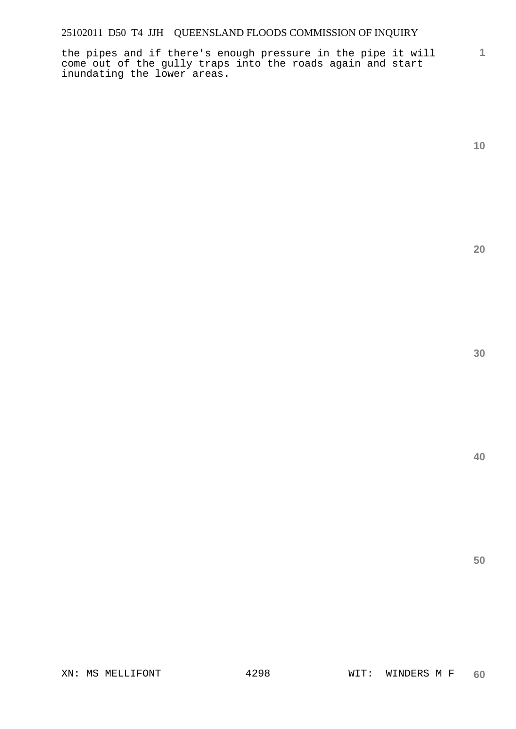**1** the pipes and if there's enough pressure in the pipe it will come out of the gully traps into the roads again and start inundating the lower areas.

**10** 

**20** 

**30** 

**40**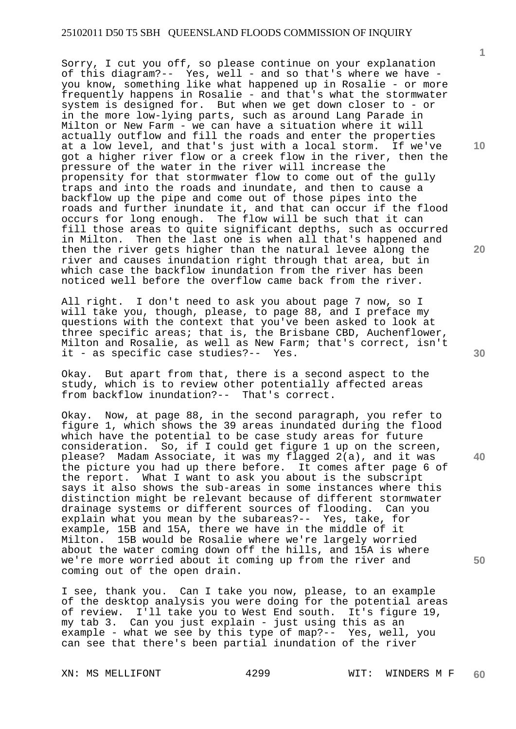Sorry, I cut you off, so please continue on your explanation of this diagram?-- Yes, well - and so that's where we have you know, something like what happened up in Rosalie - or more frequently happens in Rosalie - and that's what the stormwater system is designed for. But when we get down closer to - or in the more low-lying parts, such as around Lang Parade in Milton or New Farm - we can have a situation where it will actually outflow and fill the roads and enter the properties at a low level, and that's just with a local storm. If we've got a higher river flow or a creek flow in the river, then the pressure of the water in the river will increase the propensity for that stormwater flow to come out of the gully traps and into the roads and inundate, and then to cause a backflow up the pipe and come out of those pipes into the roads and further inundate it, and that can occur if the flood occurs for long enough. The flow will be such that it can fill those areas to quite significant depths, such as occurred in Milton. Then the last one is when all that's happened and then the river gets higher than the natural levee along the river and causes inundation right through that area, but in which case the backflow inundation from the river has been noticed well before the overflow came back from the river.

All right. I don't need to ask you about page 7 now, so I will take you, though, please, to page 88, and I preface my questions with the context that you've been asked to look at three specific areas; that is, the Brisbane CBD, Auchenflower, Milton and Rosalie, as well as New Farm; that's correct, isn't it - as specific case studies?-- Yes.

Okay. But apart from that, there is a second aspect to the study, which is to review other potentially affected areas from backflow inundation?-- That's correct.

Okay. Now, at page 88, in the second paragraph, you refer to figure 1, which shows the 39 areas inundated during the flood which have the potential to be case study areas for future consideration. So, if I could get figure 1 up on the screen, please? Madam Associate, it was my flagged 2(a), and it was the picture you had up there before. It comes after page 6 of the report. What I want to ask you about is the subscript says it also shows the sub-areas in some instances where this distinction might be relevant because of different stormwater drainage systems or different sources of flooding. Can you explain what you mean by the subareas?-- Yes, take, for example, 15B and 15A, there we have in the middle of it Milton. 15B would be Rosalie where we're largely worried about the water coming down off the hills, and 15A is where we're more worried about it coming up from the river and coming out of the open drain.

I see, thank you. Can I take you now, please, to an example of the desktop analysis you were doing for the potential areas of review. I'll take you to West End south. It's figure 19, my tab 3. Can you just explain - just using this as an example - what we see by this type of map?-- Yes, well, you can see that there's been partial inundation of the river

**10** 

**1**

**20** 

**40**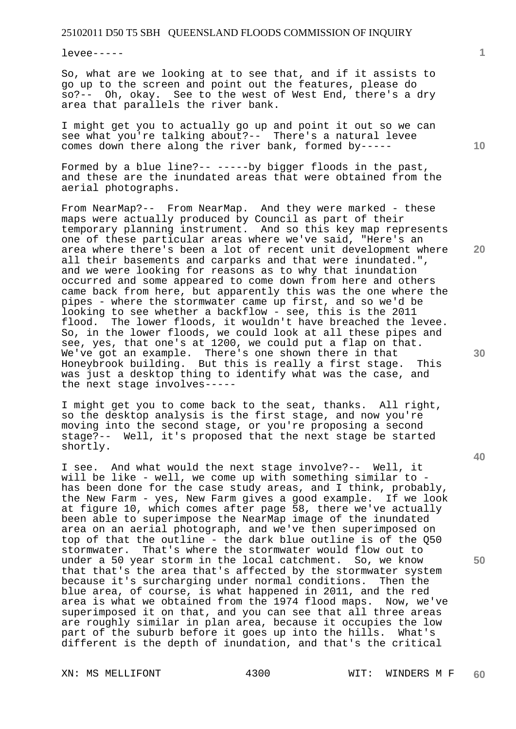levee-----

So, what are we looking at to see that, and if it assists to go up to the screen and point out the features, please do so?-- Oh, okay. See to the west of West End, there's a dry area that parallels the river bank.

I might get you to actually go up and point it out so we can see what you're talking about?-- There's a natural levee comes down there along the river bank, formed by-----

Formed by a blue line?-- -----by bigger floods in the past, and these are the inundated areas that were obtained from the aerial photographs.

From NearMap?-- From NearMap. And they were marked - these maps were actually produced by Council as part of their temporary planning instrument. And so this key map represents one of these particular areas where we've said, "Here's an area where there's been a lot of recent unit development where all their basements and carparks and that were inundated.", and we were looking for reasons as to why that inundation occurred and some appeared to come down from here and others came back from here, but apparently this was the one where the pipes - where the stormwater came up first, and so we'd be looking to see whether a backflow - see, this is the 2011 flood. The lower floods, it wouldn't have breached the levee. So, in the lower floods, we could look at all these pipes and see, yes, that one's at 1200, we could put a flap on that. We've got an example. There's one shown there in that Honeybrook building. But this is really a first stage. This was just a desktop thing to identify what was the case, and the next stage involves-----

I might get you to come back to the seat, thanks. All right, so the desktop analysis is the first stage, and now you're moving into the second stage, or you're proposing a second stage?-- Well, it's proposed that the next stage be started shortly.

I see. And what would the next stage involve?-- Well, it will be like - well, we come up with something similar to has been done for the case study areas, and I think, probably, the New Farm - yes, New Farm gives a good example. If we look at figure 10, which comes after page 58, there we've actually been able to superimpose the NearMap image of the inundated area on an aerial photograph, and we've then superimposed on top of that the outline - the dark blue outline is of the Q50 stormwater. That's where the stormwater would flow out to under a 50 year storm in the local catchment. So, we know that that's the area that's affected by the stormwater system because it's surcharging under normal conditions. Then the blue area, of course, is what happened in 2011, and the red area is what we obtained from the 1974 flood maps. Now, we've superimposed it on that, and you can see that all three areas are roughly similar in plan area, because it occupies the low part of the suburb before it goes up into the hills. What's different is the depth of inundation, and that's the critical

**10** 

**1**

**20** 

**30** 

**40**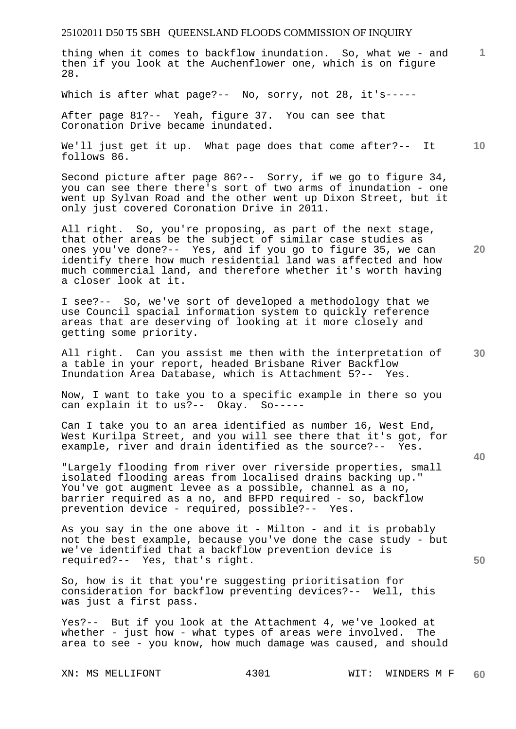thing when it comes to backflow inundation. So, what we - and then if you look at the Auchenflower one, which is on figure 28.

Which is after what page?-- No, sorry, not 28, it's-----

After page 81?-- Yeah, figure 37. You can see that Coronation Drive became inundated.

**10**  We'll just get it up. What page does that come after?-- It follows 86.

Second picture after page 86?-- Sorry, if we go to figure 34, you can see there there's sort of two arms of inundation - one went up Sylvan Road and the other went up Dixon Street, but it only just covered Coronation Drive in 2011.

All right. So, you're proposing, as part of the next stage, that other areas be the subject of similar case studies as ones you've done?-- Yes, and if you go to figure 35, we can identify there how much residential land was affected and how much commercial land, and therefore whether it's worth having a closer look at it.

I see?-- So, we've sort of developed a methodology that we use Council spacial information system to quickly reference areas that are deserving of looking at it more closely and getting some priority.

All right. Can you assist me then with the interpretation of a table in your report, headed Brisbane River Backflow Inundation Area Database, which is Attachment 5?-- Yes.

Now, I want to take you to a specific example in there so you can explain it to us?-- Okay. So-----

Can I take you to an area identified as number 16, West End, West Kurilpa Street, and you will see there that it's got, for example, river and drain identified as the source?-- Yes.

"Largely flooding from river over riverside properties, small isolated flooding areas from localised drains backing up." You've got augment levee as a possible, channel as a no, barrier required as a no, and BFPD required - so, backflow prevention device - required, possible?-- Yes.

As you say in the one above it - Milton - and it is probably not the best example, because you've done the case study - but we've identified that a backflow prevention device is required?-- Yes, that's right.

So, how is it that you're suggesting prioritisation for consideration for backflow preventing devices?-- Well, this was just a first pass.

Yes?-- But if you look at the Attachment 4, we've looked at whether - just how - what types of areas were involved. The area to see - you know, how much damage was caused, and should

**20** 

**1**

**30**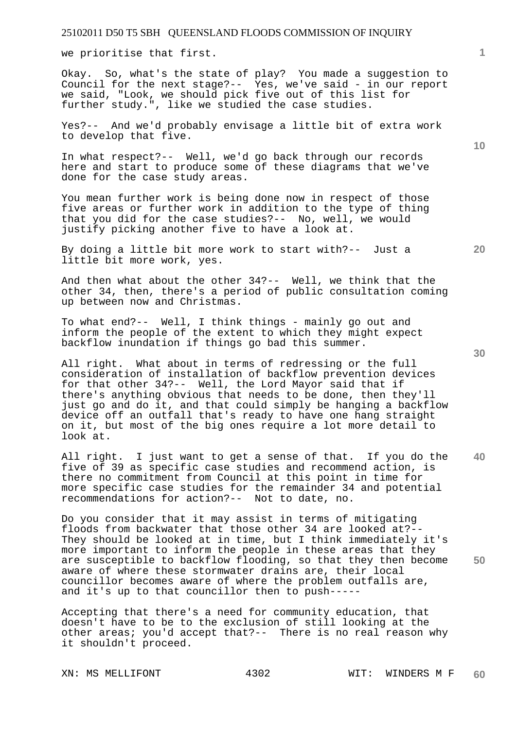we prioritise that first.

Okay. So, what's the state of play? You made a suggestion to Council for the next stage?-- Yes, we've said - in our report we said, "Look, we should pick five out of this list for further study.", like we studied the case studies.

Yes?-- And we'd probably envisage a little bit of extra work to develop that five.

In what respect?-- Well, we'd go back through our records here and start to produce some of these diagrams that we've done for the case study areas.

You mean further work is being done now in respect of those five areas or further work in addition to the type of thing that you did for the case studies?-- No, well, we would justify picking another five to have a look at.

By doing a little bit more work to start with?-- Just a little bit more work, yes.

And then what about the other 34?-- Well, we think that the other 34, then, there's a period of public consultation coming up between now and Christmas.

To what end?-- Well, I think things - mainly go out and inform the people of the extent to which they might expect backflow inundation if things go bad this summer.

All right. What about in terms of redressing or the full consideration of installation of backflow prevention devices for that other 34?-- Well, the Lord Mayor said that if there's anything obvious that needs to be done, then they'll just go and do it, and that could simply be hanging a backflow device off an outfall that's ready to have one hang straight on it, but most of the big ones require a lot more detail to look at.

**40**  All right. I just want to get a sense of that. If you do the five of 39 as specific case studies and recommend action, is there no commitment from Council at this point in time for more specific case studies for the remainder 34 and potential recommendations for action?-- Not to date, no.

Do you consider that it may assist in terms of mitigating floods from backwater that those other 34 are looked at?-- They should be looked at in time, but I think immediately it's more important to inform the people in these areas that they are susceptible to backflow flooding, so that they then become aware of where these stormwater drains are, their local councillor becomes aware of where the problem outfalls are, and it's up to that councillor then to push-----

Accepting that there's a need for community education, that doesn't have to be to the exclusion of still looking at the other areas; you'd accept that?-- There is no real reason why it shouldn't proceed.

**20** 

**10** 

**30**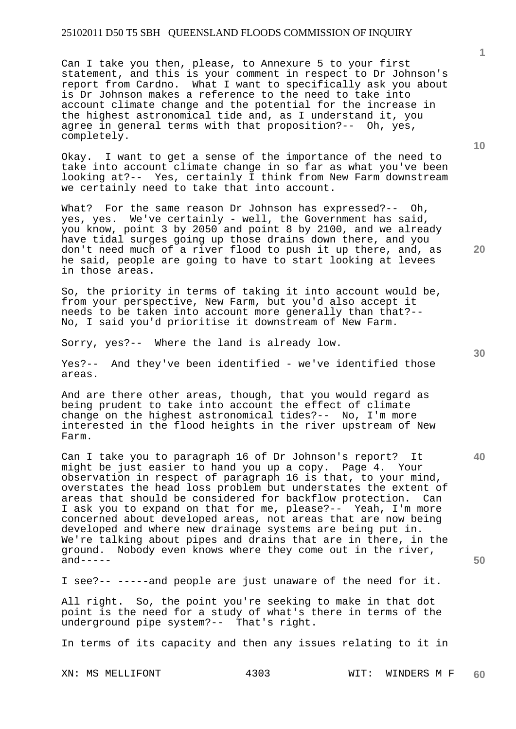Can I take you then, please, to Annexure 5 to your first statement, and this is your comment in respect to Dr Johnson's report from Cardno. What I want to specifically ask you about is Dr Johnson makes a reference to the need to take into account climate change and the potential for the increase in the highest astronomical tide and, as I understand it, you agree in general terms with that proposition?-- Oh, yes, completely.

Okay. I want to get a sense of the importance of the need to take into account climate change in so far as what you've been looking at?-- Yes, certainly I think from New Farm downstream we certainly need to take that into account.

What? For the same reason Dr Johnson has expressed?-- Oh, yes, yes. We've certainly - well, the Government has said, you know, point 3 by 2050 and point 8 by 2100, and we already have tidal surges going up those drains down there, and you don't need much of a river flood to push it up there, and, as he said, people are going to have to start looking at levees in those areas.

So, the priority in terms of taking it into account would be, from your perspective, New Farm, but you'd also accept it needs to be taken into account more generally than that?-- No, I said you'd prioritise it downstream of New Farm.

Sorry, yes?-- Where the land is already low.

Yes?-- And they've been identified - we've identified those areas.

And are there other areas, though, that you would regard as being prudent to take into account the effect of climate change on the highest astronomical tides?-- No, I'm more interested in the flood heights in the river upstream of New Farm.

Can I take you to paragraph 16 of Dr Johnson's report? It might be just easier to hand you up a copy. Page 4. Your observation in respect of paragraph 16 is that, to your mind, overstates the head loss problem but understates the extent of areas that should be considered for backflow protection. Can I ask you to expand on that for me, please?-- Yeah, I'm more concerned about developed areas, not areas that are now being developed and where new drainage systems are being put in. We're talking about pipes and drains that are in there, in the ground. Nobody even knows where they come out in the river,  $and---$ 

I see?-- -----and people are just unaware of the need for it.

All right. So, the point you're seeking to make in that dot point is the need for a study of what's there in terms of the underground pipe system?-- That's right.

In terms of its capacity and then any issues relating to it in

XN: MS MELLIFONT 4303 WIT: WINDERS M F **60** 

**20** 

**10** 

**50**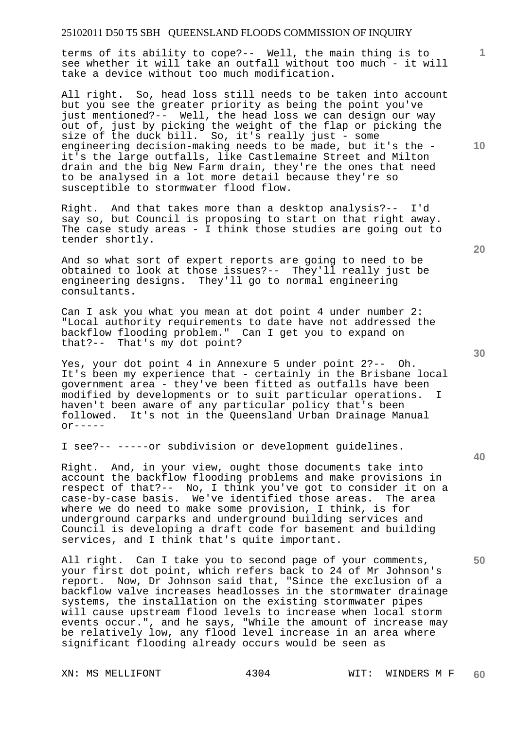terms of its ability to cope?-- Well, the main thing is to see whether it will take an outfall without too much - it will take a device without too much modification.

All right. So, head loss still needs to be taken into account but you see the greater priority as being the point you've just mentioned?-- Well, the head loss we can design our way out of, just by picking the weight of the flap or picking the size of the duck bill. So, it's really just - some engineering decision-making needs to be made, but it's the it's the large outfalls, like Castlemaine Street and Milton drain and the big New Farm drain, they're the ones that need to be analysed in a lot more detail because they're so susceptible to stormwater flood flow.

Right. And that takes more than a desktop analysis?-- I'd say so, but Council is proposing to start on that right away. The case study areas - I think those studies are going out to tender shortly.

And so what sort of expert reports are going to need to be obtained to look at those issues?-- They'll really just be engineering designs. They'll go to normal engineering consultants.

Can I ask you what you mean at dot point 4 under number 2: "Local authority requirements to date have not addressed the backflow flooding problem." Can I get you to expand on that?-- That's my dot point?

Yes, your dot point 4 in Annexure 5 under point 2?-- Oh. It's been my experience that - certainly in the Brisbane local government area - they've been fitted as outfalls have been modified by developments or to suit particular operations. I haven't been aware of any particular policy that's been followed. It's not in the Queensland Urban Drainage Manual  $or---$ 

I see?-- -----or subdivision or development guidelines.

Right. And, in your view, ought those documents take into account the backflow flooding problems and make provisions in respect of that?-- No, I think you've got to consider it on a case-by-case basis. We've identified those areas. The area where we do need to make some provision, I think, is for underground carparks and underground building services and Council is developing a draft code for basement and building services, and I think that's quite important.

All right. Can I take you to second page of your comments, your first dot point, which refers back to 24 of Mr Johnson's report. Now, Dr Johnson said that, "Since the exclusion of a backflow valve increases headlosses in the stormwater drainage systems, the installation on the existing stormwater pipes will cause upstream flood levels to increase when local storm events occur.", and he says, "While the amount of increase may be relatively low, any flood level increase in an area where significant flooding already occurs would be seen as

XN: MS MELLIFONT 4304 WIT: WINDERS M F

**20** 

**10** 

**1**

**50**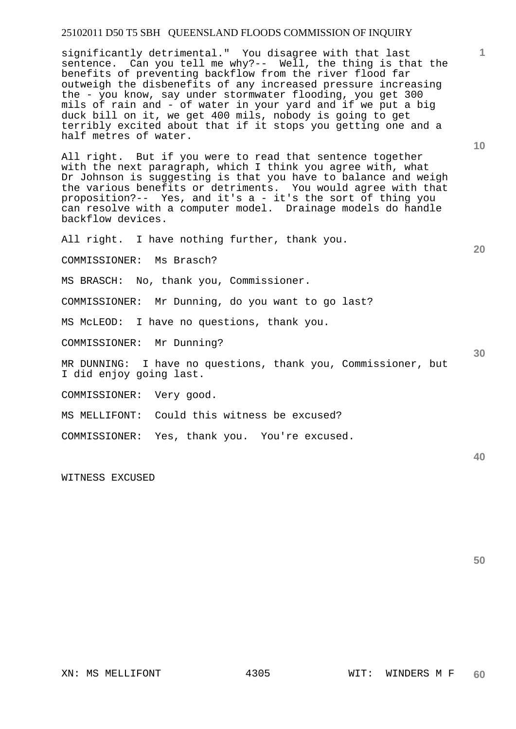significantly detrimental." You disagree with that last sentence. Can you tell me why?-- Well, the thing is that the benefits of preventing backflow from the river flood far outweigh the disbenefits of any increased pressure increasing the - you know, say under stormwater flooding, you get 300 mils of rain and - of water in your yard and if we put a big duck bill on it, we get 400 mils, nobody is going to get terribly excited about that if it stops you getting one and a half metres of water.

All right. But if you were to read that sentence together with the next paragraph, which I think you agree with, what Dr Johnson is suggesting is that you have to balance and weigh the various benefits or detriments. You would agree with that proposition?-- Yes, and it's a - it's the sort of thing you can resolve with a computer model. Drainage models do handle backflow devices.

All right. I have nothing further, thank you.

COMMISSIONER: Ms Brasch?

MS BRASCH: No, thank you, Commissioner.

COMMISSIONER: Mr Dunning, do you want to go last?

MS McLEOD: I have no questions, thank you.

COMMISSIONER: Mr Dunning?

MR DUNNING: I have no questions, thank you, Commissioner, but I did enjoy going last.

COMMISSIONER: Very good.

MS MELLIFONT: Could this witness be excused?

COMMISSIONER: Yes, thank you. You're excused.

WITNESS EXCUSED

**10** 

**1**

**20** 

**30**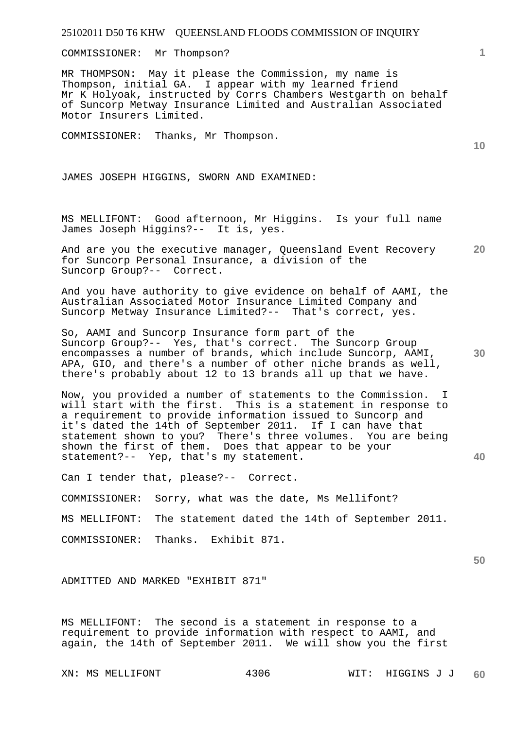COMMISSIONER: Mr Thompson?

MR THOMPSON: May it please the Commission, my name is Thompson, initial GA. I appear with my learned friend Mr K Holyoak, instructed by Corrs Chambers Westgarth on behalf of Suncorp Metway Insurance Limited and Australian Associated Motor Insurers Limited.

COMMISSIONER: Thanks, Mr Thompson.

JAMES JOSEPH HIGGINS, SWORN AND EXAMINED:

MS MELLIFONT: Good afternoon, Mr Higgins. Is your full name James Joseph Higgins?-- It is, yes.

**20**  And are you the executive manager, Queensland Event Recovery for Suncorp Personal Insurance, a division of the Suncorp Group?-- Correct.

And you have authority to give evidence on behalf of AAMI, the Australian Associated Motor Insurance Limited Company and Suncorp Metway Insurance Limited?-- That's correct, yes.

So, AAMI and Suncorp Insurance form part of the Suncorp Group?-- Yes, that's correct. The Suncorp Group encompasses a number of brands, which include Suncorp, AAMI, APA, GIO, and there's a number of other niche brands as well, there's probably about 12 to 13 brands all up that we have.

Now, you provided a number of statements to the Commission. I will start with the first. This is a statement in response to a requirement to provide information issued to Suncorp and it's dated the 14th of September 2011. If I can have that statement shown to you? There's three volumes. You are being shown the first of them. Does that appear to be your statement?-- Yep, that's my statement.

Can I tender that, please?-- Correct.

COMMISSIONER: Sorry, what was the date, Ms Mellifont?

MS MELLIFONT: The statement dated the 14th of September 2011.

COMMISSIONER: Thanks. Exhibit 871.

ADMITTED AND MARKED "EXHIBIT 871"

MS MELLIFONT: The second is a statement in response to a requirement to provide information with respect to AAMI, and again, the 14th of September 2011. We will show you the first

**1**

**10** 

**40** 

**50**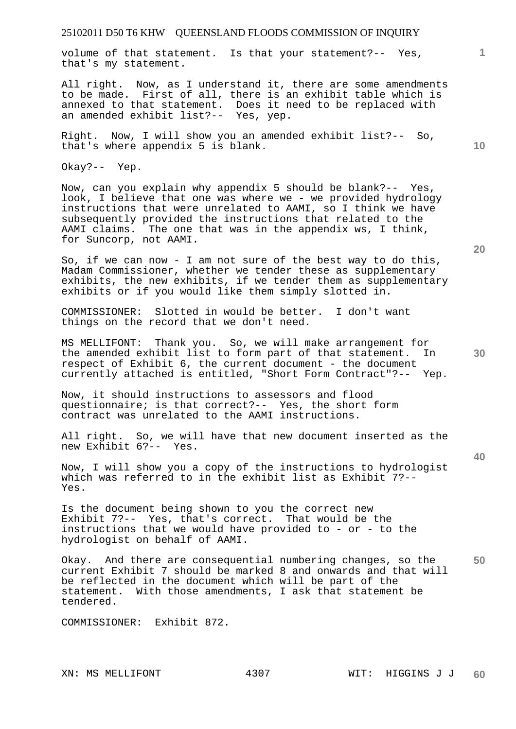volume of that statement. Is that your statement?-- Yes, that's my statement.

All right. Now, as I understand it, there are some amendments to be made. First of all, there is an exhibit table which is annexed to that statement. Does it need to be replaced with an amended exhibit list?-- Yes, yep.

Right. Now, I will show you an amended exhibit list?-- So, that's where appendix 5 is blank.

Okay?-- Yep.

Now, can you explain why appendix 5 should be blank?-- Yes, look, I believe that one was where we - we provided hydrology instructions that were unrelated to AAMI, so I think we have subsequently provided the instructions that related to the AAMI claims. The one that was in the appendix ws, I think, for Suncorp, not AAMI.

So, if we can now - I am not sure of the best way to do this, Madam Commissioner, whether we tender these as supplementary exhibits, the new exhibits, if we tender them as supplementary exhibits or if you would like them simply slotted in.

COMMISSIONER: Slotted in would be better. I don't want things on the record that we don't need.

MS MELLIFONT: Thank you. So, we will make arrangement for the amended exhibit list to form part of that statement. In respect of Exhibit 6, the current document - the document currently attached is entitled, "Short Form Contract"?-- Yep.

Now, it should instructions to assessors and flood questionnaire; is that correct?-- Yes, the short form contract was unrelated to the AAMI instructions.

All right. So, we will have that new document inserted as the new Exhibit 6?-- Yes.

Now, I will show you a copy of the instructions to hydrologist which was referred to in the exhibit list as Exhibit 7?-- Yes.

Is the document being shown to you the correct new Exhibit 7?-- Yes, that's correct. That would be the instructions that we would have provided to - or - to the hydrologist on behalf of AAMI.

**50**  Okay. And there are consequential numbering changes, so the current Exhibit 7 should be marked 8 and onwards and that will be reflected in the document which will be part of the statement. With those amendments, I ask that statement be tendered.

COMMISSIONER: Exhibit 872.

**40** 

**1**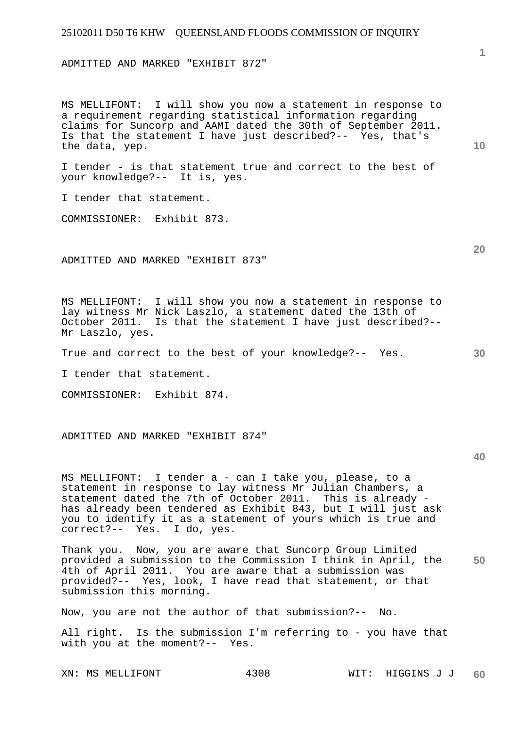ADMITTED AND MARKED "EXHIBIT 872"

MS MELLIFONT: I will show you now a statement in response to a requirement regarding statistical information regarding claims for Suncorp and AAMI dated the 30th of September 2011. Is that the statement I have just described?-- Yes, that's the data, yep.

I tender - is that statement true and correct to the best of your knowledge?-- It is, yes.

I tender that statement.

COMMISSIONER: Exhibit 873.

ADMITTED AND MARKED "EXHIBIT 873"

MS MELLIFONT: I will show you now a statement in response to lay witness Mr Nick Laszlo, a statement dated the 13th of October 2011. Is that the statement I have just described?-- Mr Laszlo, yes.

True and correct to the best of your knowledge?-- Yes.

I tender that statement.

COMMISSIONER: Exhibit 874.

ADMITTED AND MARKED "EXHIBIT 874"

**40** 

MS MELLIFONT: I tender a - can I take you, please, to a statement in response to lay witness Mr Julian Chambers, a statement dated the 7th of October 2011. This is already has already been tendered as Exhibit 843, but I will just ask you to identify it as a statement of yours which is true and correct?-- Yes. I do, yes.

**50**  Thank you. Now, you are aware that Suncorp Group Limited provided a submission to the Commission I think in April, the 4th of April 2011. You are aware that a submission was provided?-- Yes, look, I have read that statement, or that submission this morning.

Now, you are not the author of that submission?-- No.

All right. Is the submission I'm referring to - you have that with you at the moment?-- Yes.

**10** 

**1**

**20**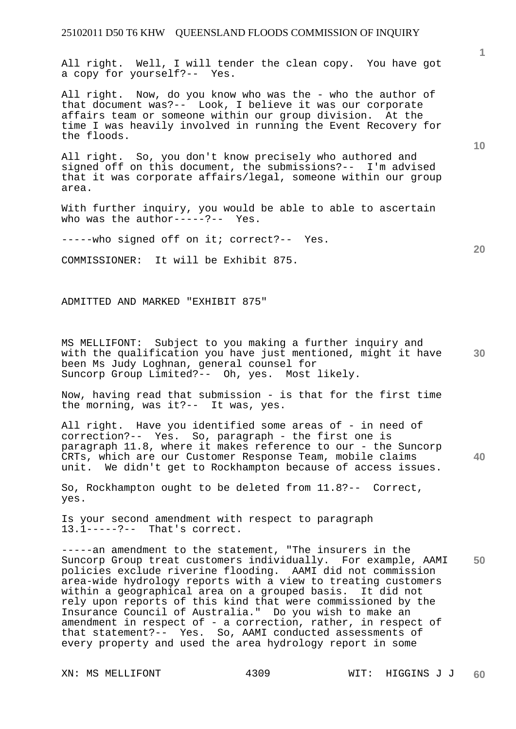All right. Well, I will tender the clean copy. You have got a copy for yourself?-- Yes.

All right. Now, do you know who was the - who the author of that document was?-- Look, I believe it was our corporate affairs team or someone within our group division. At the time I was heavily involved in running the Event Recovery for the floods.

All right. So, you don't know precisely who authored and signed off on this document, the submissions?-- I'm advised that it was corporate affairs/legal, someone within our group area.

With further inquiry, you would be able to able to ascertain who was the author-----?-- Yes.

-----who signed off on it; correct?-- Yes.

COMMISSIONER: It will be Exhibit 875.

ADMITTED AND MARKED "EXHIBIT 875"

**30**  MS MELLIFONT: Subject to you making a further inquiry and with the qualification you have just mentioned, might it have been Ms Judy Loghnan, general counsel for Suncorp Group Limited?-- Oh, yes. Most likely.

Now, having read that submission - is that for the first time the morning, was it?-- It was, yes.

All right. Have you identified some areas of - in need of correction?-- Yes. So, paragraph - the first one is paragraph 11.8, where it makes reference to our - the Suncorp CRTs, which are our Customer Response Team, mobile claims unit. We didn't get to Rockhampton because of access issues.

So, Rockhampton ought to be deleted from 11.8?-- Correct, yes.

Is your second amendment with respect to paragraph 13.1-----?-- That's correct.

**50**  -----an amendment to the statement, "The insurers in the Suncorp Group treat customers individually. For example, AAMI policies exclude riverine flooding. AAMI did not commission area-wide hydrology reports with a view to treating customers within a geographical area on a grouped basis. It did not rely upon reports of this kind that were commissioned by the Insurance Council of Australia." Do you wish to make an amendment in respect of - a correction, rather, in respect of that statement?-- Yes. So, AAMI conducted assessments of every property and used the area hydrology report in some

**10** 

**1**

**40**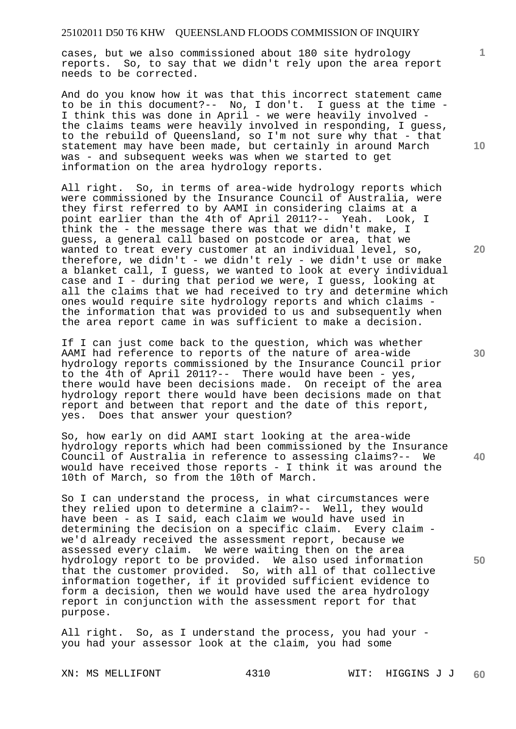cases, but we also commissioned about 180 site hydrology reports. So, to say that we didn't rely upon the area report needs to be corrected.

And do you know how it was that this incorrect statement came to be in this document?-- No, I don't. I guess at the time - I think this was done in April - we were heavily involved the claims teams were heavily involved in responding, I guess, to the rebuild of Queensland, so I'm not sure why that - that statement may have been made, but certainly in around March was - and subsequent weeks was when we started to get information on the area hydrology reports.

All right. So, in terms of area-wide hydrology reports which were commissioned by the Insurance Council of Australia, were they first referred to by AAMI in considering claims at a point earlier than the 4th of April 2011?-- Yeah. Look, I think the - the message there was that we didn't make, I guess, a general call based on postcode or area, that we wanted to treat every customer at an individual level, so, therefore, we didn't - we didn't rely - we didn't use or make a blanket call, I guess, we wanted to look at every individual case and I - during that period we were, I guess, looking at all the claims that we had received to try and determine which ones would require site hydrology reports and which claims the information that was provided to us and subsequently when the area report came in was sufficient to make a decision.

If I can just come back to the question, which was whether AAMI had reference to reports of the nature of area-wide hydrology reports commissioned by the Insurance Council prior to the 4th of April 2011?-- There would have been - yes, there would have been decisions made. On receipt of the area hydrology report there would have been decisions made on that report and between that report and the date of this report, yes. Does that answer your question?

So, how early on did AAMI start looking at the area-wide hydrology reports which had been commissioned by the Insurance Council of Australia in reference to assessing claims?-- We would have received those reports - I think it was around the 10th of March, so from the 10th of March.

So I can understand the process, in what circumstances were they relied upon to determine a claim?-- Well, they would have been - as I said, each claim we would have used in determining the decision on a specific claim. Every claim we'd already received the assessment report, because we assessed every claim. We were waiting then on the area hydrology report to be provided. We also used information that the customer provided. So, with all of that collective information together, if it provided sufficient evidence to form a decision, then we would have used the area hydrology report in conjunction with the assessment report for that purpose.

All right. So, as I understand the process, you had your you had your assessor look at the claim, you had some

**10** 

**1**

**20** 

**40**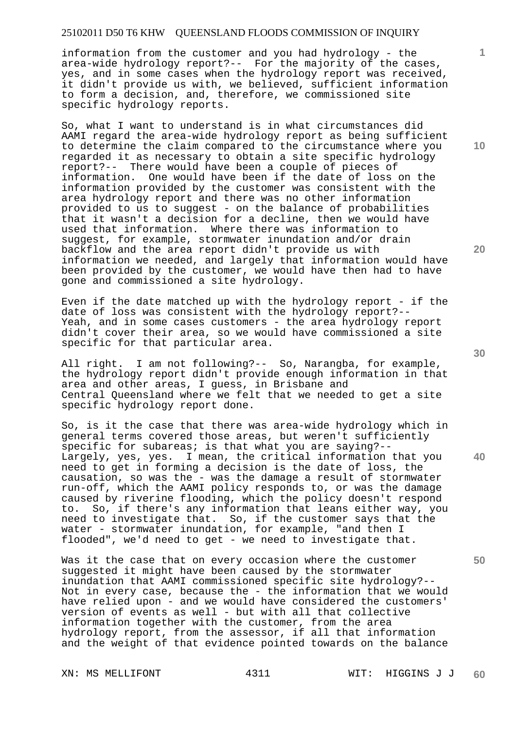information from the customer and you had hydrology - the area-wide hydrology report?-- For the majority of the cases, yes, and in some cases when the hydrology report was received, it didn't provide us with, we believed, sufficient information to form a decision, and, therefore, we commissioned site specific hydrology reports.

So, what I want to understand is in what circumstances did AAMI regard the area-wide hydrology report as being sufficient to determine the claim compared to the circumstance where you regarded it as necessary to obtain a site specific hydrology report?-- There would have been a couple of pieces of information. One would have been if the date of loss on the information provided by the customer was consistent with the area hydrology report and there was no other information provided to us to suggest - on the balance of probabilities that it wasn't a decision for a decline, then we would have used that information. Where there was information to suggest, for example, stormwater inundation and/or drain backflow and the area report didn't provide us with information we needed, and largely that information would have been provided by the customer, we would have then had to have gone and commissioned a site hydrology.

Even if the date matched up with the hydrology report - if the date of loss was consistent with the hydrology report?-- Yeah, and in some cases customers - the area hydrology report didn't cover their area, so we would have commissioned a site specific for that particular area.

All right. I am not following?-- So, Narangba, for example, the hydrology report didn't provide enough information in that area and other areas, I guess, in Brisbane and Central Queensland where we felt that we needed to get a site specific hydrology report done.

So, is it the case that there was area-wide hydrology which in general terms covered those areas, but weren't sufficiently specific for subareas; is that what you are saying?-- Largely, yes, yes. I mean, the critical information that you need to get in forming a decision is the date of loss, the causation, so was the - was the damage a result of stormwater run-off, which the AAMI policy responds to, or was the damage caused by riverine flooding, which the policy doesn't respond to. So, if there's any information that leans either way, you need to investigate that. So, if the customer says that the water - stormwater inundation, for example, "and then I flooded", we'd need to get - we need to investigate that.

Was it the case that on every occasion where the customer suggested it might have been caused by the stormwater inundation that AAMI commissioned specific site hydrology?-- Not in every case, because the - the information that we would have relied upon - and we would have considered the customers' version of events as well - but with all that collective information together with the customer, from the area hydrology report, from the assessor, if all that information and the weight of that evidence pointed towards on the balance

**10** 

**1**

**20** 

**30** 

**50**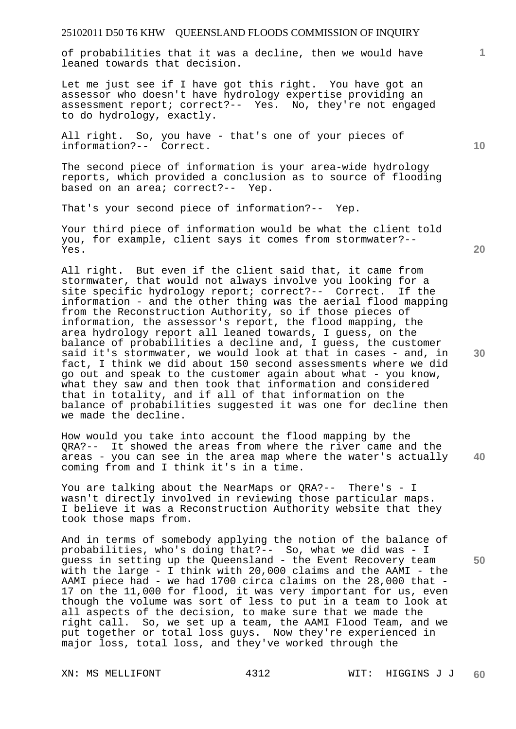of probabilities that it was a decline, then we would have leaned towards that decision.

Let me just see if I have got this right. You have got an assessor who doesn't have hydrology expertise providing an assessment report; correct?-- Yes. No, they're not engaged to do hydrology, exactly.

All right. So, you have - that's one of your pieces of information?-- Correct.

The second piece of information is your area-wide hydrology reports, which provided a conclusion as to source of flooding based on an area; correct?-- Yep.

That's your second piece of information?-- Yep.

Your third piece of information would be what the client told you, for example, client says it comes from stormwater?-- Yes.

All right. But even if the client said that, it came from stormwater, that would not always involve you looking for a site specific hydrology report; correct?-- Correct. If the information - and the other thing was the aerial flood mapping from the Reconstruction Authority, so if those pieces of information, the assessor's report, the flood mapping, the area hydrology report all leaned towards, I guess, on the balance of probabilities a decline and, I guess, the customer said it's stormwater, we would look at that in cases - and, in fact, I think we did about 150 second assessments where we did go out and speak to the customer again about what - you know, what they saw and then took that information and considered that in totality, and if all of that information on the balance of probabilities suggested it was one for decline then we made the decline.

**40**  How would you take into account the flood mapping by the QRA?-- It showed the areas from where the river came and the areas - you can see in the area map where the water's actually coming from and I think it's in a time.

You are talking about the NearMaps or QRA?-- There's - I wasn't directly involved in reviewing those particular maps. I believe it was a Reconstruction Authority website that they took those maps from.

And in terms of somebody applying the notion of the balance of probabilities, who's doing that?-- So, what we did was - I guess in setting up the Queensland - the Event Recovery team with the large - I think with 20,000 claims and the AAMI - the AAMI piece had - we had 1700 circa claims on the 28,000 that -17 on the 11,000 for flood, it was very important for us, even though the volume was sort of less to put in a team to look at all aspects of the decision, to make sure that we made the right call. So, we set up a team, the AAMI Flood Team, and we put together or total loss guys. Now they're experienced in major loss, total loss, and they've worked through the

**10** 

**1**

**30** 

**20**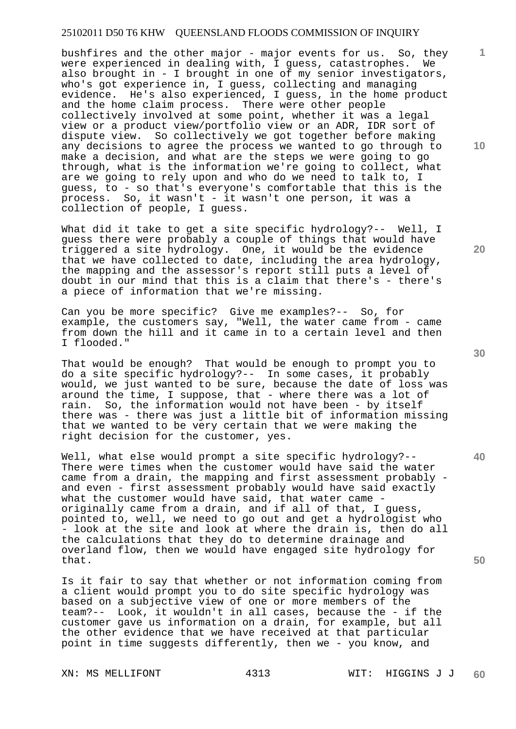bushfires and the other major - major events for us. So, they were experienced in dealing with, I guess, catastrophes. We also brought in - I brought in one of my senior investigators, who's got experience in, I guess, collecting and managing evidence. He's also experienced, I guess, in the home product and the home claim process. There were other people collectively involved at some point, whether it was a legal view or a product view/portfolio view or an ADR, IDR sort of dispute view. So collectively we got together before making any decisions to agree the process we wanted to go through to make a decision, and what are the steps we were going to go through, what is the information we're going to collect, what are we going to rely upon and who do we need to talk to, I guess, to - so that's everyone's comfortable that this is the process. So, it wasn't - it wasn't one person, it was a collection of people, I guess.

What did it take to get a site specific hydrology?-- Well, I guess there were probably a couple of things that would have triggered a site hydrology. One, it would be the evidence that we have collected to date, including the area hydrology, the mapping and the assessor's report still puts a level of doubt in our mind that this is a claim that there's - there's a piece of information that we're missing.

Can you be more specific? Give me examples?-- So, for example, the customers say, "Well, the water came from - came from down the hill and it came in to a certain level and then I flooded."

That would be enough? That would be enough to prompt you to do a site specific hydrology?-- In some cases, it probably would, we just wanted to be sure, because the date of loss was around the time, I suppose, that - where there was a lot of rain. So, the information would not have been - by itself there was - there was just a little bit of information missing that we wanted to be very certain that we were making the right decision for the customer, yes.

Well, what else would prompt a site specific hydrology?-- There were times when the customer would have said the water came from a drain, the mapping and first assessment probably and even - first assessment probably would have said exactly what the customer would have said, that water came originally came from a drain, and if all of that, I guess, pointed to, well, we need to go out and get a hydrologist who - look at the site and look at where the drain is, then do all the calculations that they do to determine drainage and overland flow, then we would have engaged site hydrology for that.

Is it fair to say that whether or not information coming from a client would prompt you to do site specific hydrology was based on a subjective view of one or more members of the team?-- Look, it wouldn't in all cases, because the - if the customer gave us information on a drain, for example, but all the other evidence that we have received at that particular point in time suggests differently, then we - you know, and

**20** 

**10** 

**1**

**40**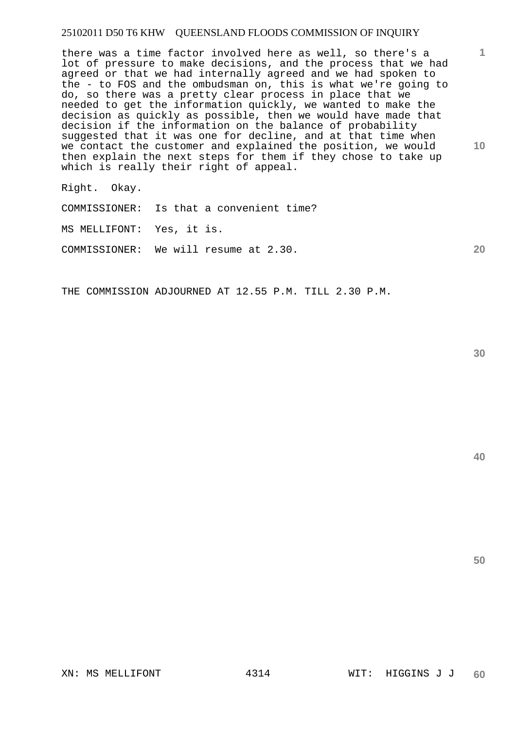there was a time factor involved here as well, so there's a lot of pressure to make decisions, and the process that we had agreed or that we had internally agreed and we had spoken to the - to FOS and the ombudsman on, this is what we're going to do, so there was a pretty clear process in place that we needed to get the information quickly, we wanted to make the decision as quickly as possible, then we would have made that decision if the information on the balance of probability suggested that it was one for decline, and at that time when we contact the customer and explained the position, we would then explain the next steps for them if they chose to take up which is really their right of appeal.

Right. Okay.

COMMISSIONER: Is that a convenient time?

MS MELLIFONT: Yes, it is.

COMMISSIONER: We will resume at 2.30.

THE COMMISSION ADJOURNED AT 12.55 P.M. TILL 2.30 P.M.

**30** 

**1**

**10** 

**20**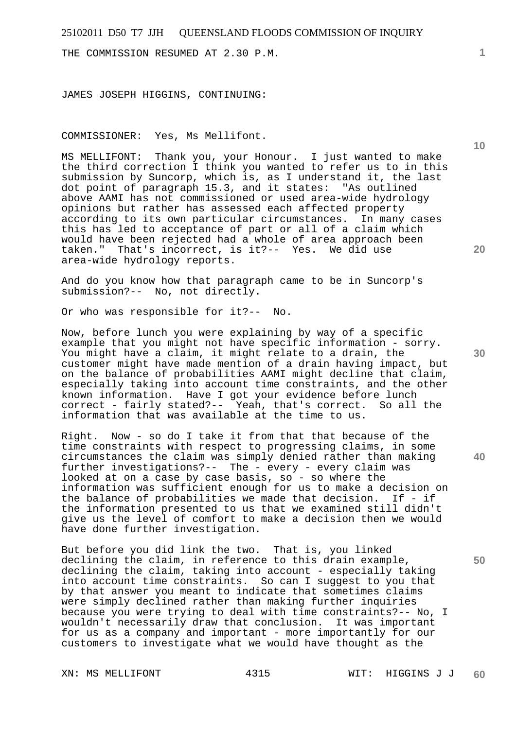THE COMMISSION RESUMED AT 2.30 P.M.

JAMES JOSEPH HIGGINS, CONTINUING:

COMMISSIONER: Yes, Ms Mellifont.

MS MELLIFONT: Thank you, your Honour. I just wanted to make the third correction I think you wanted to refer us to in this submission by Suncorp, which is, as I understand it, the last<br>dot point of paragraph 15.3, and it states: "As outlined dot point of paragraph  $15.3$ , and it states: above AAMI has not commissioned or used area-wide hydrology opinions but rather has assessed each affected property according to its own particular circumstances. In many cases this has led to acceptance of part or all of a claim which would have been rejected had a whole of area approach been taken." That's incorrect, is it?-- Yes. We did use area-wide hydrology reports.

And do you know how that paragraph came to be in Suncorp's submission?-- No, not directly.

Or who was responsible for it?-- No.

Now, before lunch you were explaining by way of a specific example that you might not have specific information - sorry. You might have a claim, it might relate to a drain, the customer might have made mention of a drain having impact, but on the balance of probabilities AAMI might decline that claim, especially taking into account time constraints, and the other known information. Have I got your evidence before lunch correct - fairly stated?-- Yeah, that's correct. So all the information that was available at the time to us.

Right. Now - so do I take it from that that because of the time constraints with respect to progressing claims, in some circumstances the claim was simply denied rather than making further investigations?-- The - every - every claim was looked at on a case by case basis, so - so where the information was sufficient enough for us to make a decision on the balance of probabilities we made that decision. If - if the information presented to us that we examined still didn't give us the level of comfort to make a decision then we would have done further investigation.

But before you did link the two. That is, you linked declining the claim, in reference to this drain example, declining the claim, taking into account - especially taking into account time constraints. So can I suggest to you that by that answer you meant to indicate that sometimes claims were simply declined rather than making further inquiries because you were trying to deal with time constraints?-- No, I wouldn't necessarily draw that conclusion. It was important for us as a company and important - more importantly for our customers to investigate what we would have thought as the

**1**

**20** 

**30** 

**40** 

**50**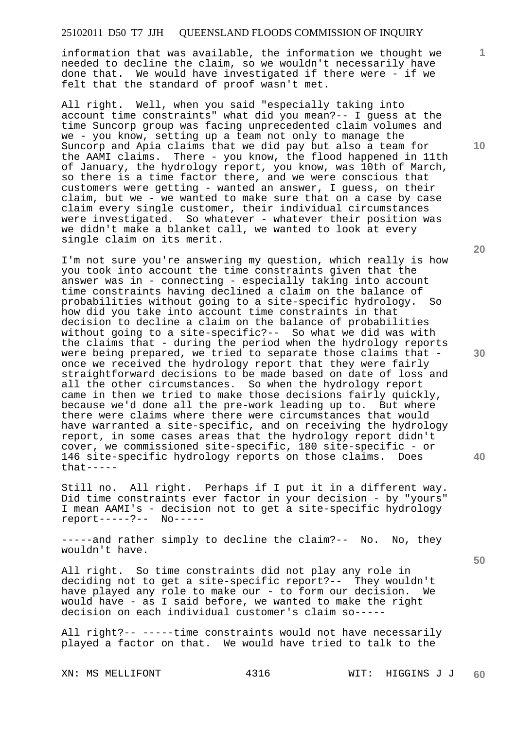information that was available, the information we thought we needed to decline the claim, so we wouldn't necessarily have done that. We would have investigated if there were - if we felt that the standard of proof wasn't met.

All right. Well, when you said "especially taking into account time constraints" what did you mean?-- I guess at the time Suncorp group was facing unprecedented claim volumes and we - you know, setting up a team not only to manage the Suncorp and Apia claims that we did pay but also a team for the AAMI claims. There - you know, the flood happened in 11th of January, the hydrology report, you know, was 10th of March, so there is a time factor there, and we were conscious that customers were getting - wanted an answer, I guess, on their claim, but we - we wanted to make sure that on a case by case claim every single customer, their individual circumstances were investigated. So whatever - whatever their position was we didn't make a blanket call, we wanted to look at every single claim on its merit.

I'm not sure you're answering my question, which really is how you took into account the time constraints given that the answer was in - connecting - especially taking into account time constraints having declined a claim on the balance of probabilities without going to a site-specific hydrology. So how did you take into account time constraints in that decision to decline a claim on the balance of probabilities without going to a site-specific?-- So what we did was with the claims that - during the period when the hydrology reports were being prepared, we tried to separate those claims that once we received the hydrology report that they were fairly straightforward decisions to be made based on date of loss and all the other circumstances. So when the hydrology report came in then we tried to make those decisions fairly quickly, because we'd done all the pre-work leading up to. But where there were claims where there were circumstances that would have warranted a site-specific, and on receiving the hydrology report, in some cases areas that the hydrology report didn't cover, we commissioned site-specific, 180 site-specific - or 146 site-specific hydrology reports on those claims. Does  $that---$ 

Still no. All right. Perhaps if I put it in a different way. Did time constraints ever factor in your decision - by "yours" I mean AAMI's - decision not to get a site-specific hydrology report-----?-- No-----

-----and rather simply to decline the claim?-- No. No, they wouldn't have.

All right. So time constraints did not play any role in deciding not to get a site-specific report?-- They wouldn't have played any role to make our - to form our decision. We would have - as I said before, we wanted to make the right decision on each individual customer's claim so-----

All right?-- -----time constraints would not have necessarily played a factor on that. We would have tried to talk to the

**10** 

**1**

**20** 

**30** 

**40**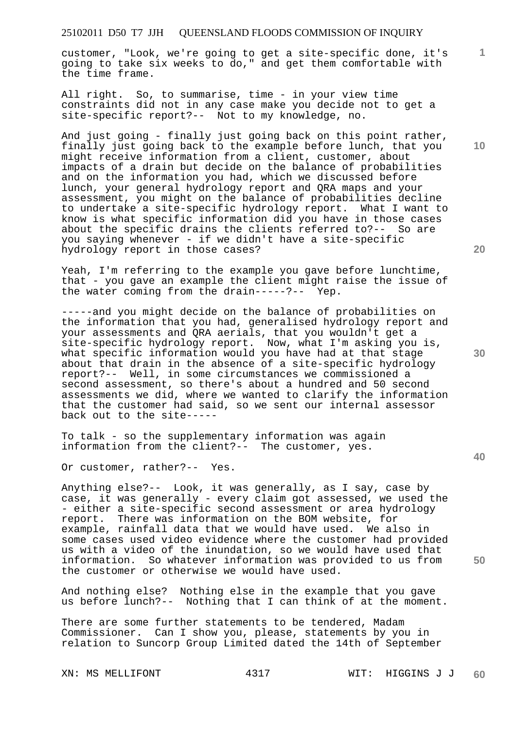customer, "Look, we're going to get a site-specific done, it's going to take six weeks to do," and get them comfortable with the time frame.

All right. So, to summarise, time - in your view time constraints did not in any case make you decide not to get a site-specific report?-- Not to my knowledge, no.

And just going - finally just going back on this point rather, finally just going back to the example before lunch, that you might receive information from a client, customer, about impacts of a drain but decide on the balance of probabilities and on the information you had, which we discussed before lunch, your general hydrology report and QRA maps and your assessment, you might on the balance of probabilities decline to undertake a site-specific hydrology report. What I want to know is what specific information did you have in those cases about the specific drains the clients referred to?-- So are you saying whenever - if we didn't have a site-specific hydrology report in those cases?

Yeah, I'm referring to the example you gave before lunchtime, that - you gave an example the client might raise the issue of the water coming from the drain-----?-- Yep.

-----and you might decide on the balance of probabilities on the information that you had, generalised hydrology report and your assessments and QRA aerials, that you wouldn't get a site-specific hydrology report. Now, what I'm asking you is, what specific information would you have had at that stage about that drain in the absence of a site-specific hydrology report?-- Well, in some circumstances we commissioned a second assessment, so there's about a hundred and 50 second assessments we did, where we wanted to clarify the information that the customer had said, so we sent our internal assessor back out to the site-----

To talk - so the supplementary information was again information from the client?-- The customer, yes.

Or customer, rather?-- Yes.

Anything else?-- Look, it was generally, as I say, case by case, it was generally - every claim got assessed, we used the - either a site-specific second assessment or area hydrology report. There was information on the BOM website, for example, rainfall data that we would have used. We also in some cases used video evidence where the customer had provided us with a video of the inundation, so we would have used that information. So whatever information was provided to us from the customer or otherwise we would have used.

And nothing else? Nothing else in the example that you gave us before lunch?-- Nothing that I can think of at the moment.

There are some further statements to be tendered, Madam Commissioner. Can I show you, please, statements by you in relation to Suncorp Group Limited dated the 14th of September

**10** 

**1**

**30** 

**40**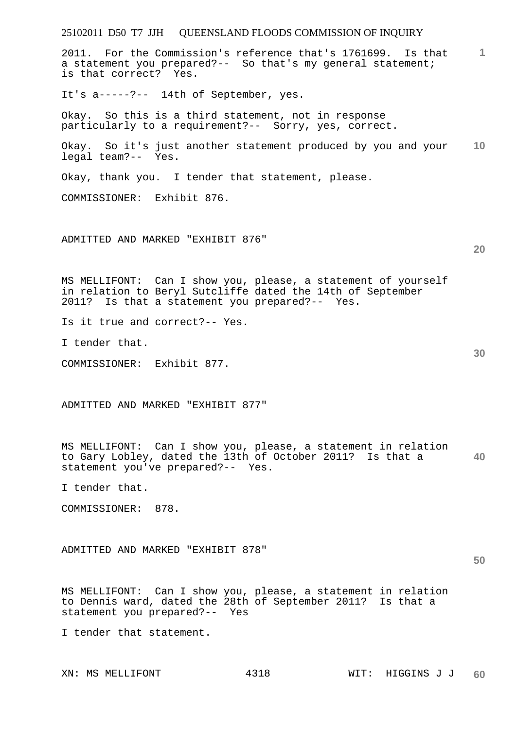| 25102011 D50 T7 JJH QUEENSLAND FLOODS COMMISSION OF INQUIRY                                                                                                                   |      |                  |                 |
|-------------------------------------------------------------------------------------------------------------------------------------------------------------------------------|------|------------------|-----------------|
| 2011. For the Commission's reference that's 1761699. Is that<br>a statement you prepared?-- So that's my general statement;<br>is that correct? Yes.                          |      |                  | $\mathbf{1}$    |
| It's a ----- ?-- 14th of September, yes.                                                                                                                                      |      |                  |                 |
| Okay. So this is a third statement, not in response<br>particularly to a requirement?-- Sorry, yes, correct.                                                                  |      |                  |                 |
| Okay. So it's just another statement produced by you and your<br>legal team?-- Yes.                                                                                           |      |                  | 10 <sup>°</sup> |
| Okay, thank you. I tender that statement, please.                                                                                                                             |      |                  |                 |
| COMMISSIONER: Exhibit 876.                                                                                                                                                    |      |                  |                 |
| ADMITTED AND MARKED "EXHIBIT 876"                                                                                                                                             |      |                  | 20              |
| MS MELLIFONT: Can I show you, please, a statement of yourself<br>in relation to Beryl Sutcliffe dated the 14th of September<br>2011? Is that a statement you prepared?-- Yes. |      |                  |                 |
| Is it true and correct?-- Yes.                                                                                                                                                |      |                  |                 |
| I tender that.                                                                                                                                                                |      |                  | 30              |
| COMMISSIONER: Exhibit 877.                                                                                                                                                    |      |                  |                 |
| ADMITTED AND MARKED "EXHIBIT 877"                                                                                                                                             |      |                  |                 |
| MS MELLIFONT: Can I show you, please, a statement in relation<br>to Gary Lobley, dated the 13th of October 2011? Is that a<br>statement you've prepared?-- Yes.               |      |                  | 40              |
| I tender that.                                                                                                                                                                |      |                  |                 |
| COMMISSIONER: 878.                                                                                                                                                            |      |                  |                 |
| ADMITTED AND MARKED "EXHIBIT 878"                                                                                                                                             |      |                  | 50              |
| MS MELLIFONT: Can I show you, please, a statement in relation<br>to Dennis ward, dated the 28th of September 2011? Is that a<br>statement you prepared?-- Yes                 |      |                  |                 |
| I tender that statement.                                                                                                                                                      |      |                  |                 |
| XN: MS MELLIFONT                                                                                                                                                              | 4318 | WIT: HIGGINS J J | 60              |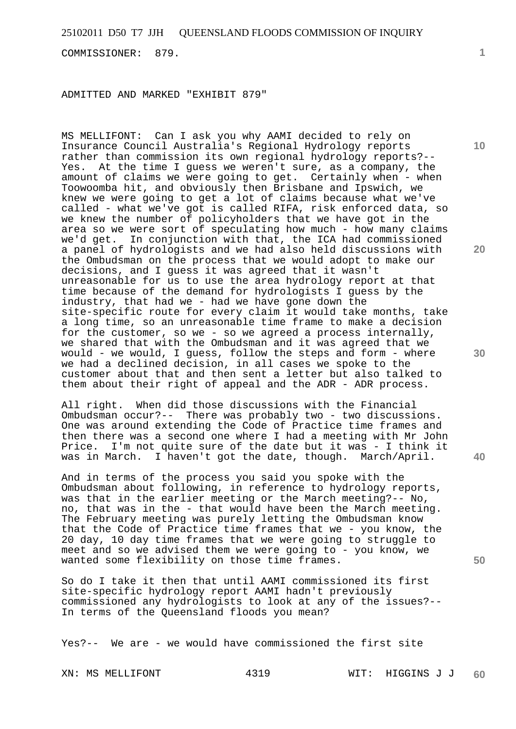COMMISSIONER: 879.

ADMITTED AND MARKED "EXHIBIT 879"

MS MELLIFONT: Can I ask you why AAMI decided to rely on Insurance Council Australia's Regional Hydrology reports rather than commission its own regional hydrology reports?-- Yes. At the time I guess we weren't sure, as a company, the amount of claims we were going to get. Certainly when - when Toowoomba hit, and obviously then Brisbane and Ipswich, we knew we were going to get a lot of claims because what we've called - what we've got is called RIFA, risk enforced data, so we knew the number of policyholders that we have got in the area so we were sort of speculating how much - how many claims we'd get. In conjunction with that, the ICA had commissioned a panel of hydrologists and we had also held discussions with the Ombudsman on the process that we would adopt to make our decisions, and I guess it was agreed that it wasn't unreasonable for us to use the area hydrology report at that time because of the demand for hydrologists I guess by the industry, that had we - had we have gone down the site-specific route for every claim it would take months, take a long time, so an unreasonable time frame to make a decision for the customer, so we - so we agreed a process internally, we shared that with the Ombudsman and it was agreed that we would - we would, I guess, follow the steps and form - where we had a declined decision, in all cases we spoke to the customer about that and then sent a letter but also talked to them about their right of appeal and the ADR - ADR process.

All right. When did those discussions with the Financial Ombudsman occur?-- There was probably two - two discussions. One was around extending the Code of Practice time frames and then there was a second one where I had a meeting with Mr John Price. I'm not quite sure of the date but it was - I think it was in March. I haven't got the date, though. March/April.

And in terms of the process you said you spoke with the Ombudsman about following, in reference to hydrology reports, was that in the earlier meeting or the March meeting?-- No, no, that was in the - that would have been the March meeting. The February meeting was purely letting the Ombudsman know that the Code of Practice time frames that we - you know, the 20 day, 10 day time frames that we were going to struggle to meet and so we advised them we were going to - you know, we wanted some flexibility on those time frames.

So do I take it then that until AAMI commissioned its first site-specific hydrology report AAMI hadn't previously commissioned any hydrologists to look at any of the issues?-- In terms of the Queensland floods you mean?

Yes?-- We are - we would have commissioned the first site

**1**

**20** 

**30** 

**40** 

**50**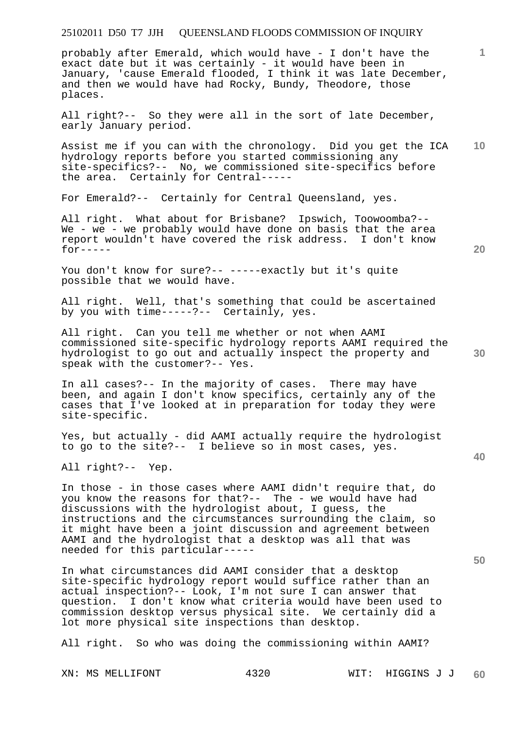probably after Emerald, which would have - I don't have the exact date but it was certainly - it would have been in January, 'cause Emerald flooded, I think it was late December, and then we would have had Rocky, Bundy, Theodore, those places.

All right?-- So they were all in the sort of late December, early January period.

**10**  Assist me if you can with the chronology. Did you get the ICA hydrology reports before you started commissioning any site-specifics?-- No, we commissioned site-specifics before the area. Certainly for Central-----

For Emerald?-- Certainly for Central Queensland, yes.

All right. What about for Brisbane? Ipswich, Toowoomba?-- We - we - we probably would have done on basis that the area report wouldn't have covered the risk address. I don't know  $for---$ 

You don't know for sure?-- -----exactly but it's quite possible that we would have.

All right. Well, that's something that could be ascertained by you with time-----?-- Certainly, yes.

All right. Can you tell me whether or not when AAMI commissioned site-specific hydrology reports AAMI required the hydrologist to go out and actually inspect the property and speak with the customer?-- Yes.

In all cases?-- In the majority of cases. There may have been, and again I don't know specifics, certainly any of the cases that I've looked at in preparation for today they were site-specific.

Yes, but actually - did AAMI actually require the hydrologist to go to the site?-- I believe so in most cases, yes.

All right?-- Yep.

In those - in those cases where AAMI didn't require that, do you know the reasons for that?-- The - we would have had discussions with the hydrologist about, I guess, the instructions and the circumstances surrounding the claim, so it might have been a joint discussion and agreement between AAMI and the hydrologist that a desktop was all that was needed for this particular-----

In what circumstances did AAMI consider that a desktop site-specific hydrology report would suffice rather than an actual inspection?-- Look, I'm not sure I can answer that question. I don't know what criteria would have been used to commission desktop versus physical site. We certainly did a lot more physical site inspections than desktop.

All right. So who was doing the commissioning within AAMI?

**20** 

**40** 

**50**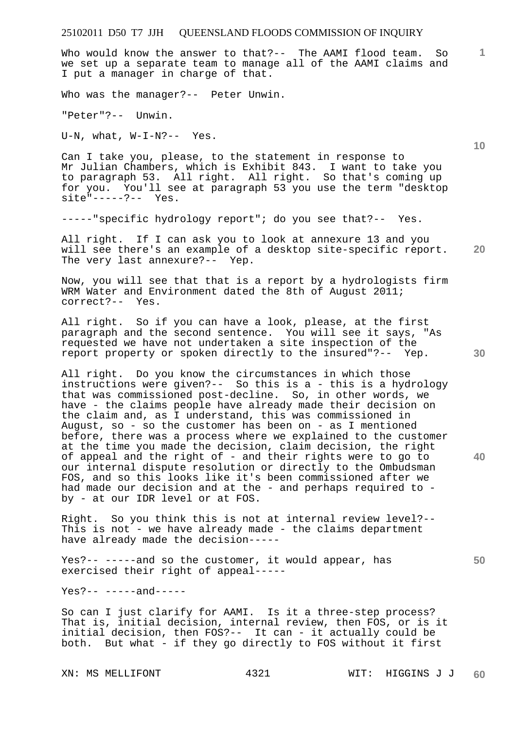Who would know the answer to that?-- The AAMI flood team. So we set up a separate team to manage all of the AAMI claims and I put a manager in charge of that.

Who was the manager?-- Peter Unwin.

"Peter"?-- Unwin.

U-N, what, W-I-N?-- Yes.

Can I take you, please, to the statement in response to Mr Julian Chambers, which is Exhibit 843. I want to take you to paragraph 53. All right. All right. So that's coming up for you. You'll see at paragraph 53 you use the term "desktop site"-----?-- Yes.

-----"specific hydrology report"; do you see that?-- Yes.

**20**  All right. If I can ask you to look at annexure 13 and you will see there's an example of a desktop site-specific report. The very last annexure?-- Yep.

Now, you will see that that is a report by a hydrologists firm WRM Water and Environment dated the 8th of August 2011; correct?-- Yes.

All right. So if you can have a look, please, at the first paragraph and the second sentence. You will see it says, "As requested we have not undertaken a site inspection of the report property or spoken directly to the insured"?-- Yep.

All right. Do you know the circumstances in which those instructions were given?-- So this is a - this is a hydrology that was commissioned post-decline. So, in other words, we have - the claims people have already made their decision on the claim and, as I understand, this was commissioned in August, so - so the customer has been on - as I mentioned before, there was a process where we explained to the customer at the time you made the decision, claim decision, the right of appeal and the right of - and their rights were to go to our internal dispute resolution or directly to the Ombudsman FOS, and so this looks like it's been commissioned after we had made our decision and at the - and perhaps required to by - at our IDR level or at FOS.

Right. So you think this is not at internal review level?-- This is not - we have already made - the claims department have already made the decision-----

Yes?-- -----and so the customer, it would appear, has exercised their right of appeal-----

Yes?-- -----and-----

So can I just clarify for AAMI. Is it a three-step process? That is, initial decision, internal review, then FOS, or is it initial decision, then FOS?-- It can - it actually could be both. But what - if they go directly to FOS without it first

**30** 

**40** 

**50** 

**10**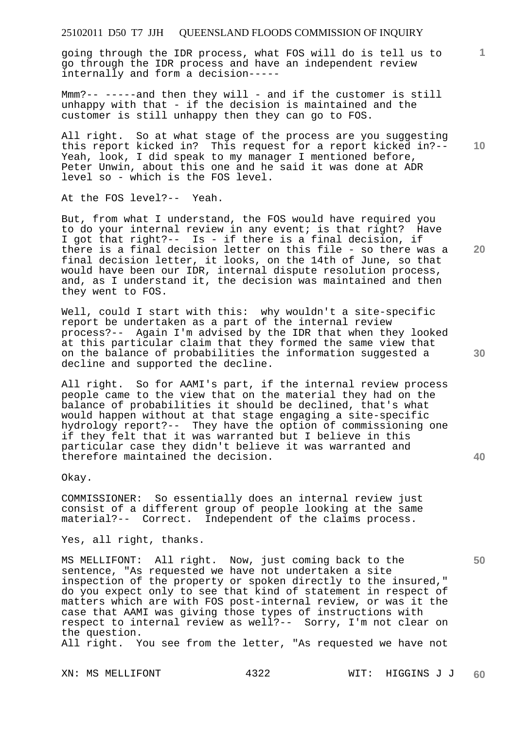going through the IDR process, what FOS will do is tell us to go through the IDR process and have an independent review internally and form a decision-----

Mmm?-- -----and then they will - and if the customer is still unhappy with that - if the decision is maintained and the customer is still unhappy then they can go to FOS.

All right. So at what stage of the process are you suggesting this report kicked in? This request for a report kicked in?-- Yeah, look, I did speak to my manager I mentioned before, Peter Unwin, about this one and he said it was done at ADR level so - which is the FOS level.

At the FOS level?-- Yeah.

But, from what I understand, the FOS would have required you to do your internal review in any event; is that right? Have I got that right?-- Is - if there is a final decision, if there is a final decision letter on this file - so there was a final decision letter, it looks, on the 14th of June, so that would have been our IDR, internal dispute resolution process, and, as I understand it, the decision was maintained and then they went to FOS.

Well, could I start with this: why wouldn't a site-specific report be undertaken as a part of the internal review process?-- Again I'm advised by the IDR that when they looked at this particular claim that they formed the same view that on the balance of probabilities the information suggested a decline and supported the decline.

All right. So for AAMI's part, if the internal review process people came to the view that on the material they had on the balance of probabilities it should be declined, that's what would happen without at that stage engaging a site-specific hydrology report?-- They have the option of commissioning one if they felt that it was warranted but I believe in this particular case they didn't believe it was warranted and therefore maintained the decision.

Okay.

COMMISSIONER: So essentially does an internal review just consist of a different group of people looking at the same material?-- Correct. Independent of the claims process.

Yes, all right, thanks.

MS MELLIFONT: All right. Now, just coming back to the sentence, "As requested we have not undertaken a site inspection of the property or spoken directly to the insured," do you expect only to see that kind of statement in respect of matters which are with FOS post-internal review, or was it the case that AAMI was giving those types of instructions with respect to internal review as well?-- Sorry, I'm not clear on the question.

All right. You see from the letter, "As requested we have not

**10** 

**1**

**20** 

**40**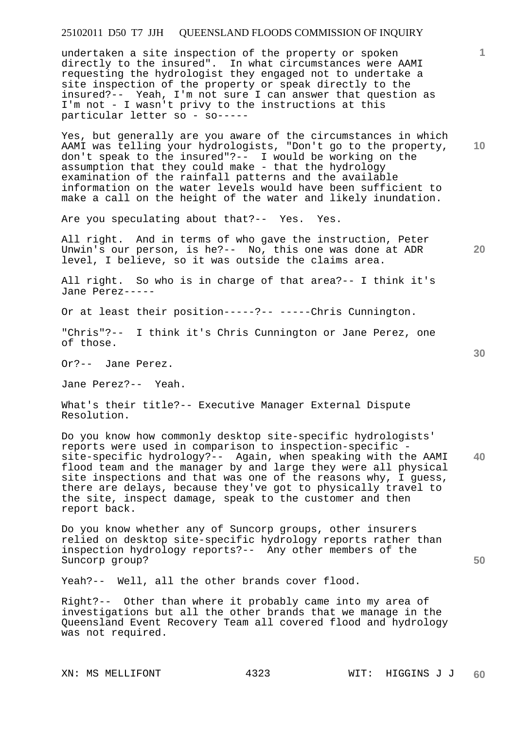undertaken a site inspection of the property or spoken directly to the insured". In what circumstances were AAMI requesting the hydrologist they engaged not to undertake a site inspection of the property or speak directly to the insured?-- Yeah, I'm not sure I can answer that question as I'm not - I wasn't privy to the instructions at this particular letter so - so-----

Yes, but generally are you aware of the circumstances in which AAMI was telling your hydrologists, "Don't go to the property, don't speak to the insured"?-- I would be working on the assumption that they could make - that the hydrology examination of the rainfall patterns and the available information on the water levels would have been sufficient to make a call on the height of the water and likely inundation.

Are you speculating about that?-- Yes. Yes.

All right. And in terms of who gave the instruction, Peter Unwin's our person, is he?-- No, this one was done at ADR level, I believe, so it was outside the claims area.

All right. So who is in charge of that area?-- I think it's Jane Perez-----

Or at least their position-----?-- -----Chris Cunnington.

"Chris"?-- I think it's Chris Cunnington or Jane Perez, one of those.

Or?-- Jane Perez.

Jane Perez?-- Yeah.

What's their title?-- Executive Manager External Dispute Resolution.

**40**  Do you know how commonly desktop site-specific hydrologists' reports were used in comparison to inspection-specific site-specific hydrology?-- Again, when speaking with the AAMI flood team and the manager by and large they were all physical site inspections and that was one of the reasons why, I guess, there are delays, because they've got to physically travel to the site, inspect damage, speak to the customer and then report back.

Do you know whether any of Suncorp groups, other insurers relied on desktop site-specific hydrology reports rather than inspection hydrology reports?-- Any other members of the Suncorp group?

Yeah?-- Well, all the other brands cover flood.

Right?-- Other than where it probably came into my area of investigations but all the other brands that we manage in the Queensland Event Recovery Team all covered flood and hydrology was not required.

**50** 

**20** 

**10**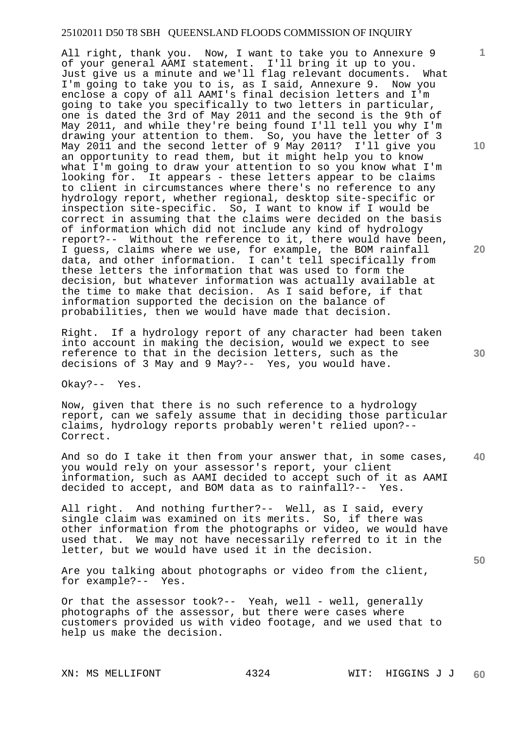All right, thank you. Now, I want to take you to Annexure 9 of your general AAMI statement. I'll bring it up to you. Just give us a minute and we'll flag relevant documents. What I'm going to take you to is, as I said, Annexure 9. Now you enclose a copy of all AAMI's final decision letters and I'm going to take you specifically to two letters in particular, one is dated the 3rd of May 2011 and the second is the 9th of May 2011, and while they're being found I'll tell you why I'm drawing your attention to them. So, you have the letter of 3 May 2011 and the second letter of 9 May 2011? I'll give you an opportunity to read them, but it might help you to know what I'm going to draw your attention to so you know what I'm looking for. It appears - these letters appear to be claims to client in circumstances where there's no reference to any hydrology report, whether regional, desktop site-specific or inspection site-specific. So, I want to know if I would be correct in assuming that the claims were decided on the basis of information which did not include any kind of hydrology report?-- Without the reference to it, there would have been, I guess, claims where we use, for example, the BOM rainfall data, and other information. I can't tell specifically from these letters the information that was used to form the decision, but whatever information was actually available at the time to make that decision. As I said before, if that information supported the decision on the balance of probabilities, then we would have made that decision.

Right. If a hydrology report of any character had been taken into account in making the decision, would we expect to see reference to that in the decision letters, such as the decisions of 3 May and 9 May?-- Yes, you would have.

Okay?-- Yes.

Now, given that there is no such reference to a hydrology report, can we safely assume that in deciding those particular claims, hydrology reports probably weren't relied upon?-- Correct.

**40**  And so do I take it then from your answer that, in some cases, you would rely on your assessor's report, your client information, such as AAMI decided to accept such of it as AAMI decided to accept, and BOM data as to rainfall?-- Yes.

All right. And nothing further?-- Well, as I said, every single claim was examined on its merits. So, if there was other information from the photographs or video, we would have used that. We may not have necessarily referred to it in the letter, but we would have used it in the decision.

Are you talking about photographs or video from the client, for example?-- Yes.

Or that the assessor took?-- Yeah, well - well, generally photographs of the assessor, but there were cases where customers provided us with video footage, and we used that to help us make the decision.

**10** 

**1**

**20** 

**30**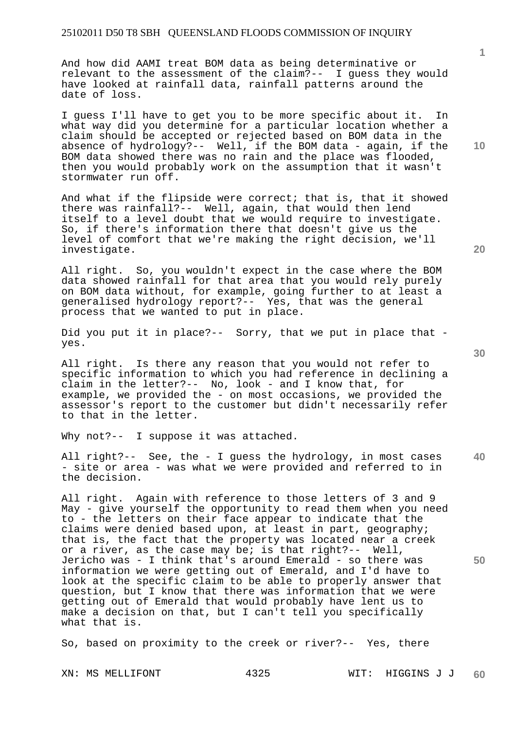And how did AAMI treat BOM data as being determinative or relevant to the assessment of the claim?-- I guess they would have looked at rainfall data, rainfall patterns around the date of loss.

I guess I'll have to get you to be more specific about it. In what way did you determine for a particular location whether a claim should be accepted or rejected based on BOM data in the absence of hydrology?-- Well, if the BOM data - again, if the BOM data showed there was no rain and the place was flooded, then you would probably work on the assumption that it wasn't stormwater run off.

And what if the flipside were correct; that is, that it showed there was rainfall?-- Well, again, that would then lend itself to a level doubt that we would require to investigate. So, if there's information there that doesn't give us the level of comfort that we're making the right decision, we'll investigate.

All right. So, you wouldn't expect in the case where the BOM data showed rainfall for that area that you would rely purely on BOM data without, for example, going further to at least a generalised hydrology report?-- Yes, that was the general process that we wanted to put in place.

Did you put it in place?-- Sorry, that we put in place that yes.

All right. Is there any reason that you would not refer to specific information to which you had reference in declining a claim in the letter?-- No, look - and I know that, for example, we provided the - on most occasions, we provided the assessor's report to the customer but didn't necessarily refer to that in the letter.

Why not?-- I suppose it was attached.

**40**  All right?-- See, the - I guess the hydrology, in most cases - site or area - was what we were provided and referred to in the decision.

All right. Again with reference to those letters of 3 and 9 May - give yourself the opportunity to read them when you need to - the letters on their face appear to indicate that the claims were denied based upon, at least in part, geography; that is, the fact that the property was located near a creek or a river, as the case may be; is that right?-- Well, Jericho was - I think that's around Emerald - so there was information we were getting out of Emerald, and I'd have to look at the specific claim to be able to properly answer that question, but I know that there was information that we were getting out of Emerald that would probably have lent us to make a decision on that, but I can't tell you specifically what that is.

So, based on proximity to the creek or river?-- Yes, there

**10** 

**1**

**30** 

**50**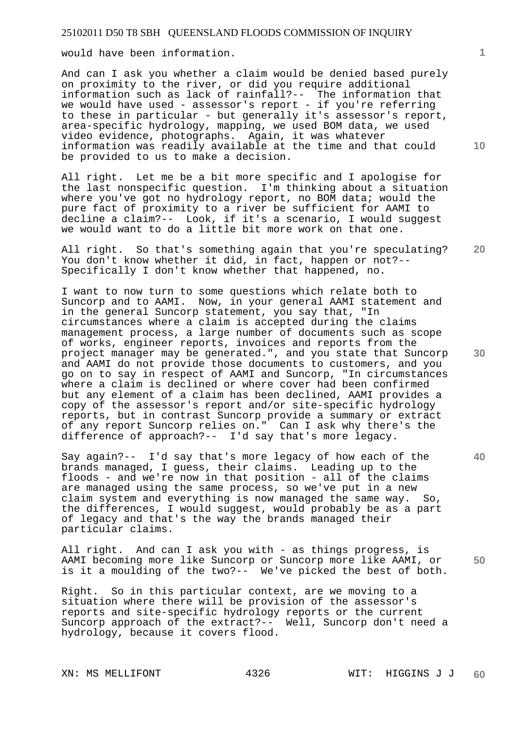would have been information.

And can I ask you whether a claim would be denied based purely on proximity to the river, or did you require additional information such as lack of rainfall?-- The information that we would have used - assessor's report - if you're referring to these in particular - but generally it's assessor's report, area-specific hydrology, mapping, we used BOM data, we used video evidence, photographs. Again, it was whatever information was readily available at the time and that could be provided to us to make a decision.

All right. Let me be a bit more specific and I apologise for the last nonspecific question. I'm thinking about a situation where you've got no hydrology report, no BOM data; would the pure fact of proximity to a river be sufficient for AAMI to decline a claim?-- Look, if it's a scenario, I would suggest we would want to do a little bit more work on that one.

All right. So that's something again that you're speculating? You don't know whether it did, in fact, happen or not?-- Specifically I don't know whether that happened, no.

I want to now turn to some questions which relate both to Suncorp and to AAMI. Now, in your general AAMI statement and in the general Suncorp statement, you say that, "In circumstances where a claim is accepted during the claims management process, a large number of documents such as scope of works, engineer reports, invoices and reports from the project manager may be generated.", and you state that Suncorp and AAMI do not provide those documents to customers, and you go on to say in respect of AAMI and Suncorp, "In circumstances where a claim is declined or where cover had been confirmed but any element of a claim has been declined, AAMI provides a copy of the assessor's report and/or site-specific hydrology reports, but in contrast Suncorp provide a summary or extract of any report Suncorp relies on." Can I ask why there's the difference of approach?-- I'd say that's more legacy.

Say again?-- I'd say that's more legacy of how each of the brands managed, I guess, their claims. Leading up to the floods - and we're now in that position - all of the claims are managed using the same process, so we've put in a new claim system and everything is now managed the same way. So, the differences, I would suggest, would probably be as a part of legacy and that's the way the brands managed their particular claims.

All right. And can I ask you with - as things progress, is AAMI becoming more like Suncorp or Suncorp more like AAMI, or is it a moulding of the two?-- We've picked the best of both.

Right. So in this particular context, are we moving to a situation where there will be provision of the assessor's reports and site-specific hydrology reports or the current Suncorp approach of the extract?-- Well, Suncorp don't need a hydrology, because it covers flood.

**10** 

**20** 

**30** 

**50**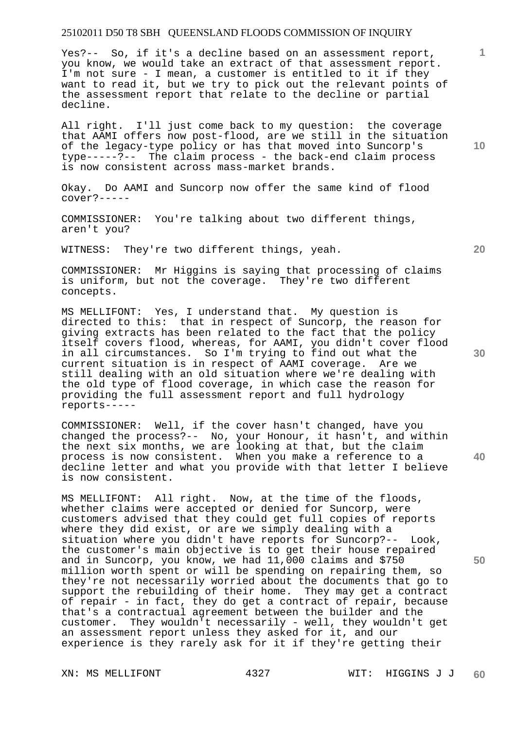Yes?-- So, if it's a decline based on an assessment report, you know, we would take an extract of that assessment report. I'm not sure - I mean, a customer is entitled to it if they want to read it, but we try to pick out the relevant points of the assessment report that relate to the decline or partial decline.

All right. I'll just come back to my question: the coverage that AAMI offers now post-flood, are we still in the situation of the legacy-type policy or has that moved into Suncorp's type-----?-- The claim process - the back-end claim process is now consistent across mass-market brands.

Okay. Do AAMI and Suncorp now offer the same kind of flood cover?-----

COMMISSIONER: You're talking about two different things, aren't you?

WITNESS: They're two different things, yeah.

COMMISSIONER: Mr Higgins is saying that processing of claims is uniform, but not the coverage. They're two different concepts.

MS MELLIFONT: Yes, I understand that. My question is directed to this: that in respect of Suncorp, the reason for giving extracts has been related to the fact that the policy itself covers flood, whereas, for AAMI, you didn't cover flood in all circumstances. So I'm trying to find out what the current situation is in respect of AAMI coverage. Are we still dealing with an old situation where we're dealing with the old type of flood coverage, in which case the reason for providing the full assessment report and full hydrology reports-----

COMMISSIONER: Well, if the cover hasn't changed, have you changed the process?-- No, your Honour, it hasn't, and within the next six months, we are looking at that, but the claim process is now consistent. When you make a reference to a decline letter and what you provide with that letter I believe is now consistent.

MS MELLIFONT: All right. Now, at the time of the floods, whether claims were accepted or denied for Suncorp, were customers advised that they could get full copies of reports where they did exist, or are we simply dealing with a situation where you didn't have reports for Suncorp?-- Look, the customer's main objective is to get their house repaired and in Suncorp, you know, we had 11,000 claims and \$750 million worth spent or will be spending on repairing them, so they're not necessarily worried about the documents that go to support the rebuilding of their home. They may get a contract of repair - in fact, they do get a contract of repair, because that's a contractual agreement between the builder and the customer. They wouldn't necessarily - well, they wouldn't get an assessment report unless they asked for it, and our experience is they rarely ask for it if they're getting their

**10** 

**1**

**30** 

**40** 

**50**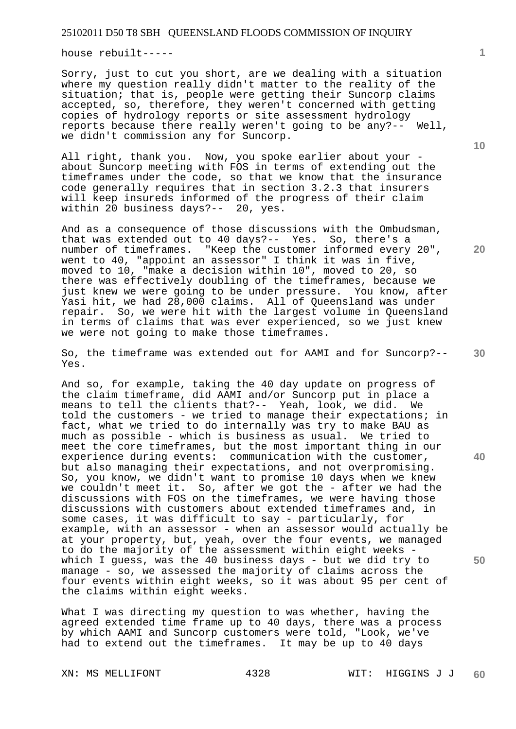house rebuilt-----

Sorry, just to cut you short, are we dealing with a situation where my question really didn't matter to the reality of the situation; that is, people were getting their Suncorp claims accepted, so, therefore, they weren't concerned with getting copies of hydrology reports or site assessment hydrology reports because there really weren't going to be any?-- Well, we didn't commission any for Suncorp.

All right, thank you. Now, you spoke earlier about your about Suncorp meeting with FOS in terms of extending out the timeframes under the code, so that we know that the insurance code generally requires that in section 3.2.3 that insurers will keep insureds informed of the progress of their claim within 20 business days?-- 20, yes.

And as a consequence of those discussions with the Ombudsman, that was extended out to 40 days?-- Yes. So, there's a number of timeframes. "Keep the customer informed every 20", went to 40, "appoint an assessor" I think it was in five, went to 40, appoint an assessor I chain it was in five,<br>moved to 10, "make a decision within 10", moved to 20, so there was effectively doubling of the timeframes, because we just knew we were going to be under pressure. You know, after Yasi hit, we had 28,000 claims. All of Queensland was under repair. So, we were hit with the largest volume in Queensland in terms of claims that was ever experienced, so we just knew we were not going to make those timeframes.

So, the timeframe was extended out for AAMI and for Suncorp?-- Yes.

And so, for example, taking the 40 day update on progress of the claim timeframe, did AAMI and/or Suncorp put in place a means to tell the clients that?-- Yeah, look, we did. We told the customers - we tried to manage their expectations; in fact, what we tried to do internally was try to make BAU as much as possible - which is business as usual. We tried to meet the core timeframes, but the most important thing in our experience during events: communication with the customer, but also managing their expectations, and not overpromising. So, you know, we didn't want to promise 10 days when we knew we couldn't meet it. So, after we got the - after we had the discussions with FOS on the timeframes, we were having those discussions with customers about extended timeframes and, in some cases, it was difficult to say - particularly, for example, with an assessor - when an assessor would actually be at your property, but, yeah, over the four events, we managed to do the majority of the assessment within eight weeks which I guess, was the 40 business days - but we did try to manage - so, we assessed the majority of claims across the four events within eight weeks, so it was about 95 per cent of the claims within eight weeks.

What I was directing my question to was whether, having the agreed extended time frame up to 40 days, there was a process by which AAMI and Suncorp customers were told, "Look, we've had to extend out the timeframes. It may be up to 40 days

**1**

**10** 

**20** 

**30** 

**40**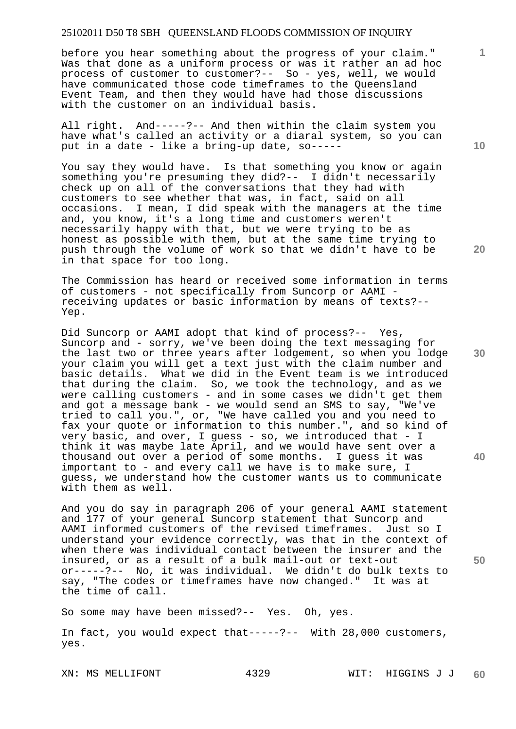before you hear something about the progress of your claim." Was that done as a uniform process or was it rather an ad hoc process of customer to customer?-- So - yes, well, we would have communicated those code timeframes to the Queensland Event Team, and then they would have had those discussions with the customer on an individual basis.

All right. And-----?-- And then within the claim system you have what's called an activity or a diaral system, so you can put in a date - like a bring-up date, so-----

You say they would have. Is that something you know or again something you're presuming they did?-- I didn't necessarily check up on all of the conversations that they had with customers to see whether that was, in fact, said on all occasions. I mean, I did speak with the managers at the time and, you know, it's a long time and customers weren't necessarily happy with that, but we were trying to be as honest as possible with them, but at the same time trying to push through the volume of work so that we didn't have to be in that space for too long.

The Commission has heard or received some information in terms of customers - not specifically from Suncorp or AAMI receiving updates or basic information by means of texts?-- Yep.

Did Suncorp or AAMI adopt that kind of process?-- Yes, Suncorp and - sorry, we've been doing the text messaging for the last two or three years after lodgement, so when you lodge your claim you will get a text just with the claim number and basic details. What we did in the Event team is we introduced that during the claim. So, we took the technology, and as we were calling customers - and in some cases we didn't get them and got a message bank - we would send an SMS to say, "We've tried to call you.", or, "We have called you and you need to fax your quote or information to this number.", and so kind of very basic, and over, I guess - so, we introduced that - I think it was maybe late April, and we would have sent over a thousand out over a period of some months. I guess it was important to - and every call we have is to make sure, I guess, we understand how the customer wants us to communicate with them as well.

And you do say in paragraph 206 of your general AAMI statement and 177 of your general Suncorp statement that Suncorp and AAMI informed customers of the revised timeframes. Just so I understand your evidence correctly, was that in the context of when there was individual contact between the insurer and the insured, or as a result of a bulk mail-out or text-out or-----?-- No, it was individual. We didn't do bulk texts to say, "The codes or timeframes have now changed." It was at the time of call.

So some may have been missed?-- Yes. Oh, yes.

In fact, you would expect that-----?-- With 28,000 customers, yes.

**10** 

**1**

**30** 

**20** 

**40**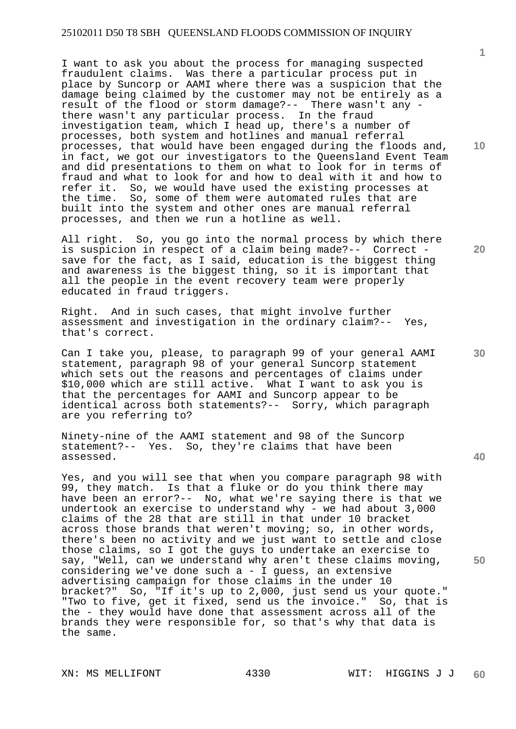I want to ask you about the process for managing suspected fraudulent claims. Was there a particular process put in place by Suncorp or AAMI where there was a suspicion that the damage being claimed by the customer may not be entirely as a result of the flood or storm damage?-- There wasn't any there wasn't any particular process. In the fraud investigation team, which I head up, there's a number of processes, both system and hotlines and manual referral processes, that would have been engaged during the floods and, in fact, we got our investigators to the Queensland Event Team and did presentations to them on what to look for in terms of fraud and what to look for and how to deal with it and how to refer it. So, we would have used the existing processes at So, we would have used the existing processes at the time. So, some of them were automated rules that are built into the system and other ones are manual referral processes, and then we run a hotline as well.

All right. So, you go into the normal process by which there is suspicion in respect of a claim being made?-- Correct save for the fact, as I said, education is the biggest thing and awareness is the biggest thing, so it is important that all the people in the event recovery team were properly educated in fraud triggers.

Right. And in such cases, that might involve further assessment and investigation in the ordinary claim?-- Yes, that's correct.

Can I take you, please, to paragraph 99 of your general AAMI statement, paragraph 98 of your general Suncorp statement which sets out the reasons and percentages of claims under \$10,000 which are still active. What I want to ask you is that the percentages for AAMI and Suncorp appear to be identical across both statements?-- Sorry, which paragraph are you referring to?

Ninety-nine of the AAMI statement and 98 of the Suncorp statement?-- Yes. So, they're claims that have been assessed.

Yes, and you will see that when you compare paragraph 98 with 99, they match. Is that a fluke or do you think there may have been an error?-- No, what we're saying there is that we undertook an exercise to understand why - we had about 3,000 claims of the 28 that are still in that under 10 bracket across those brands that weren't moving; so, in other words, there's been no activity and we just want to settle and close those claims, so I got the guys to undertake an exercise to say, "Well, can we understand why aren't these claims moving, considering we've done such a - I guess, an extensive advertising campaign for those claims in the under 10 bracket?" So, "If it's up to 2,000, just send us your quote." "Two to five, get it fixed, send us the invoice." So, that is the - they would have done that assessment across all of the brands they were responsible for, so that's why that data is the same.

**10** 

**1**

**20** 

**40**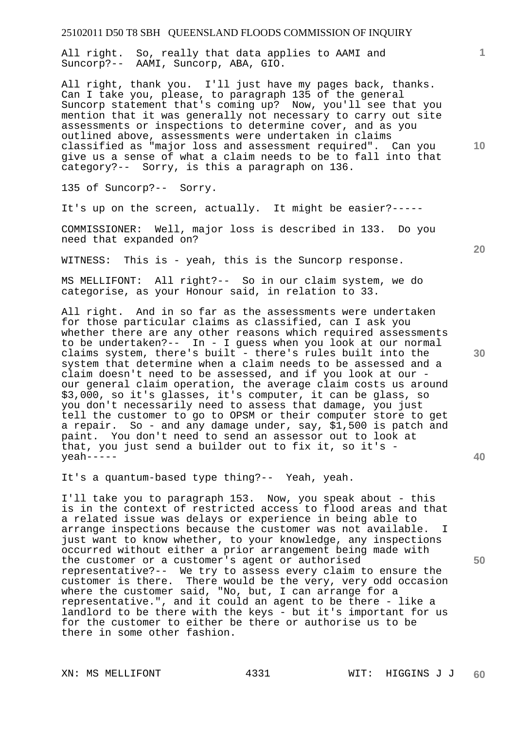All right. So, really that data applies to AAMI and Suncorp?-- AAMI, Suncorp, ABA, GIO.

All right, thank you. I'll just have my pages back, thanks. Can I take you, please, to paragraph 135 of the general Suncorp statement that's coming up? Now, you'll see that you mention that it was generally not necessary to carry out site assessments or inspections to determine cover, and as you outlined above, assessments were undertaken in claims classified as "major loss and assessment required". Can you give us a sense of what a claim needs to be to fall into that category?-- Sorry, is this a paragraph on 136.

135 of Suncorp?-- Sorry.

It's up on the screen, actually. It might be easier?-----

COMMISSIONER: Well, major loss is described in 133. Do you need that expanded on?

WITNESS: This is - yeah, this is the Suncorp response.

MS MELLIFONT: All right?-- So in our claim system, we do categorise, as your Honour said, in relation to 33.

All right. And in so far as the assessments were undertaken for those particular claims as classified, can I ask you whether there are any other reasons which required assessments to be undertaken?-- In - I guess when you look at our normal claims system, there's built - there's rules built into the system that determine when a claim needs to be assessed and a claim doesn't need to be assessed, and if you look at our our general claim operation, the average claim costs us around \$3,000, so it's glasses, it's computer, it can be glass, so you don't necessarily need to assess that damage, you just tell the customer to go to OPSM or their computer store to get a repair. So - and any damage under, say, \$1,500 is patch and paint. You don't need to send an assessor out to look at that, you just send a builder out to fix it, so it's yeah-----

It's a quantum-based type thing?-- Yeah, yeah.

I'll take you to paragraph 153. Now, you speak about - this is in the context of restricted access to flood areas and that a related issue was delays or experience in being able to arrange inspections because the customer was not available. just want to know whether, to your knowledge, any inspections occurred without either a prior arrangement being made with the customer or a customer's agent or authorised representative?-- We try to assess every claim to ensure the customer is there. There would be the very, very odd occasion where the customer said, "No, but, I can arrange for a representative.", and it could an agent to be there - like a landlord to be there with the keys - but it's important for us for the customer to either be there or authorise us to be there in some other fashion.

**20** 

**10** 

**1**

**30** 

**40**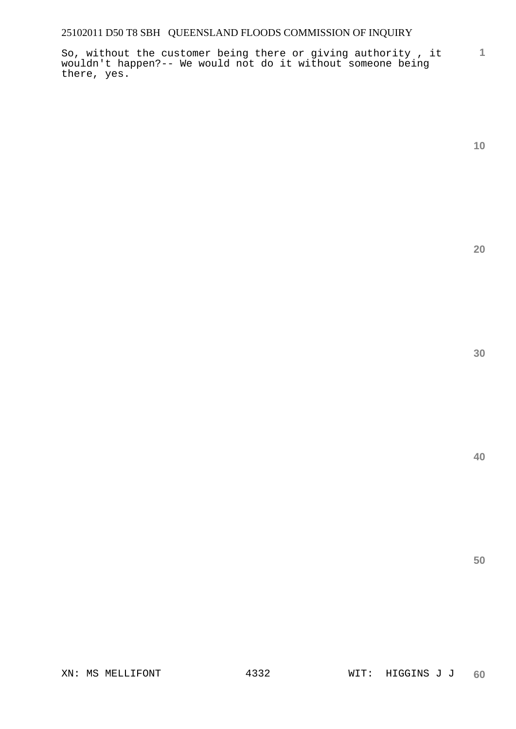**1** So, without the customer being there or giving authority , it wouldn't happen?-- We would not do it without someone being there, yes.

**10** 

**20** 

**30** 

**40**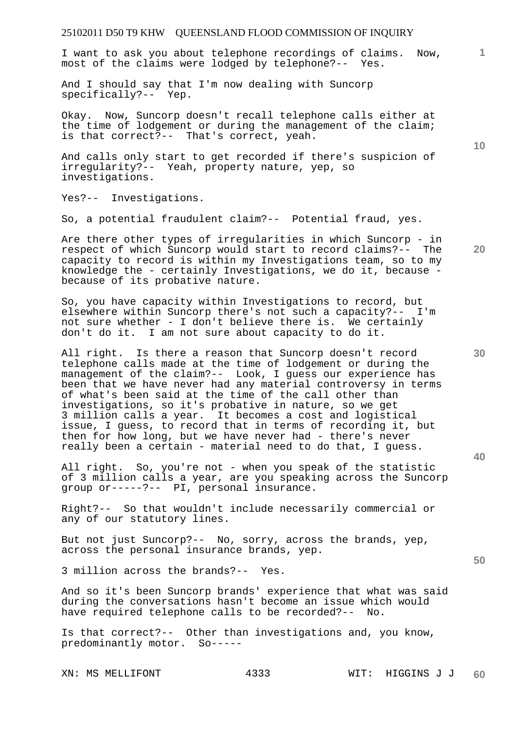# 25102011 D50 T9 KHW QUEENSLAND FLOOD COMMISSION OF INQUIRY **1 10 20 30 40 50**  I want to ask you about telephone recordings of claims. Now, most of the claims were lodged by telephone?-- Yes. And I should say that I'm now dealing with Suncorp specifically?-- Yep. Okay. Now, Suncorp doesn't recall telephone calls either at the time of lodgement or during the management of the claim; is that correct?-- That's correct, yeah. And calls only start to get recorded if there's suspicion of irregularity?-- Yeah, property nature, yep, so investigations. Yes?-- Investigations. So, a potential fraudulent claim?-- Potential fraud, yes. Are there other types of irregularities in which Suncorp - in respect of which Suncorp would start to record claims?-- The capacity to record is within my Investigations team, so to my knowledge the - certainly Investigations, we do it, because because of its probative nature. So, you have capacity within Investigations to record, but elsewhere within Suncorp there's not such a capacity?-- I'm not sure whether - I don't believe there is. We certainly don't do it. I am not sure about capacity to do it. All right. Is there a reason that Suncorp doesn't record telephone calls made at the time of lodgement or during the management of the claim?-- Look, I guess our experience has been that we have never had any material controversy in terms of what's been said at the time of the call other than investigations, so it's probative in nature, so we get 3 million calls a year. It becomes a cost and logistical issue, I guess, to record that in terms of recording it, but then for how long, but we have never had - there's never really been a certain - material need to do that, I guess. All right. So, you're not - when you speak of the statistic of 3 million calls a year, are you speaking across the Suncorp group or-----?-- PI, personal insurance. Right?-- So that wouldn't include necessarily commercial or any of our statutory lines. But not just Suncorp?-- No, sorry, across the brands, yep, across the personal insurance brands, yep. 3 million across the brands?-- Yes.

And so it's been Suncorp brands' experience that what was said during the conversations hasn't become an issue which would have required telephone calls to be recorded?-- No.

Is that correct?-- Other than investigations and, you know, predominantly motor. So-----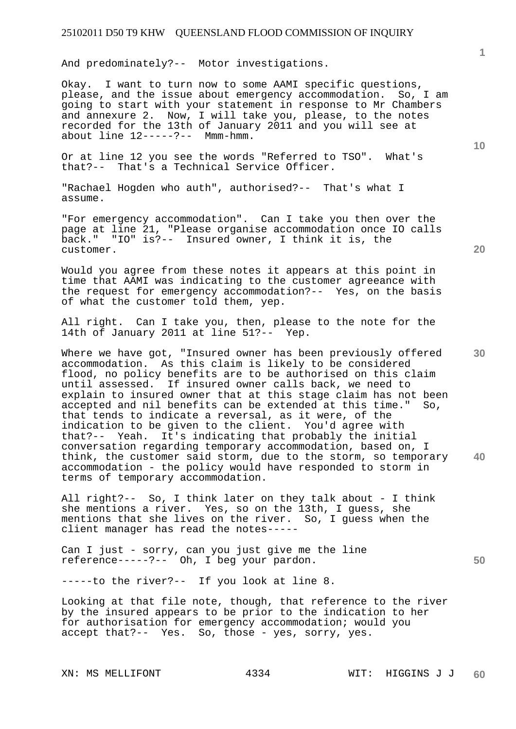And predominately?-- Motor investigations.

Okay. I want to turn now to some AAMI specific questions, please, and the issue about emergency accommodation. So, I am going to start with your statement in response to Mr Chambers and annexure 2. Now, I will take you, please, to the notes recorded for the 13th of January 2011 and you will see at about line 12-----?-- Mmm-hmm.

Or at line 12 you see the words "Referred to TSO". What's that?-- That's a Technical Service Officer.

"Rachael Hogden who auth", authorised?-- That's what I assume.

"For emergency accommodation". Can I take you then over the page at line 21, "Please organise accommodation once IO calls back." "IO" is?-- Insured owner, I think it is, the customer.

Would you agree from these notes it appears at this point in time that AAMI was indicating to the customer agreeance with the request for emergency accommodation?-- Yes, on the basis of what the customer told them, yep.

All right. Can I take you, then, please to the note for the 14th of January 2011 at line 51?-- Yep.

**30 40**  Where we have got, "Insured owner has been previously offered accommodation. As this claim is likely to be considered flood, no policy benefits are to be authorised on this claim until assessed. If insured owner calls back, we need to explain to insured owner that at this stage claim has not been accepted and nil benefits can be extended at this time." So, that tends to indicate a reversal, as it were, of the indication to be given to the client. You'd agree with that?-- Yeah. It's indicating that probably the initial conversation regarding temporary accommodation, based on, I think, the customer said storm, due to the storm, so temporary accommodation - the policy would have responded to storm in terms of temporary accommodation.

All right?-- So, I think later on they talk about - I think she mentions a river. Yes, so on the 13th, I guess, she mentions that she lives on the river. So, I guess when the client manager has read the notes-----

Can I just - sorry, can you just give me the line reference-----?-- Oh, I beg your pardon.

-----to the river?-- If you look at line 8.

Looking at that file note, though, that reference to the river by the insured appears to be prior to the indication to her for authorisation for emergency accommodation; would you accept that?-- Yes. So, those - yes, sorry, yes.

**10** 

**1**

**20**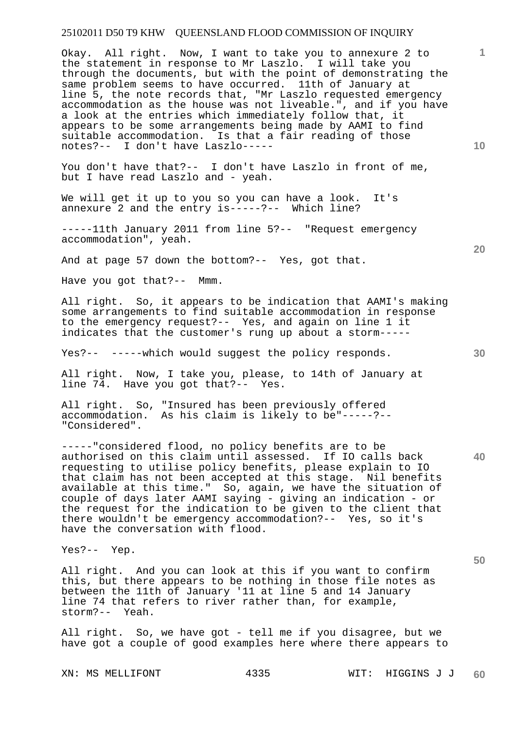Okay. All right. Now, I want to take you to annexure 2 to the statement in response to Mr Laszlo. I will take you through the documents, but with the point of demonstrating the same problem seems to have occurred. 11th of January at line 5, the note records that, "Mr Laszlo requested emergency accommodation as the house was not liveable.", and if you have a look at the entries which immediately follow that, it appears to be some arrangements being made by AAMI to find suitable accommodation. Is that a fair reading of those notes?-- I don't have Laszlo-----

You don't have that?-- I don't have Laszlo in front of me, but I have read Laszlo and - yeah.

We will get it up to you so you can have a look. It's annexure 2 and the entry is-----?-- Which line?

-----11th January 2011 from line 5?-- "Request emergency accommodation", yeah.

And at page 57 down the bottom?-- Yes, got that.

Have you got that?-- Mmm.

All right. So, it appears to be indication that AAMI's making some arrangements to find suitable accommodation in response to the emergency request?-- Yes, and again on line 1 it indicates that the customer's rung up about a storm-----

Yes?-- -----which would suggest the policy responds.

All right. Now, I take you, please, to 14th of January at line 74. Have you got that?-- Yes.

All right. So, "Insured has been previously offered accommodation. As his claim is likely to be"-----?-- "Considered".

-----"considered flood, no policy benefits are to be authorised on this claim until assessed. If IO calls back requesting to utilise policy benefits, please explain to IO that claim has not been accepted at this stage. Nil benefits available at this time." So, again, we have the situation of couple of days later AAMI saying - giving an indication - or the request for the indication to be given to the client that there wouldn't be emergency accommodation?-- Yes, so it's have the conversation with flood.

Yes?-- Yep.

All right. And you can look at this if you want to confirm this, but there appears to be nothing in those file notes as between the 11th of January '11 at line 5 and 14 January line 74 that refers to river rather than, for example, storm?-- Yeah.

All right. So, we have got - tell me if you disagree, but we have got a couple of good examples here where there appears to

**10** 

**1**

**20** 

**40**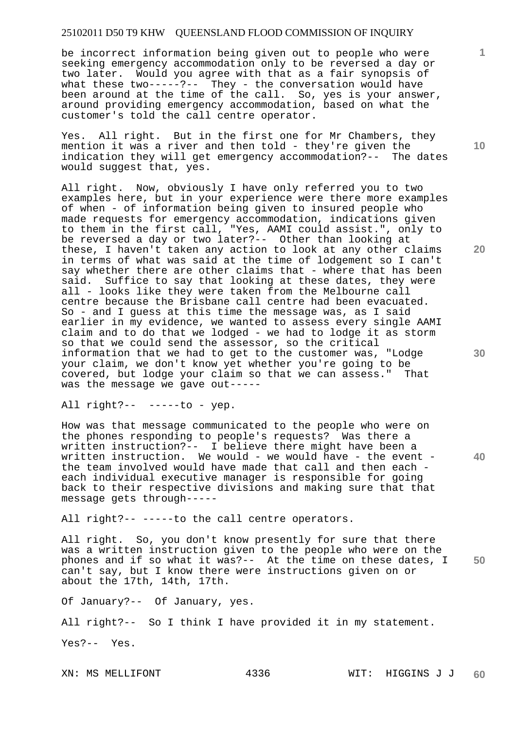be incorrect information being given out to people who were seeking emergency accommodation only to be reversed a day or two later. Would you agree with that as a fair synopsis of what these two-----?-- They - the conversation would have been around at the time of the call. So, yes is your answer, around providing emergency accommodation, based on what the customer's told the call centre operator.

Yes. All right. But in the first one for Mr Chambers, they mention it was a river and then told - they're given the indication they will get emergency accommodation?-- The dates would suggest that, yes.

All right. Now, obviously I have only referred you to two examples here, but in your experience were there more examples of when - of information being given to insured people who made requests for emergency accommodation, indications given to them in the first call, "Yes, AAMI could assist.", only to be reversed a day or two later?-- Other than looking at these, I haven't taken any action to look at any other claims in terms of what was said at the time of lodgement so I can't say whether there are other claims that - where that has been said. Suffice to say that looking at these dates, they were all - looks like they were taken from the Melbourne call centre because the Brisbane call centre had been evacuated. So - and I guess at this time the message was, as I said earlier in my evidence, we wanted to assess every single AAMI claim and to do that we lodged - we had to lodge it as storm so that we could send the assessor, so the critical information that we had to get to the customer was, "Lodge your claim, we don't know yet whether you're going to be covered, but lodge your claim so that we can assess." That was the message we gave out-----

All right?-- -----to - yep.

How was that message communicated to the people who were on the phones responding to people's requests? Was there a written instruction?-- I believe there might have been a written instruction. We would - we would have - the event the team involved would have made that call and then each each individual executive manager is responsible for going back to their respective divisions and making sure that that message gets through-----

All right?-- -----to the call centre operators.

**50**  All right. So, you don't know presently for sure that there was a written instruction given to the people who were on the phones and if so what it was?-- At the time on these dates, I can't say, but I know there were instructions given on or about the 17th, 14th, 17th.

Of January?-- Of January, yes.

All right?-- So I think I have provided it in my statement.

Yes?-- Yes.

**10** 

**1**

**20**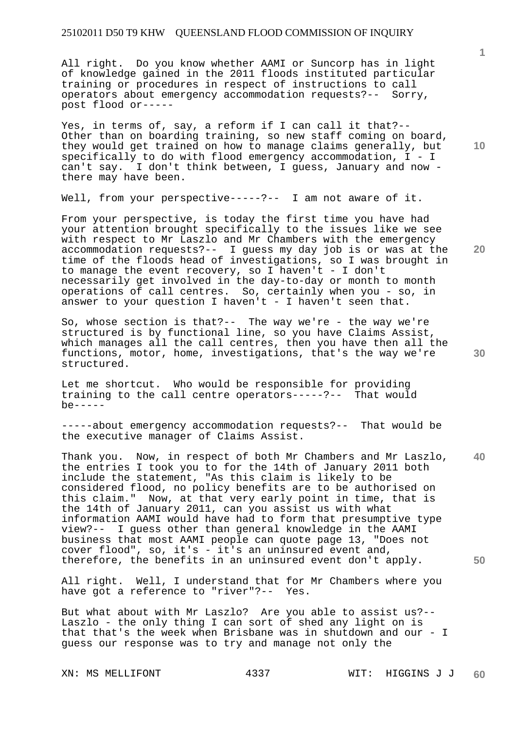All right. Do you know whether AAMI or Suncorp has in light of knowledge gained in the 2011 floods instituted particular training or procedures in respect of instructions to call operators about emergency accommodation requests?-- Sorry, post flood or-----

Yes, in terms of, say, a reform if I can call it that?-- Other than on boarding training, so new staff coming on board, they would get trained on how to manage claims generally, but specifically to do with flood emergency accommodation, I - I can't say. I don't think between, I guess, January and now there may have been.

Well, from your perspective-----?-- I am not aware of it.

From your perspective, is today the first time you have had your attention brought specifically to the issues like we see with respect to Mr Laszlo and Mr Chambers with the emergency accommodation requests?-- I guess my day job is or was at the time of the floods head of investigations, so I was brought in to manage the event recovery, so I haven't - I don't necessarily get involved in the day-to-day or month to month operations of call centres. So, certainly when you - so, in answer to your question I haven't - I haven't seen that.

So, whose section is that?-- The way we're - the way we're structured is by functional line, so you have Claims Assist, which manages all the call centres, then you have then all the functions, motor, home, investigations, that's the way we're structured.

Let me shortcut. Who would be responsible for providing training to the call centre operators-----?-- That would  $be---$ 

-----about emergency accommodation requests?-- That would be the executive manager of Claims Assist.

**40 50**  Thank you. Now, in respect of both Mr Chambers and Mr Laszlo, the entries I took you to for the 14th of January 2011 both include the statement, "As this claim is likely to be considered flood, no policy benefits are to be authorised on this claim." Now, at that very early point in time, that is the 14th of January 2011, can you assist us with what information AAMI would have had to form that presumptive type view?-- I guess other than general knowledge in the AAMI business that most AAMI people can quote page 13, "Does not cover flood", so, it's - it's an uninsured event and, therefore, the benefits in an uninsured event don't apply.

All right. Well, I understand that for Mr Chambers where you have got a reference to "river"?-- Yes.

But what about with Mr Laszlo? Are you able to assist us?-- Laszlo - the only thing I can sort of shed any light on is that that's the week when Brisbane was in shutdown and our - I guess our response was to try and manage not only the

**10** 

**1**

**30**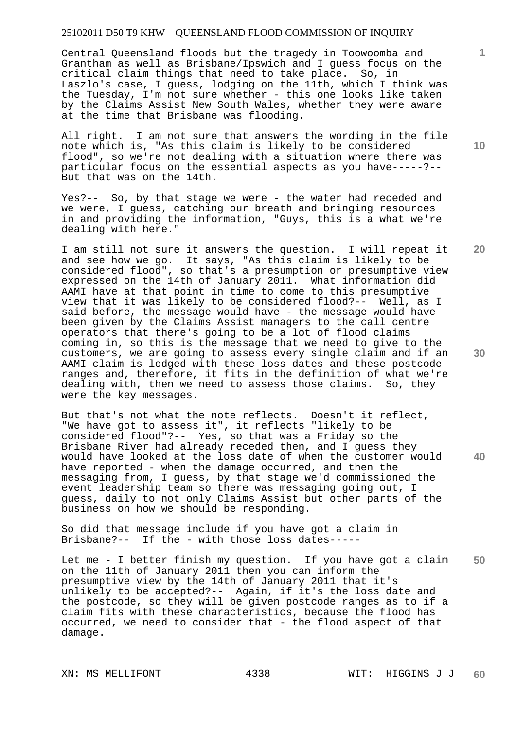Central Queensland floods but the tragedy in Toowoomba and Grantham as well as Brisbane/Ipswich and I guess focus on the critical claim things that need to take place. So, in Laszlo's case, I guess, lodging on the 11th, which I think was the Tuesday, I'm not sure whether - this one looks like taken by the Claims Assist New South Wales, whether they were aware at the time that Brisbane was flooding.

All right. I am not sure that answers the wording in the file note which is, "As this claim is likely to be considered flood", so we're not dealing with a situation where there was particular focus on the essential aspects as you have-----?-- But that was on the 14th.

Yes?-- So, by that stage we were - the water had receded and we were, I guess, catching our breath and bringing resources in and providing the information, "Guys, this is a what we're dealing with here."

I am still not sure it answers the question. I will repeat it and see how we go. It says, "As this claim is likely to be considered flood", so that's a presumption or presumptive view expressed on the 14th of January 2011. What information did AAMI have at that point in time to come to this presumptive view that it was likely to be considered flood?-- Well, as I said before, the message would have - the message would have been given by the Claims Assist managers to the call centre operators that there's going to be a lot of flood claims coming in, so this is the message that we need to give to the customers, we are going to assess every single claim and if an AAMI claim is lodged with these loss dates and these postcode ranges and, therefore, it fits in the definition of what we're dealing with, then we need to assess those claims. So, they were the key messages.

**40**  But that's not what the note reflects. Doesn't it reflect, "We have got to assess it", it reflects "likely to be considered flood"?-- Yes, so that was a Friday so the Brisbane River had already receded then, and I guess they would have looked at the loss date of when the customer would have reported - when the damage occurred, and then the messaging from, I guess, by that stage we'd commissioned the event leadership team so there was messaging going out, I guess, daily to not only Claims Assist but other parts of the business on how we should be responding.

So did that message include if you have got a claim in Brisbane?-- If the - with those loss dates-----

**50**  Let me - I better finish my question. If you have got a claim on the 11th of January 2011 then you can inform the presumptive view by the 14th of January 2011 that it's unlikely to be accepted?-- Again, if it's the loss date and the postcode, so they will be given postcode ranges as to if a claim fits with these characteristics, because the flood has occurred, we need to consider that - the flood aspect of that damage.

**10** 

**1**

**20**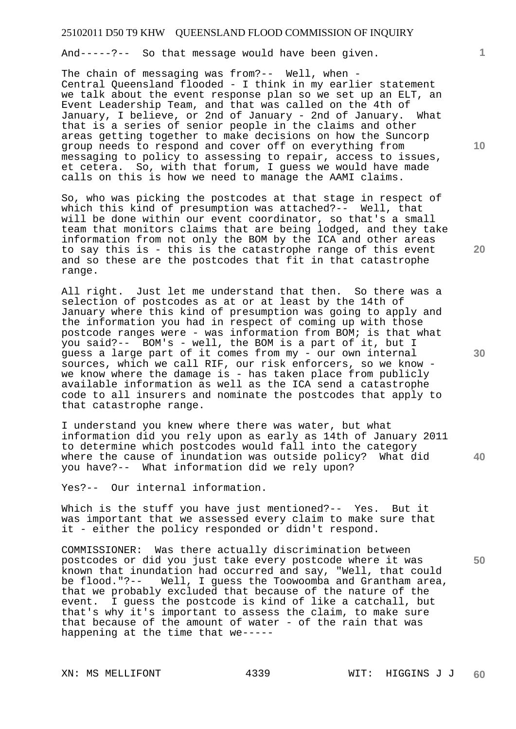And-----?-- So that message would have been given.

The chain of messaging was from?-- Well, when - Central Queensland flooded - I think in my earlier statement we talk about the event response plan so we set up an ELT, an Event Leadership Team, and that was called on the 4th of January, I believe, or 2nd of January - 2nd of January. What that is a series of senior people in the claims and other areas getting together to make decisions on how the Suncorp group needs to respond and cover off on everything from messaging to policy to assessing to repair, access to issues, et cetera. So, with that forum, I guess we would have made calls on this is how we need to manage the AAMI claims.

So, who was picking the postcodes at that stage in respect of which this kind of presumption was attached?-- Well, that will be done within our event coordinator, so that's a small team that monitors claims that are being lodged, and they take information from not only the BOM by the ICA and other areas to say this is - this is the catastrophe range of this event and so these are the postcodes that fit in that catastrophe range.

All right. Just let me understand that then. So there was a selection of postcodes as at or at least by the 14th of January where this kind of presumption was going to apply and the information you had in respect of coming up with those postcode ranges were - was information from BOM; is that what you said?-- BOM's - well, the BOM is a part of it, but I guess a large part of it comes from my - our own internal sources, which we call RIF, our risk enforcers, so we know we know where the damage is - has taken place from publicly available information as well as the ICA send a catastrophe code to all insurers and nominate the postcodes that apply to that catastrophe range.

I understand you knew where there was water, but what information did you rely upon as early as 14th of January 2011 to determine which postcodes would fall into the category where the cause of inundation was outside policy? What did you have?-- What information did we rely upon?

Yes?-- Our internal information.

Which is the stuff you have just mentioned?-- Yes. But it was important that we assessed every claim to make sure that it - either the policy responded or didn't respond.

COMMISSIONER: Was there actually discrimination between postcodes or did you just take every postcode where it was known that inundation had occurred and say, "Well, that could be flood."?-- Well, I guess the Toowoomba and Grantham area, that we probably excluded that because of the nature of the event. I guess the postcode is kind of like a catchall, but that's why it's important to assess the claim, to make sure that because of the amount of water - of the rain that was happening at the time that we-----

**1**

**30** 

**20** 

**50**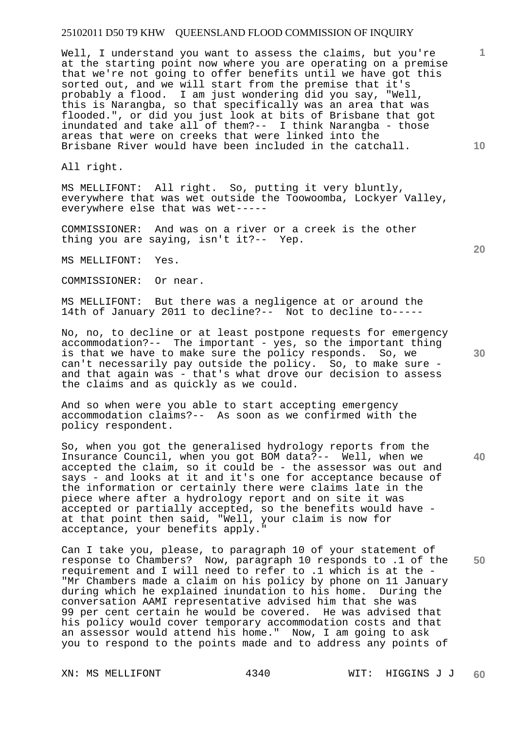Well, I understand you want to assess the claims, but you're at the starting point now where you are operating on a premise that we're not going to offer benefits until we have got this sorted out, and we will start from the premise that it's probably a flood. I am just wondering did you say, "Well, this is Narangba, so that specifically was an area that was flooded.", or did you just look at bits of Brisbane that got inundated and take all of them?-- I think Narangba - those areas that were on creeks that were linked into the Brisbane River would have been included in the catchall.

All right.

MS MELLIFONT: All right. So, putting it very bluntly, everywhere that was wet outside the Toowoomba, Lockyer Valley, everywhere else that was wet-----

COMMISSIONER: And was on a river or a creek is the other thing you are saying, isn't it?-- Yep.

MS MELLIFONT: Yes.

COMMISSIONER: Or near.

MS MELLIFONT: But there was a negligence at or around the 14th of January 2011 to decline?-- Not to decline to-----

No, no, to decline or at least postpone requests for emergency accommodation?-- The important - yes, so the important thing is that we have to make sure the policy responds. So, we can't necessarily pay outside the policy. So, to make sure and that again was - that's what drove our decision to assess the claims and as quickly as we could.

And so when were you able to start accepting emergency accommodation claims?-- As soon as we confirmed with the policy respondent.

So, when you got the generalised hydrology reports from the Insurance Council, when you got BOM data?-- Well, when we accepted the claim, so it could be - the assessor was out and says - and looks at it and it's one for acceptance because of the information or certainly there were claims late in the piece where after a hydrology report and on site it was accepted or partially accepted, so the benefits would have at that point then said, "Well, your claim is now for acceptance, your benefits apply."

Can I take you, please, to paragraph 10 of your statement of response to Chambers? Now, paragraph 10 responds to .1 of the requirement and I will need to refer to .1 which is at the - "Mr Chambers made a claim on his policy by phone on 11 January during which he explained inundation to his home. During the conversation AAMI representative advised him that she was 99 per cent certain he would be covered. He was advised that his policy would cover temporary accommodation costs and that an assessor would attend his home." Now, I am going to ask you to respond to the points made and to address any points of

**30** 

**20** 

**1**

**10**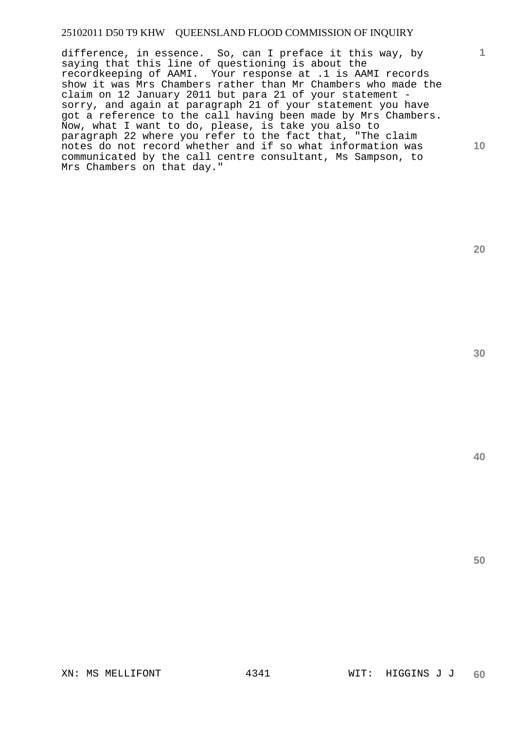difference, in essence. So, can I preface it this way, by saying that this line of questioning is about the recordkeeping of AAMI. Your response at .1 is AAMI records show it was Mrs Chambers rather than Mr Chambers who made the claim on 12 January 2011 but para 21 of your statement sorry, and again at paragraph 21 of your statement you have got a reference to the call having been made by Mrs Chambers. Now, what I want to do, please, is take you also to paragraph 22 where you refer to the fact that, "The claim notes do not record whether and if so what information was communicated by the call centre consultant, Ms Sampson, to Mrs Chambers on that day."

**30** 

**20** 

**1**

**10**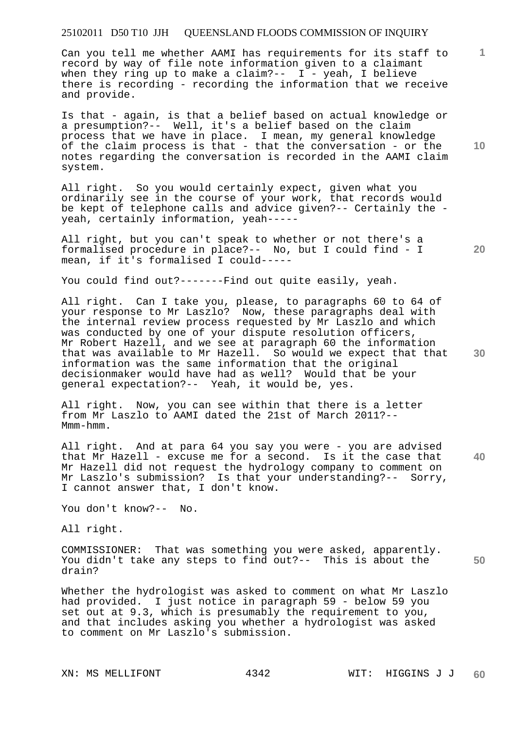Can you tell me whether AAMI has requirements for its staff to record by way of file note information given to a claimant when they ring up to make a claim?--  $I - y$ eah, I believe there is recording - recording the information that we receive and provide.

Is that - again, is that a belief based on actual knowledge or a presumption?-- Well, it's a belief based on the claim process that we have in place. I mean, my general knowledge of the claim process is that - that the conversation - or the notes regarding the conversation is recorded in the AAMI claim system.

All right. So you would certainly expect, given what you ordinarily see in the course of your work, that records would be kept of telephone calls and advice given?-- Certainly the yeah, certainly information, yeah-----

All right, but you can't speak to whether or not there's a formalised procedure in place?-- No, but I could find - I mean, if it's formalised I could-----

You could find out?-------Find out quite easily, yeah.

All right. Can I take you, please, to paragraphs 60 to 64 of your response to Mr Laszlo? Now, these paragraphs deal with the internal review process requested by Mr Laszlo and which was conducted by one of your dispute resolution officers, Mr Robert Hazell, and we see at paragraph 60 the information that was available to Mr Hazell. So would we expect that that information was the same information that the original decisionmaker would have had as well? Would that be your general expectation?-- Yeah, it would be, yes.

All right. Now, you can see within that there is a letter from Mr Laszlo to AAMI dated the 21st of March 2011?-- Mmm-hmm.

**40**  All right. And at para 64 you say you were - you are advised that Mr Hazell - excuse me for a second. Is it the case that Mr Hazell did not request the hydrology company to comment on Mr Laszlo's submission? Is that your understanding?-- Sorry, I cannot answer that, I don't know.

You don't know?-- No.

All right.

**50**  COMMISSIONER: That was something you were asked, apparently. You didn't take any steps to find out?-- This is about the drain?

Whether the hydrologist was asked to comment on what Mr Laszlo had provided. I just notice in paragraph 59 - below 59 you set out at 9.3, which is presumably the requirement to you, and that includes asking you whether a hydrologist was asked to comment on Mr Laszlo's submission.

**10** 

**1**

**30**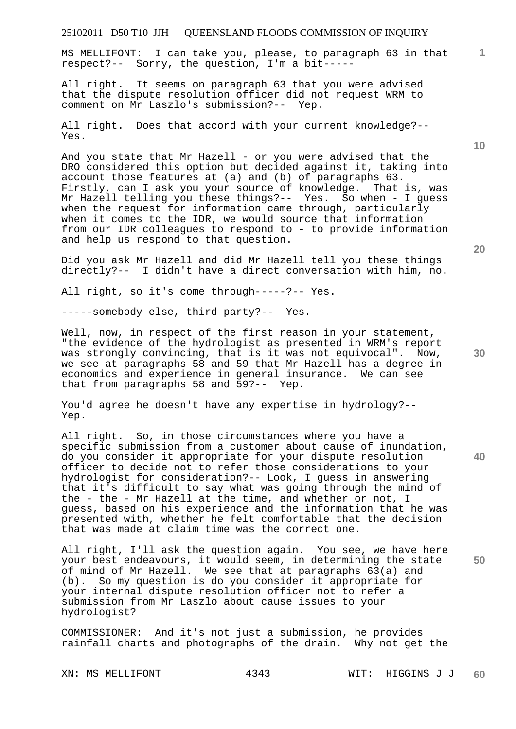MS MELLIFONT: I can take you, please, to paragraph 63 in that respect?-- Sorry, the question, I'm a bit-----

All right. It seems on paragraph 63 that you were advised that the dispute resolution officer did not request WRM to comment on Mr Laszlo's submission?-- Yep.

All right. Does that accord with your current knowledge?-- Yes.

And you state that Mr Hazell - or you were advised that the DRO considered this option but decided against it, taking into account those features at (a) and (b) of paragraphs 63. Firstly, can I ask you your source of knowledge. That is, was Mr Hazell telling you these things?-- Yes. So when - I guess when the request for information came through, particularly when it comes to the IDR, we would source that information from our IDR colleagues to respond to - to provide information and help us respond to that question.

Did you ask Mr Hazell and did Mr Hazell tell you these things directly?-- I didn't have a direct conversation with him, no.

All right, so it's come through-----?-- Yes.

-----somebody else, third party?-- Yes.

Well, now, in respect of the first reason in your statement, "the evidence of the hydrologist as presented in WRM's report was strongly convincing, that is it was not equivocal". Now, we see at paragraphs 58 and 59 that Mr Hazell has a degree in economics and experience in general insurance. We can see that from paragraphs 58 and 59?-- Yep.

You'd agree he doesn't have any expertise in hydrology?-- Yep.

All right. So, in those circumstances where you have a specific submission from a customer about cause of inundation, do you consider it appropriate for your dispute resolution officer to decide not to refer those considerations to your hydrologist for consideration?-- Look, I guess in answering that it's difficult to say what was going through the mind of the - the - Mr Hazell at the time, and whether or not, I guess, based on his experience and the information that he was presented with, whether he felt comfortable that the decision that was made at claim time was the correct one.

**50**  All right, I'll ask the question again. You see, we have here your best endeavours, it would seem, in determining the state of mind of Mr Hazell. We see that at paragraphs 63(a) and (b). So my question is do you consider it appropriate for your internal dispute resolution officer not to refer a submission from Mr Laszlo about cause issues to your hydrologist?

COMMISSIONER: And it's not just a submission, he provides rainfall charts and photographs of the drain. Why not get the

**20** 

**40** 

**10**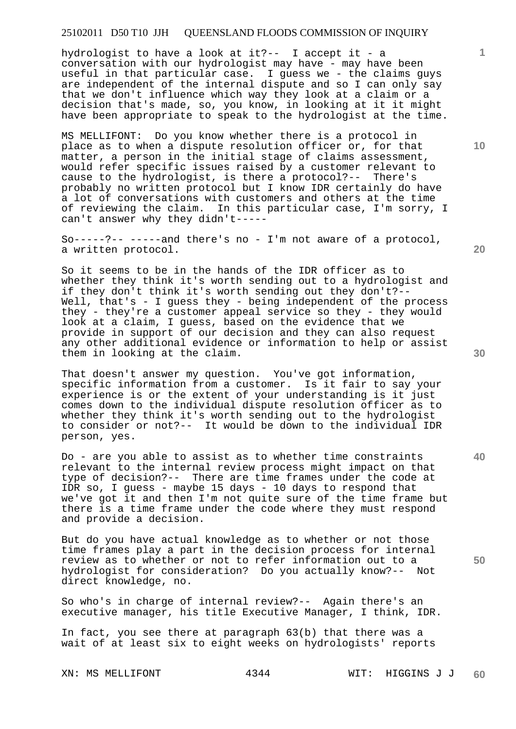hydrologist to have a look at it ?-- I accept it - a conversation with our hydrologist may have - may have been useful in that particular case. I guess we - the claims guys are independent of the internal dispute and so I can only say that we don't influence which way they look at a claim or a decision that's made, so, you know, in looking at it it might have been appropriate to speak to the hydrologist at the time.

MS MELLIFONT: Do you know whether there is a protocol in place as to when a dispute resolution officer or, for that matter, a person in the initial stage of claims assessment, would refer specific issues raised by a customer relevant to cause to the hydrologist, is there a protocol?-- There's probably no written protocol but I know IDR certainly do have a lot of conversations with customers and others at the time of reviewing the claim. In this particular case, I'm sorry, I can't answer why they didn't-----

So-----?-- -----and there's no - I'm not aware of a protocol, a written protocol.

So it seems to be in the hands of the IDR officer as to whether they think it's worth sending out to a hydrologist and if they don't think it's worth sending out they don't?-- Well, that's - I guess they - being independent of the process they - they're a customer appeal service so they - they would look at a claim, I guess, based on the evidence that we provide in support of our decision and they can also request any other additional evidence or information to help or assist them in looking at the claim.

That doesn't answer my question. You've got information, specific information from a customer. Is it fair to say your experience is or the extent of your understanding is it just comes down to the individual dispute resolution officer as to whether they think it's worth sending out to the hydrologist to consider or not?-- It would be down to the individual IDR person, yes.

Do - are you able to assist as to whether time constraints relevant to the internal review process might impact on that type of decision?-- There are time frames under the code at IDR so, I guess - maybe 15 days - 10 days to respond that we've got it and then I'm not quite sure of the time frame but there is a time frame under the code where they must respond and provide a decision.

But do you have actual knowledge as to whether or not those time frames play a part in the decision process for internal review as to whether or not to refer information out to a hydrologist for consideration? Do you actually know?-- Not direct knowledge, no.

So who's in charge of internal review?-- Again there's an executive manager, his title Executive Manager, I think, IDR.

In fact, you see there at paragraph 63(b) that there was a wait of at least six to eight weeks on hydrologists' reports

**10** 

**1**

**20** 

**40** 

**50**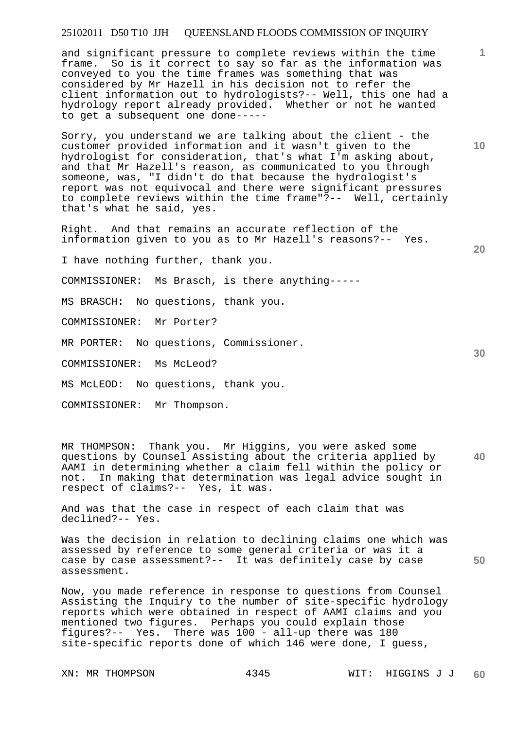and significant pressure to complete reviews within the time frame. So is it correct to say so far as the information was conveyed to you the time frames was something that was considered by Mr Hazell in his decision not to refer the client information out to hydrologists?-- Well, this one had a hydrology report already provided. Whether or not he wanted to get a subsequent one done-----

Sorry, you understand we are talking about the client - the customer provided information and it wasn't given to the hydrologist for consideration, that's what I'm asking about, and that Mr Hazell's reason, as communicated to you through someone, was, "I didn't do that because the hydrologist's report was not equivocal and there were significant pressures to complete reviews within the time frame"?-- Well, certainly that's what he said, yes.

Right. And that remains an accurate reflection of the information given to you as to Mr Hazell's reasons?-- Yes.

I have nothing further, thank you.

COMMISSIONER: Ms Brasch, is there anything-----

MS BRASCH: No questions, thank you.

COMMISSIONER: Mr Porter?

MR PORTER: No questions, Commissioner.

COMMISSIONER: Ms McLeod?

MS McLEOD: No questions, thank you.

COMMISSIONER: Mr Thompson.

**40**  MR THOMPSON: Thank you. Mr Higgins, you were asked some questions by Counsel Assisting about the criteria applied by AAMI in determining whether a claim fell within the policy or not. In making that determination was legal advice sought in respect of claims?-- Yes, it was.

And was that the case in respect of each claim that was declined?-- Yes.

Was the decision in relation to declining claims one which was assessed by reference to some general criteria or was it a case by case assessment?-- It was definitely case by case assessment.

Now, you made reference in response to questions from Counsel Assisting the Inquiry to the number of site-specific hydrology reports which were obtained in respect of AAMI claims and you mentioned two figures. Perhaps you could explain those figures?-- Yes. There was 100 - all-up there was 180 site-specific reports done of which 146 were done, I guess,

**10** 

**1**

**20** 

**30**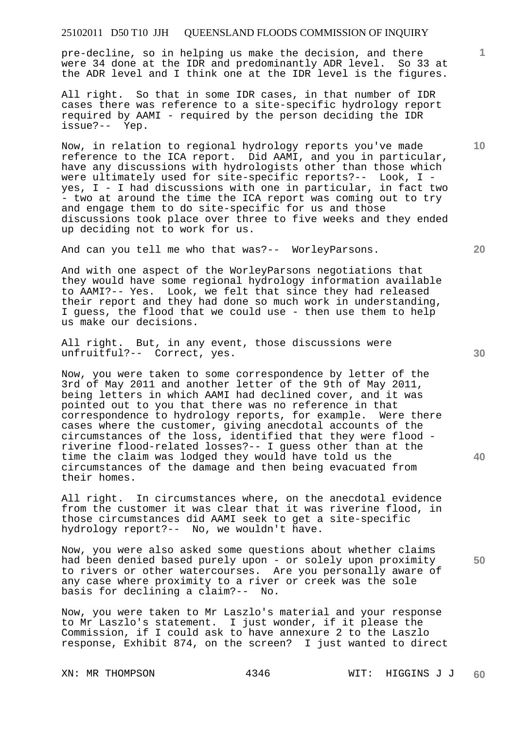pre-decline, so in helping us make the decision, and there were 34 done at the IDR and predominantly ADR level. So 33 at the ADR level and I think one at the IDR level is the figures.

All right. So that in some IDR cases, in that number of IDR cases there was reference to a site-specific hydrology report required by AAMI - required by the person deciding the IDR issue?-- Yep.

Now, in relation to regional hydrology reports you've made reference to the ICA report. Did AAMI, and you in particular, have any discussions with hydrologists other than those which were ultimately used for site-specific reports?-- Look, I yes, I - I had discussions with one in particular, in fact two - two at around the time the ICA report was coming out to try and engage them to do site-specific for us and those discussions took place over three to five weeks and they ended up deciding not to work for us.

And can you tell me who that was?-- WorleyParsons.

And with one aspect of the WorleyParsons negotiations that they would have some regional hydrology information available to AAMI?-- Yes. Look, we felt that since they had released their report and they had done so much work in understanding, I guess, the flood that we could use - then use them to help us make our decisions.

All right. But, in any event, those discussions were unfruitful?-- Correct, yes.

Now, you were taken to some correspondence by letter of the 3rd of May 2011 and another letter of the 9th of May 2011, being letters in which AAMI had declined cover, and it was pointed out to you that there was no reference in that correspondence to hydrology reports, for example. Were there cases where the customer, giving anecdotal accounts of the circumstances of the loss, identified that they were flood riverine flood-related losses?-- I guess other than at the time the claim was lodged they would have told us the circumstances of the damage and then being evacuated from their homes.

All right. In circumstances where, on the anecdotal evidence from the customer it was clear that it was riverine flood, in those circumstances did AAMI seek to get a site-specific hydrology report?-- No, we wouldn't have.

Now, you were also asked some questions about whether claims had been denied based purely upon - or solely upon proximity to rivers or other watercourses. Are you personally aware of any case where proximity to a river or creek was the sole basis for declining a claim?-- No.

Now, you were taken to Mr Laszlo's material and your response to Mr Laszlo's statement. I just wonder, if it please the Commission, if I could ask to have annexure 2 to the Laszlo response, Exhibit 874, on the screen? I just wanted to direct

**20** 

**40** 

**50** 

**10**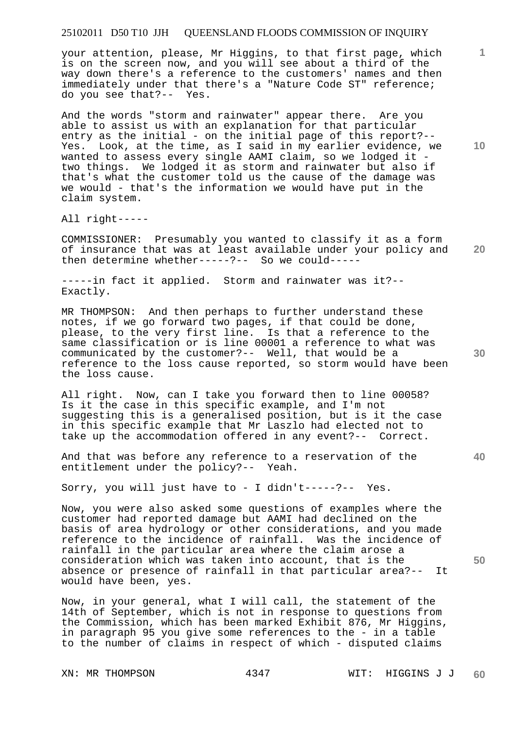your attention, please, Mr Higgins, to that first page, which is on the screen now, and you will see about a third of the way down there's a reference to the customers' names and then immediately under that there's a "Nature Code ST" reference; do you see that?-- Yes.

And the words "storm and rainwater" appear there. Are you able to assist us with an explanation for that particular entry as the initial - on the initial page of this report?-- Yes. Look, at the time, as I said in my earlier evidence, we wanted to assess every single AAMI claim, so we lodged it two things. We lodged it as storm and rainwater but also if that's what the customer told us the cause of the damage was we would - that's the information we would have put in the claim system.

All right-----

**20**  COMMISSIONER: Presumably you wanted to classify it as a form of insurance that was at least available under your policy and then determine whether-----?-- So we could-----

-----in fact it applied. Storm and rainwater was it?-- Exactly.

MR THOMPSON: And then perhaps to further understand these notes, if we go forward two pages, if that could be done, please, to the very first line. Is that a reference to the same classification or is line 00001 a reference to what was communicated by the customer?-- Well, that would be a reference to the loss cause reported, so storm would have been the loss cause.

All right. Now, can I take you forward then to line 00058? Is it the case in this specific example, and I'm not suggesting this is a generalised position, but is it the case in this specific example that Mr Laszlo had elected not to take up the accommodation offered in any event?-- Correct.

And that was before any reference to a reservation of the entitlement under the policy?-- Yeah.

Sorry, you will just have to - I didn't-----?-- Yes.

Now, you were also asked some questions of examples where the customer had reported damage but AAMI had declined on the basis of area hydrology or other considerations, and you made reference to the incidence of rainfall. Was the incidence of rainfall in the particular area where the claim arose a consideration which was taken into account, that is the absence or presence of rainfall in that particular area?-- It would have been, yes.

Now, in your general, what I will call, the statement of the 14th of September, which is not in response to questions from the Commission, which has been marked Exhibit 876, Mr Higgins, in paragraph 95 you give some references to the - in a table to the number of claims in respect of which - disputed claims

**10** 

**1**

**30** 

**40**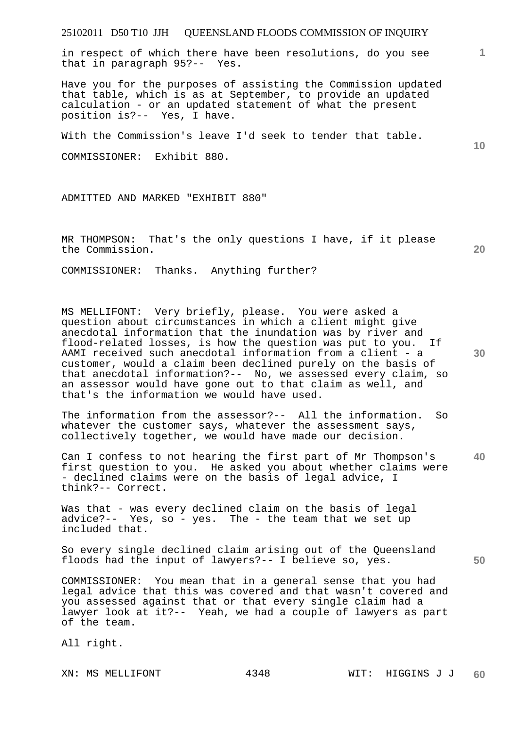in respect of which there have been resolutions, do you see that in paragraph 95?-- Yes.

Have you for the purposes of assisting the Commission updated that table, which is as at September, to provide an updated calculation - or an updated statement of what the present position is?-- Yes, I have.

With the Commission's leave I'd seek to tender that table.

COMMISSIONER: Exhibit 880.

ADMITTED AND MARKED "EXHIBIT 880"

MR THOMPSON: That's the only questions I have, if it please the Commission.

**20** 

**30** 

**50** 

COMMISSIONER: Thanks. Anything further?

MS MELLIFONT: Very briefly, please. You were asked a question about circumstances in which a client might give anecdotal information that the inundation was by river and flood-related losses, is how the question was put to you. If AAMI received such anecdotal information from a client - a customer, would a claim been declined purely on the basis of that anecdotal information?-- No, we assessed every claim, so an assessor would have gone out to that claim as well, and that's the information we would have used.

The information from the assessor?-- All the information. So whatever the customer says, whatever the assessment says, collectively together, we would have made our decision.

**40**  Can I confess to not hearing the first part of Mr Thompson's first question to you. He asked you about whether claims were - declined claims were on the basis of legal advice, I think?-- Correct.

Was that - was every declined claim on the basis of legal advice?-- Yes, so - yes. The - the team that we set up included that.

So every single declined claim arising out of the Queensland floods had the input of lawyers?-- I believe so, yes.

COMMISSIONER: You mean that in a general sense that you had legal advice that this was covered and that wasn't covered and you assessed against that or that every single claim had a lawyer look at it?-- Yeah, we had a couple of lawyers as part of the team.

All right.

**1**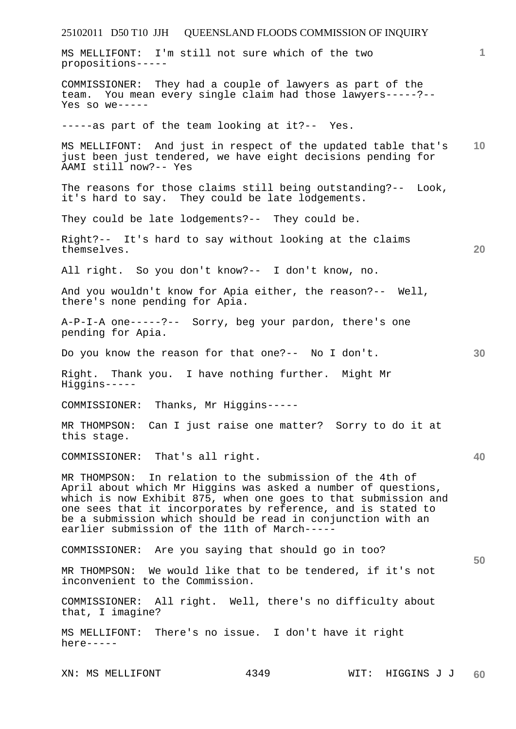25102011 D50 T10 JJH QUEENSLAND FLOODS COMMISSION OF INQUIRY **1 10 20 30 40 50**  MS MELLIFONT: I'm still not sure which of the two propositions----- COMMISSIONER: They had a couple of lawyers as part of the team. You mean every single claim had those lawyers-----?-- Yes so we----- -----as part of the team looking at it?-- Yes. MS MELLIFONT: And just in respect of the updated table that's just been just tendered, we have eight decisions pending for AAMI still now?-- Yes The reasons for those claims still being outstanding?-- Look, it's hard to say. They could be late lodgements. They could be late lodgements?-- They could be. Right?-- It's hard to say without looking at the claims themselves. All right. So you don't know?-- I don't know, no. And you wouldn't know for Apia either, the reason?-- Well, there's none pending for Apia. A-P-I-A one-----?-- Sorry, beg your pardon, there's one pending for Apia. Do you know the reason for that one?-- No I don't. Right. Thank you. I have nothing further. Might Mr Higgins----- COMMISSIONER: Thanks, Mr Higgins----- MR THOMPSON: Can I just raise one matter? Sorry to do it at this stage. COMMISSIONER: That's all right. MR THOMPSON: In relation to the submission of the 4th of April about which Mr Higgins was asked a number of questions, which is now Exhibit 875, when one goes to that submission and one sees that it incorporates by reference, and is stated to be a submission which should be read in conjunction with an earlier submission of the 11th of March----- COMMISSIONER: Are you saying that should go in too? MR THOMPSON: We would like that to be tendered, if it's not inconvenient to the Commission. COMMISSIONER: All right. Well, there's no difficulty about that, I imagine? MS MELLIFONT: There's no issue. I don't have it right here-----